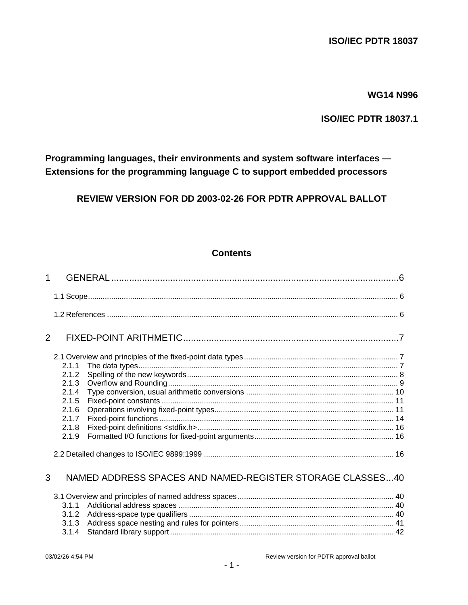## **WG14 N996**

# **ISO/IEC PDTR 18037.1**

**Programming languages, their environments and system software interfaces — Extensions for the programming language C to support embedded processors**

**REVIEW VERSION FOR DD 2003-02-26 FOR PDTR APPROVAL BALLOT**

# **Contents**

| $\mathbf{1}$ |       |                                                           |  |
|--------------|-------|-----------------------------------------------------------|--|
|              |       |                                                           |  |
|              |       |                                                           |  |
| 2            |       |                                                           |  |
|              |       |                                                           |  |
|              | 2.1.1 |                                                           |  |
|              | 2.1.2 |                                                           |  |
|              | 2.1.3 |                                                           |  |
|              | 2.1.4 |                                                           |  |
|              | 2.1.5 |                                                           |  |
|              | 2.1.6 |                                                           |  |
|              | 2.1.7 |                                                           |  |
|              | 2.1.8 |                                                           |  |
|              | 2.1.9 |                                                           |  |
|              |       |                                                           |  |
| 3            |       | NAMED ADDRESS SPACES AND NAMED-REGISTER STORAGE CLASSES40 |  |
|              |       |                                                           |  |
|              | 3.1.1 |                                                           |  |
|              | 3.1.2 |                                                           |  |
|              | 3.1.3 |                                                           |  |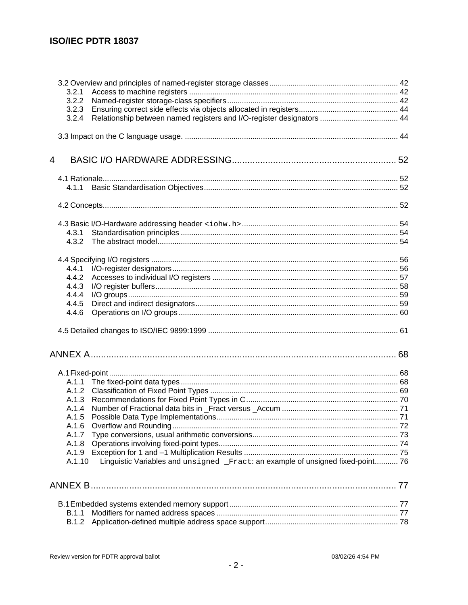| 3.2.1  |                                                                                 |  |
|--------|---------------------------------------------------------------------------------|--|
| 3.2.2  |                                                                                 |  |
| 3.2.3  |                                                                                 |  |
| 3.2.4  | Relationship between named registers and I/O-register designators  44           |  |
|        |                                                                                 |  |
|        |                                                                                 |  |
| 4      |                                                                                 |  |
|        |                                                                                 |  |
| 4.1.1  |                                                                                 |  |
|        |                                                                                 |  |
|        |                                                                                 |  |
| 4.3.1  |                                                                                 |  |
| 4.3.2  |                                                                                 |  |
|        |                                                                                 |  |
| 4.4.1  |                                                                                 |  |
| 4.4.2  |                                                                                 |  |
| 4.4.3  |                                                                                 |  |
| 4.4.4  |                                                                                 |  |
| 4.4.5  |                                                                                 |  |
| 4.4.6  |                                                                                 |  |
|        |                                                                                 |  |
|        |                                                                                 |  |
|        |                                                                                 |  |
|        |                                                                                 |  |
| A.1.2  |                                                                                 |  |
| A.1.3  |                                                                                 |  |
| A.1.4  |                                                                                 |  |
| A.1.5  |                                                                                 |  |
| A.1.6  |                                                                                 |  |
| A.1.7  |                                                                                 |  |
| A.1.8  |                                                                                 |  |
| A.1.9  |                                                                                 |  |
| A.1.10 | Linguistic Variables and unsigned _Fract: an example of unsigned fixed-point 76 |  |
|        |                                                                                 |  |
|        |                                                                                 |  |
|        |                                                                                 |  |
| B.1.1  |                                                                                 |  |
| B.1.2  |                                                                                 |  |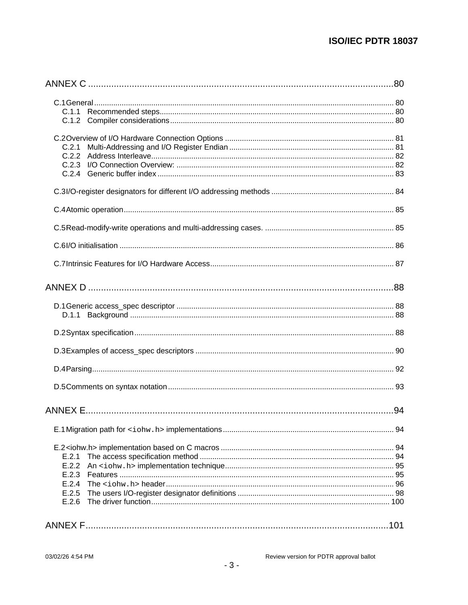| C.2.1 |  |
|-------|--|
| C.2.2 |  |
|       |  |
|       |  |
|       |  |
|       |  |
|       |  |
|       |  |
|       |  |
|       |  |
|       |  |
|       |  |
|       |  |
|       |  |
|       |  |
|       |  |
|       |  |
|       |  |
|       |  |
|       |  |
|       |  |
| E.2.1 |  |
| E.2.2 |  |
| E.2.3 |  |
| E.2.4 |  |
| E.2.5 |  |
| E.2.6 |  |
|       |  |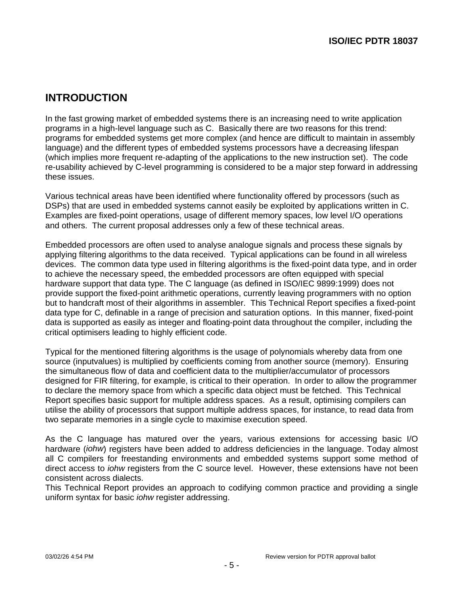# **INTRODUCTION**

In the fast growing market of embedded systems there is an increasing need to write application programs in a high-level language such as C. Basically there are two reasons for this trend: programs for embedded systems get more complex (and hence are difficult to maintain in assembly language) and the different types of embedded systems processors have a decreasing lifespan (which implies more frequent re-adapting of the applications to the new instruction set). The code re-usability achieved by C-level programming is considered to be a major step forward in addressing these issues.

Various technical areas have been identified where functionality offered by processors (such as DSPs) that are used in embedded systems cannot easily be exploited by applications written in C. Examples are fixed-point operations, usage of different memory spaces, low level I/O operations and others. The current proposal addresses only a few of these technical areas.

Embedded processors are often used to analyse analogue signals and process these signals by applying filtering algorithms to the data received. Typical applications can be found in all wireless devices. The common data type used in filtering algorithms is the fixed-point data type, and in order to achieve the necessary speed, the embedded processors are often equipped with special hardware support that data type. The C language (as defined in ISO/IEC 9899:1999) does not provide support the fixed-point arithmetic operations, currently leaving programmers with no option but to handcraft most of their algorithms in assembler. This Technical Report specifies a fixed-point data type for C, definable in a range of precision and saturation options. In this manner, fixed-point data is supported as easily as integer and floating-point data throughout the compiler, including the critical optimisers leading to highly efficient code.

Typical for the mentioned filtering algorithms is the usage of polynomials whereby data from one source (inputvalues) is multiplied by coefficients coming from another source (memory). Ensuring the simultaneous flow of data and coefficient data to the multiplier/accumulator of processors designed for FIR filtering, for example, is critical to their operation. In order to allow the programmer to declare the memory space from which a specific data object must be fetched. This Technical Report specifies basic support for multiple address spaces. As a result, optimising compilers can utilise the ability of processors that support multiple address spaces, for instance, to read data from two separate memories in a single cycle to maximise execution speed.

As the C language has matured over the years, various extensions for accessing basic I/O hardware (iohw) registers have been added to address deficiencies in the language. Today almost all C compilers for freestanding environments and embedded systems support some method of direct access to *johw* registers from the C source level. However, these extensions have not been consistent across dialects.

This Technical Report provides an approach to codifying common practice and providing a single uniform syntax for basic iohw register addressing.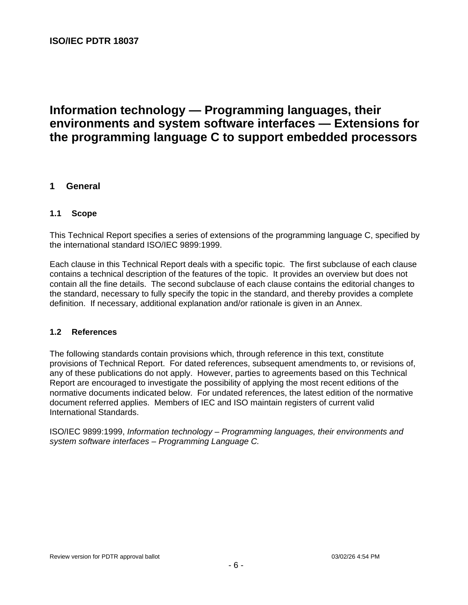# **Information technology — Programming languages, their environments and system software interfaces — Extensions for the programming language C to support embedded processors**

# **1 General**

#### **1.1 Scope**

This Technical Report specifies a series of extensions of the programming language C, specified by the international standard ISO/IEC 9899:1999.

Each clause in this Technical Report deals with a specific topic. The first subclause of each clause contains a technical description of the features of the topic. It provides an overview but does not contain all the fine details. The second subclause of each clause contains the editorial changes to the standard, necessary to fully specify the topic in the standard, and thereby provides a complete definition. If necessary, additional explanation and/or rationale is given in an Annex.

#### **1.2 References**

The following standards contain provisions which, through reference in this text, constitute provisions of Technical Report. For dated references, subsequent amendments to, or revisions of, any of these publications do not apply. However, parties to agreements based on this Technical Report are encouraged to investigate the possibility of applying the most recent editions of the normative documents indicated below. For undated references, the latest edition of the normative document referred applies. Members of IEC and ISO maintain registers of current valid International Standards.

ISO/IEC 9899:1999, Information technology – Programming languages, their environments and system software interfaces – Programming Language C.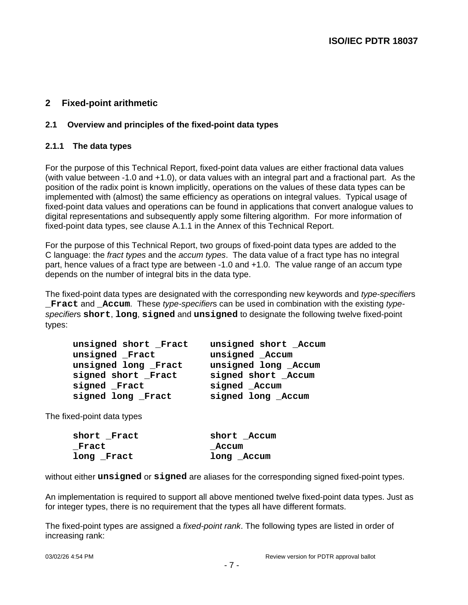# **2 Fixed-point arithmetic**

#### **2.1 Overview and principles of the fixed-point data types**

#### **2.1.1 The data types**

For the purpose of this Technical Report, fixed-point data values are either fractional data values (with value between -1.0 and +1.0), or data values with an integral part and a fractional part. As the position of the radix point is known implicitly, operations on the values of these data types can be implemented with (almost) the same efficiency as operations on integral values. Typical usage of fixed-point data values and operations can be found in applications that convert analogue values to digital representations and subsequently apply some filtering algorithm. For more information of fixed-point data types, see clause A.1.1 in the Annex of this Technical Report.

For the purpose of this Technical Report, two groups of fixed-point data types are added to the C language: the fract types and the accum types. The data value of a fract type has no integral part, hence values of a fract type are between -1.0 and +1.0. The value range of an accum type depends on the number of integral bits in the data type.

The fixed-point data types are designated with the corresponding new keywords and type-specifiers **Fract and Accum.** These type-specifiers can be used in combination with the existing typespecifiers **short**, **long**, **signed** and **unsigned** to designate the following twelve fixed-point types:

| unsigned short Fract | unsigned short _Accum |
|----------------------|-----------------------|
| unsigned Fract       | unsigned Accum        |
| unsigned long Fract  | unsigned long _Accum  |
| signed short Fract   | signed short Accum    |
| signed Fract         | signed _Accum         |
| signed long Fract    | signed long _Accum    |

The fixed-point data types

| short Fract | short Accum |
|-------------|-------------|
| Fract       | Accum       |
| long Fract  | long Accum  |

without either **unsigned** or **signed** are aliases for the corresponding signed fixed-point types.

An implementation is required to support all above mentioned twelve fixed-point data types. Just as for integer types, there is no requirement that the types all have different formats.

The fixed-point types are assigned a *fixed-point rank*. The following types are listed in order of increasing rank: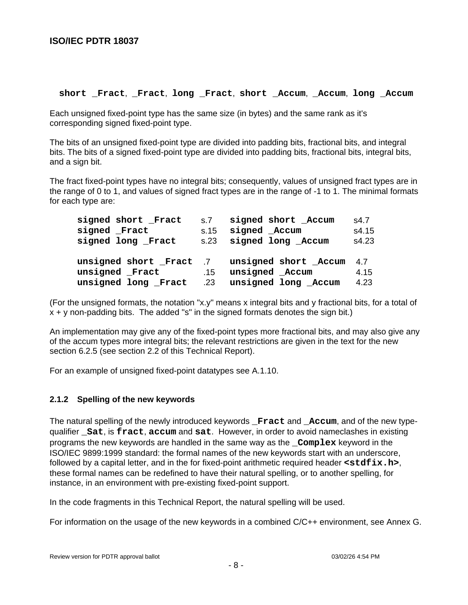#### **short \_Fract**, **\_Fract**, **long \_Fract**, **short \_Accum**, **\_Accum**, **long \_Accum**

Each unsigned fixed-point type has the same size (in bytes) and the same rank as it's corresponding signed fixed-point type.

The bits of an unsigned fixed-point type are divided into padding bits, fractional bits, and integral bits. The bits of a signed fixed-point type are divided into padding bits, fractional bits, integral bits, and a sign bit.

The fract fixed-point types have no integral bits; consequently, values of unsigned fract types are in the range of 0 to 1, and values of signed fract types are in the range of -1 to 1. The minimal formats for each type are:

| signed short Fract     | s.7  | signed short Accum     | s4.7  |
|------------------------|------|------------------------|-------|
| signed Fract           | s.15 | signed Accum           | s4.15 |
| signed long Fract      |      | s.23 signed long Accum | s4.23 |
|                        |      |                        |       |
| Unsigned short Fract 7 |      | unsigned short Accum   | 4.7   |
|                        |      |                        |       |
| unsigned Fract         | .15  | unsigned Accum         | 4.15  |

(For the unsigned formats, the notation "x.y" means x integral bits and y fractional bits, for a total of  $x + y$  non-padding bits. The added "s" in the signed formats denotes the sign bit.)

An implementation may give any of the fixed-point types more fractional bits, and may also give any of the accum types more integral bits; the relevant restrictions are given in the text for the new section 6.2.5 (see section 2.2 of this Technical Report).

For an example of unsigned fixed-point datatypes see A.1.10.

#### **2.1.2 Spelling of the new keywords**

The natural spelling of the newly introduced keywords **Fract** and **Accum**, and of the new typequalifier **\_Sat**, is **fract**, **accum** and **sat**. However, in order to avoid nameclashes in existing programs the new keywords are handled in the same way as the **\_Complex** keyword in the ISO/IEC 9899:1999 standard: the formal names of the new keywords start with an underscore, followed by a capital letter, and in the for fixed-point arithmetic required header  $\leq$ **stdfix.h**>, these formal names can be redefined to have their natural spelling, or to another spelling, for instance, in an environment with pre-existing fixed-point support.

In the code fragments in this Technical Report, the natural spelling will be used.

For information on the usage of the new keywords in a combined C/C++ environment, see Annex G.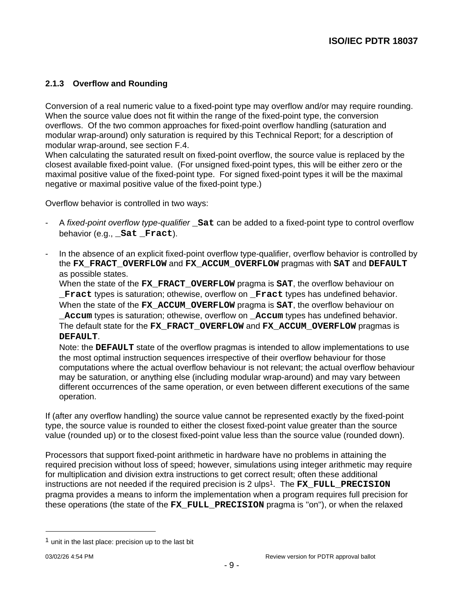# **2.1.3 Overflow and Rounding**

Conversion of a real numeric value to a fixed-point type may overflow and/or may require rounding. When the source value does not fit within the range of the fixed-point type, the conversion overflows. Of the two common approaches for fixed-point overflow handling (saturation and modular wrap-around) only saturation is required by this Technical Report; for a description of modular wrap-around, see section F.4.

When calculating the saturated result on fixed-point overflow, the source value is replaced by the closest available fixed-point value. (For unsigned fixed-point types, this will be either zero or the maximal positive value of the fixed-point type. For signed fixed-point types it will be the maximal negative or maximal positive value of the fixed-point type.)

Overflow behavior is controlled in two ways:

- A fixed-point overflow type-qualifier **\_Sat** can be added to a fixed-point type to control overflow behavior (e.g., **\_Sat \_Fract**).
- In the absence of an explicit fixed-point overflow type-qualifier, overflow behavior is controlled by the **FX\_FRACT\_OVERFLOW** and **FX\_ACCUM\_OVERFLOW** pragmas with **SAT** and **DEFAULT** as possible states.

When the state of the **FX\_FRACT\_OVERFLOW** pragma is **SAT**, the overflow behaviour on **Fract** types is saturation; othewise, overflow on **Fract** types has undefined behavior. When the state of the **FX\_ACCUM\_OVERFLOW** pragma is **SAT**, the overflow behaviour on **\_Accum** types is saturation; othewise, overflow on **\_Accum** types has undefined behavior. The default state for the **FX\_FRACT\_OVERFLOW** and **FX\_ACCUM\_OVERFLOW** pragmas is **DEFAULT**.

Note: the **DEFAULT** state of the overflow pragmas is intended to allow implementations to use the most optimal instruction sequences irrespective of their overflow behaviour for those computations where the actual overflow behaviour is not relevant; the actual overflow behaviour may be saturation, or anything else (including modular wrap-around) and may vary between different occurrences of the same operation, or even between different executions of the same operation.

If (after any overflow handling) the source value cannot be represented exactly by the fixed-point type, the source value is rounded to either the closest fixed-point value greater than the source value (rounded up) or to the closest fixed-point value less than the source value (rounded down).

Processors that support fixed-point arithmetic in hardware have no problems in attaining the required precision without loss of speed; however, simulations using integer arithmetic may require for multiplication and division extra instructions to get correct result; often these additional instructions are not needed if the required precision is 2 ulps <sup>1</sup>. The **FX\_FULL\_PRECISION** pragma provides a means to inform the implementation when a program requires full precision for these operations (the state of the **FX\_FULL\_PRECISION** pragma is ''on''), or when the relaxed

-

 $<sup>1</sup>$  unit in the last place: precision up to the last bit</sup>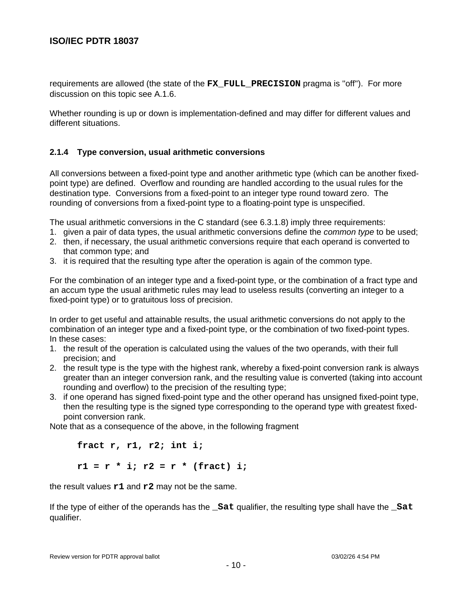requirements are allowed (the state of the **FX\_FULL\_PRECISION** pragma is ''off''). For more discussion on this topic see A.1.6.

Whether rounding is up or down is implementation-defined and may differ for different values and different situations.

#### **2.1.4 Type conversion, usual arithmetic conversions**

All conversions between a fixed-point type and another arithmetic type (which can be another fixedpoint type) are defined. Overflow and rounding are handled according to the usual rules for the destination type. Conversions from a fixed-point to an integer type round toward zero. The rounding of conversions from a fixed-point type to a floating-point type is unspecified.

The usual arithmetic conversions in the C standard (see 6.3.1.8) imply three requirements:

- 1. given a pair of data types, the usual arithmetic conversions define the *common type* to be used;
- 2. then, if necessary, the usual arithmetic conversions require that each operand is converted to that common type; and
- 3. it is required that the resulting type after the operation is again of the common type.

For the combination of an integer type and a fixed-point type, or the combination of a fract type and an accum type the usual arithmetic rules may lead to useless results (converting an integer to a fixed-point type) or to gratuitous loss of precision.

In order to get useful and attainable results, the usual arithmetic conversions do not apply to the combination of an integer type and a fixed-point type, or the combination of two fixed-point types. In these cases:

- 1. the result of the operation is calculated using the values of the two operands, with their full precision; and
- 2. the result type is the type with the highest rank, whereby a fixed-point conversion rank is always greater than an integer conversion rank, and the resulting value is converted (taking into account rounding and overflow) to the precision of the resulting type;
- 3. if one operand has signed fixed-point type and the other operand has unsigned fixed-point type, then the resulting type is the signed type corresponding to the operand type with greatest fixedpoint conversion rank.

Note that as a consequence of the above, in the following fragment

**fract r, r1, r2; int i; r1 = r \* i; r2 = r \* (fract) i;**

the result values **r1** and **r2** may not be the same.

If the type of either of the operands has the **\_Sat** qualifier, the resulting type shall have the **\_Sat** qualifier.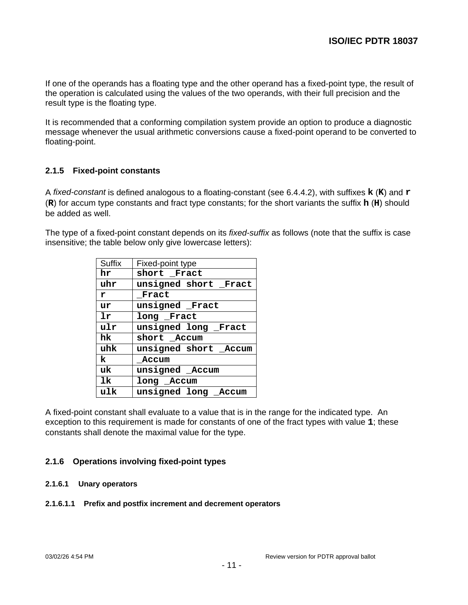If one of the operands has a floating type and the other operand has a fixed-point type, the result of the operation is calculated using the values of the two operands, with their full precision and the result type is the floating type.

It is recommended that a conforming compilation system provide an option to produce a diagnostic message whenever the usual arithmetic conversions cause a fixed-point operand to be converted to floating-point.

# **2.1.5 Fixed-point constants**

A fixed-constant is defined analogous to a floating-constant (see 6.4.4.2), with suffixes **k** (**K**) and **r** (**R**) for accum type constants and fract type constants; for the short variants the suffix **h** (**H**) should be added as well.

The type of a fixed-point constant depends on its fixed-suffix as follows (note that the suffix is case insensitive; the table below only give lowercase letters):

| <b>Suffix</b>    | Fixed-point type      |  |  |
|------------------|-----------------------|--|--|
| hr               | short Fract           |  |  |
| uhr              | unsigned short Fract  |  |  |
| r                | Fract                 |  |  |
| ur               | unsigned Fract        |  |  |
| 1r               | long Fract            |  |  |
| ulr              | unsigned long Fract   |  |  |
| hk               | short Accum           |  |  |
| uhk              | unsigned short _Accum |  |  |
| k                | Accum                 |  |  |
| uk               | unsigned _Accum       |  |  |
| 1k<br>long Accum |                       |  |  |
| ulk              | unsigned long Accum   |  |  |

A fixed-point constant shall evaluate to a value that is in the range for the indicated type. An exception to this requirement is made for constants of one of the fract types with value **1**; these constants shall denote the maximal value for the type.

#### **2.1.6 Operations involving fixed-point types**

#### **2.1.6.1 Unary operators**

#### **2.1.6.1.1 Prefix and postfix increment and decrement operators**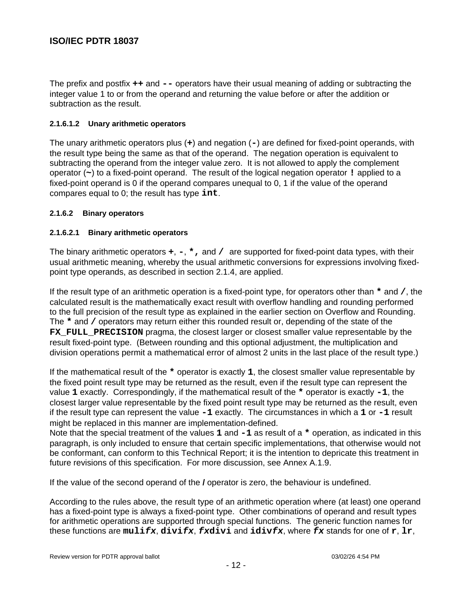The prefix and postfix **++** and **--** operators have their usual meaning of adding or subtracting the integer value 1 to or from the operand and returning the value before or after the addition or subtraction as the result.

## **2.1.6.1.2 Unary arithmetic operators**

The unary arithmetic operators plus (**+**) and negation (**-**) are defined for fixed-point operands, with the result type being the same as that of the operand. The negation operation is equivalent to subtracting the operand from the integer value zero. It is not allowed to apply the complement operator (**~**) to a fixed-point operand. The result of the logical negation operator **!** applied to a fixed-point operand is 0 if the operand compares unequal to 0, 1 if the value of the operand compares equal to 0; the result has type **int**.

#### **2.1.6.2 Binary operators**

#### **2.1.6.2.1 Binary arithmetic operators**

The binary arithmetic operators **+**, **-**, **\*,** and **/** are supported for fixed-point data types, with their usual arithmetic meaning, whereby the usual arithmetic conversions for expressions involving fixedpoint type operands, as described in section 2.1.4, are applied.

If the result type of an arithmetic operation is a fixed-point type, for operators other than **\*** and **/**, the calculated result is the mathematically exact result with overflow handling and rounding performed to the full precision of the result type as explained in the earlier section on Overflow and Rounding. The **\*** and **/** operators may return either this rounded result or, depending of the state of the **FX** FULL PRECISION pragma, the closest larger or closest smaller value representable by the result fixed-point type. (Between rounding and this optional adjustment, the multiplication and division operations permit a mathematical error of almost 2 units in the last place of the result type.)

If the mathematical result of the **\*** operator is exactly **1**, the closest smaller value representable by the fixed point result type may be returned as the result, even if the result type can represent the value **1** exactly. Correspondingly, if the mathematical result of the **\*** operator is exactly **-1**, the closest larger value representable by the fixed point result type may be returned as the result, even if the result type can represent the value **-1** exactly. The circumstances in which a **1** or **-1** result might be replaced in this manner are implementation-defined.

Note that the special treatment of the values 1 and  $-1$  as result of a  $*$  operation, as indicated in this paragraph, is only included to ensure that certain specific implementations, that otherwise would not be conformant, can conform to this Technical Report; it is the intention to depricate this treatment in future revisions of this specification. For more discussion, see Annex A.1.9.

If the value of the second operand of the **/** operator is zero, the behaviour is undefined.

According to the rules above, the result type of an arithmetic operation where (at least) one operand has a fixed-point type is always a fixed-point type. Other combinations of operand and result types for arithmetic operations are supported through special functions. The generic function names for these functions are **mulifx**, **divifx**, **fxdivi** and **idivfx**, where **fx** stands for one of **r**, **lr**,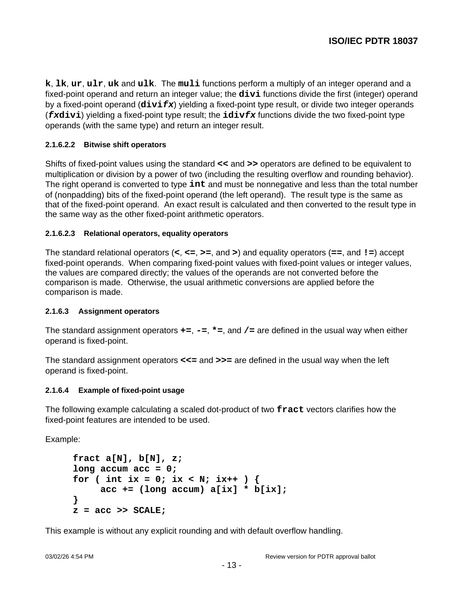**k**, **lk**, **ur**, **ulr**, **uk** and **ulk**. The **muli** functions perform a multiply of an integer operand and a fixed-point operand and return an integer value; the **divi** functions divide the first (integer) operand by a fixed-point operand (**divifx**) yielding a fixed-point type result, or divide two integer operands (**fxdivi**) yielding a fixed-point type result; the **idivfx** functions divide the two fixed-point type operands (with the same type) and return an integer result.

#### **2.1.6.2.2 Bitwise shift operators**

Shifts of fixed-point values using the standard **<<** and **>>** operators are defined to be equivalent to multiplication or division by a power of two (including the resulting overflow and rounding behavior). The right operand is converted to type **int** and must be nonnegative and less than the total number of (nonpadding) bits of the fixed-point operand (the left operand). The result type is the same as that of the fixed-point operand. An exact result is calculated and then converted to the result type in the same way as the other fixed-point arithmetic operators.

#### **2.1.6.2.3 Relational operators, equality operators**

The standard relational operators (**<**, **<=**, **>=**, and **>**) and equality operators (**==**, and **!=**) accept fixed-point operands. When comparing fixed-point values with fixed-point values or integer values, the values are compared directly; the values of the operands are not converted before the comparison is made. Otherwise, the usual arithmetic conversions are applied before the comparison is made.

#### **2.1.6.3 Assignment operators**

The standard assignment operators **+=**, **-=**, **\*=**, and **/=** are defined in the usual way when either operand is fixed-point.

The standard assignment operators **<<=** and **>>=** are defined in the usual way when the left operand is fixed-point.

#### **2.1.6.4 Example of fixed-point usage**

The following example calculating a scaled dot-product of two **fract** vectors clarifies how the fixed-point features are intended to be used.

Example:

```
fract a[N], b[N], z;
long accum acc = 0;
for ( int ix = 0; ix < N; ix++ ) {
     acc += (long accum) a[ix] * b[ix];
}
z = acc >> SCALE;
```
This example is without any explicit rounding and with default overflow handling.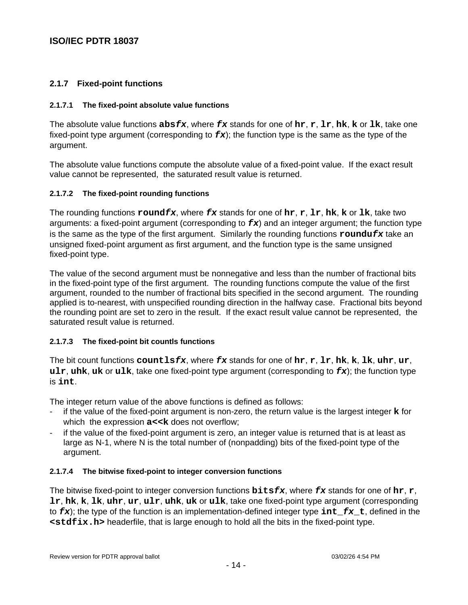# **2.1.7 Fixed-point functions**

#### **2.1.7.1 The fixed-point absolute value functions**

The absolute value functions **absfx**, where **fx** stands for one of **hr**, **r**, **lr**, **hk**, **k** or **lk**, take one fixed-point type argument (corresponding to **fx**); the function type is the same as the type of the argument.

The absolute value functions compute the absolute value of a fixed-point value. If the exact result value cannot be represented, the saturated result value is returned.

#### **2.1.7.2 The fixed-point rounding functions**

The rounding functions **roundfx**, where **fx** stands for one of **hr**, **r**, **lr**, **hk**, **k** or **lk**, take two arguments: a fixed-point argument (corresponding to **fx**) and an integer argument; the function type is the same as the type of the first argument. Similarly the rounding functions **roundufx** take an unsigned fixed-point argument as first argument, and the function type is the same unsigned fixed-point type.

The value of the second argument must be nonnegative and less than the number of fractional bits in the fixed-point type of the first argument. The rounding functions compute the value of the first argument, rounded to the number of fractional bits specified in the second argument. The rounding applied is to-nearest, with unspecified rounding direction in the halfway case. Fractional bits beyond the rounding point are set to zero in the result. If the exact result value cannot be represented, the saturated result value is returned.

#### **2.1.7.3 The fixed-point bit countls functions**

The bit count functions **countlsfx**, where **fx** stands for one of **hr**, **r**, **lr**, **hk**, **k**, **lk**, **uhr**, **ur**, **ulr**, **uhk**, **uk** or **ulk**, take one fixed-point type argument (corresponding to **fx**); the function type is **int**.

The integer return value of the above functions is defined as follows:

- if the value of the fixed-point argument is non-zero, the return value is the largest integer **k** for which the expression  $a \lt k$  does not overflow:
- if the value of the fixed-point argument is zero, an integer value is returned that is at least as large as N-1, where N is the total number of (nonpadding) bits of the fixed-point type of the argument.

#### **2.1.7.4 The bitwise fixed-point to integer conversion functions**

The bitwise fixed-point to integer conversion functions **bitsfx**, where **fx** stands for one of **hr**, **r**, **lr**, **hk**, **k**, **lk**, **uhr**, **ur**, **ulr**, **uhk**, **uk** or **ulk**, take one fixed-point type argument (corresponding to **fx**); the type of the function is an implementation-defined integer type **int\_fx\_t**, defined in the **<stdfix.h>** headerfile, that is large enough to hold all the bits in the fixed-point type.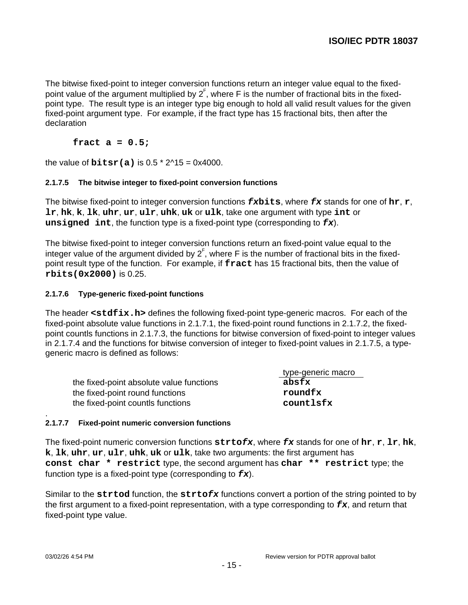The bitwise fixed-point to integer conversion functions return an integer value equal to the fixedpoint value of the argument multiplied by  $2^{\mathsf{F}}$ , where F is the number of fractional bits in the fixedpoint type. The result type is an integer type big enough to hold all valid result values for the given fixed-point argument type. For example, if the fract type has 15 fractional bits, then after the declaration

## **fract a = 0.5;**

the value of **bitsr(a)** is  $0.5 * 2^1 - 0 \times 4000$ .

#### **2.1.7.5 The bitwise integer to fixed-point conversion functions**

The bitwise fixed-point to integer conversion functions **fxbits**, where **fx** stands for one of **hr**, **r**, **lr**, **hk**, **k**, **lk**, **uhr**, **ur**, **ulr**, **uhk**, **uk** or **ulk**, take one argument with type **int** or **unsigned int**, the function type is a fixed-point type (corresponding to **fx**).

The bitwise fixed-point to integer conversion functions return an fixed-point value equal to the integer value of the argument divided by  $2^{\text{F}}$ , where F is the number of fractional bits in the fixedpoint result type of the function. For example, if **fract** has 15 fractional bits, then the value of **rbits(0x2000)** is 0.25.

#### **2.1.7.6 Type-generic fixed-point functions**

The header **<stdfix.h>** defines the following fixed-point type-generic macros. For each of the fixed-point absolute value functions in 2.1.7.1, the fixed-point round functions in 2.1.7.2, the fixedpoint countls functions in 2.1.7.3, the functions for bitwise conversion of fixed-point to integer values in 2.1.7.4 and the functions for bitwise conversion of integer to fixed-point values in 2.1.7.5, a typegeneric macro is defined as follows:

|                                          | type-generic macro |
|------------------------------------------|--------------------|
| the fixed-point absolute value functions | absfx              |
| the fixed-point round functions          | roundfx            |
| the fixed-point countls functions        | countlsfx          |

#### . **2.1.7.7 Fixed-point numeric conversion functions**

The fixed-point numeric conversion functions **strtofx**, where **fx** stands for one of **hr**, **r**, **lr**, **hk**, **k**, **lk**, **uhr**, **ur**, **ulr**, **uhk**, **uk** or **ulk**, take two arguments: the first argument has **const char \* restrict** type, the second argument has **char \*\* restrict** type; the function type is a fixed-point type (corresponding to **fx**).

Similar to the **strtod** function, the **strtofx** functions convert a portion of the string pointed to by the first argument to a fixed-point representation, with a type corresponding to **fx**, and return that fixed-point type value.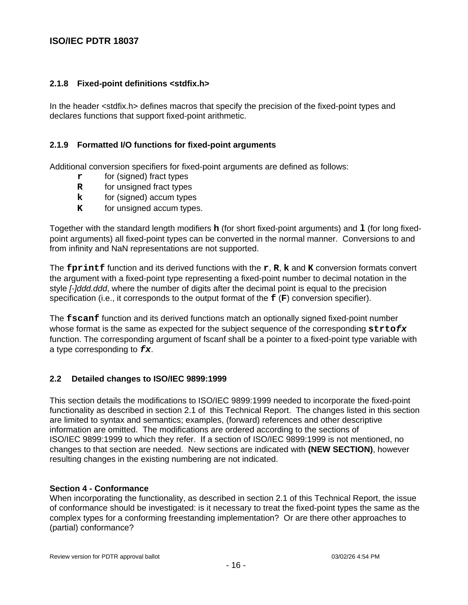## **2.1.8 Fixed-point definitions <stdfix.h>**

In the header <stdfix.h> defines macros that specify the precision of the fixed-point types and declares functions that support fixed-point arithmetic.

## **2.1.9 Formatted I/O functions for fixed-point arguments**

Additional conversion specifiers for fixed-point arguments are defined as follows:

- **r** for (signed) fract types
- **R** for unsigned fract types
- **k** for (signed) accum types
- **K** for unsigned accum types.

Together with the standard length modifiers **h** (for short fixed-point arguments) and **l** (for long fixedpoint arguments) all fixed-point types can be converted in the normal manner. Conversions to and from infinity and NaN representations are not supported.

The **fprintf** function and its derived functions with the **r**, **R**, **k** and **K** conversion formats convert the argument with a fixed-point type representing a fixed-point number to decimal notation in the style *[-]ddd.ddd*, where the number of digits after the decimal point is equal to the precision specification (i.e., it corresponds to the output format of the **f** (**F**) conversion specifier).

The **fscanf** function and its derived functions match an optionally signed fixed-point number whose format is the same as expected for the subject sequence of the corresponding **strtofx** function. The corresponding argument of fscanf shall be a pointer to a fixed-point type variable with a type corresponding to **fx**.

#### **2.2 Detailed changes to ISO/IEC 9899:1999**

This section details the modifications to ISO/IEC 9899:1999 needed to incorporate the fixed-point functionality as described in section 2.1 of this Technical Report. The changes listed in this section are limited to syntax and semantics; examples, (forward) references and other descriptive information are omitted. The modifications are ordered according to the sections of ISO/IEC 9899:1999 to which they refer. If a section of ISO/IEC 9899:1999 is not mentioned, no changes to that section are needed. New sections are indicated with **(NEW SECTION)**, however resulting changes in the existing numbering are not indicated.

#### **Section 4 - Conformance**

When incorporating the functionality, as described in section 2.1 of this Technical Report, the issue of conformance should be investigated: is it necessary to treat the fixed-point types the same as the complex types for a conforming freestanding implementation? Or are there other approaches to (partial) conformance?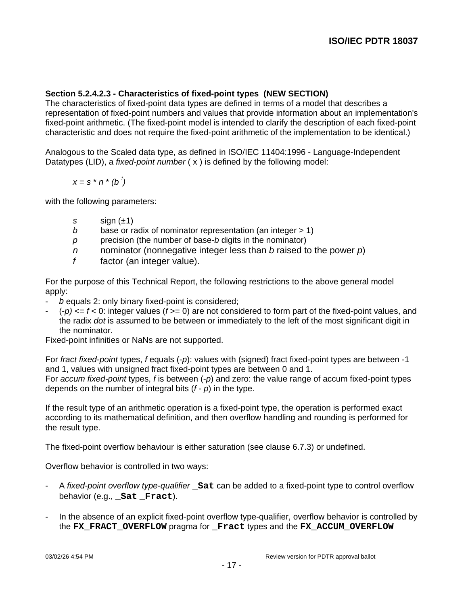# **Section 5.2.4.2.3 - Characteristics of fixed-point types (NEW SECTION)**

The characteristics of fixed-point data types are defined in terms of a model that describes a representation of fixed-point numbers and values that provide information about an implementation's fixed-point arithmetic. (The fixed-point model is intended to clarify the description of each fixed-point characteristic and does not require the fixed-point arithmetic of the implementation to be identical.)

Analogous to the Scaled data type, as defined in ISO/IEC 11404:1996 - Language-Independent Datatypes (LID), a *fixed-point number*  $(x)$  is defined by the following model:

$$
x = s * n * (b')
$$

with the following parameters:

- s sign  $(\pm 1)$
- b base or radix of nominator representation (an integer  $> 1$ )
- $p$  precision (the number of base-b digits in the nominator)
- $n$  nominator (nonnegative integer less than b raised to the power  $p$ )
- $f$  factor (an integer value).

For the purpose of this Technical Report, the following restrictions to the above general model apply:

- $b$  equals 2: only binary fixed-point is considered;
- $-$  (-p)  $\leq f < 0$ : integer values (f  $>= 0$ ) are not considered to form part of the fixed-point values, and the radix dot is assumed to be between or immediately to the left of the most significant digit in the nominator.

Fixed-point infinities or NaNs are not supported.

For fract fixed-point types, f equals (-p): values with (signed) fract fixed-point types are between -1 and 1, values with unsigned fract fixed-point types are between 0 and 1. For accum fixed-point types, f is between  $(-p)$  and zero: the value range of accum fixed-point types depends on the number of integral bits  $(f - p)$  in the type.

If the result type of an arithmetic operation is a fixed-point type, the operation is performed exact according to its mathematical definition, and then overflow handling and rounding is performed for the result type.

The fixed-point overflow behaviour is either saturation (see clause 6.7.3) or undefined.

Overflow behavior is controlled in two ways:

- A fixed-point overflow type-qualifier **\_Sat** can be added to a fixed-point type to control overflow behavior (e.g., **Sat Fract**).
- In the absence of an explicit fixed-point overflow type-qualifier, overflow behavior is controlled by the **FX\_FRACT\_OVERFLOW** pragma for **\_Fract** types and the **FX\_ACCUM\_OVERFLOW**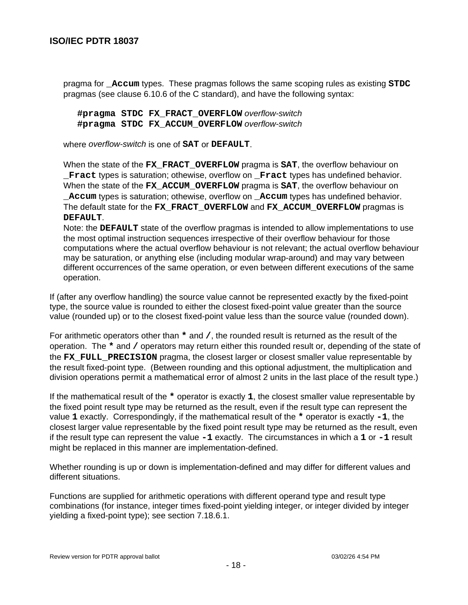pragma for **\_Accum** types. These pragmas follows the same scoping rules as existing **STDC** pragmas (see clause 6.10.6 of the C standard), and have the following syntax:

**#pragma STDC FX\_FRACT\_OVERFLOW** overflow-switch **#pragma STDC FX\_ACCUM\_OVERFLOW** overflow-switch

where overflow-switch is one of **SAT** or **DEFAULT**.

When the state of the **FX\_FRACT\_OVERFLOW** pragma is **SAT**, the overflow behaviour on **\_Fract** types is saturation; othewise, overflow on **\_Fract** types has undefined behavior. When the state of the **FX\_ACCUM\_OVERFLOW** pragma is **SAT**, the overflow behaviour on **\_Accum** types is saturation; othewise, overflow on **\_Accum** types has undefined behavior. The default state for the **FX\_FRACT\_OVERFLOW** and **FX\_ACCUM\_OVERFLOW** pragmas is **DEFAULT**.

Note: the **DEFAULT** state of the overflow pragmas is intended to allow implementations to use the most optimal instruction sequences irrespective of their overflow behaviour for those computations where the actual overflow behaviour is not relevant; the actual overflow behaviour may be saturation, or anything else (including modular wrap-around) and may vary between different occurrences of the same operation, or even between different executions of the same operation.

If (after any overflow handling) the source value cannot be represented exactly by the fixed-point type, the source value is rounded to either the closest fixed-point value greater than the source value (rounded up) or to the closest fixed-point value less than the source value (rounded down).

For arithmetic operators other than **\*** and **/**, the rounded result is returned as the result of the operation. The **\*** and **/** operators may return either this rounded result or, depending of the state of the **FX\_FULL\_PRECISION** pragma, the closest larger or closest smaller value representable by the result fixed-point type. (Between rounding and this optional adjustment, the multiplication and division operations permit a mathematical error of almost 2 units in the last place of the result type.)

If the mathematical result of the **\*** operator is exactly **1**, the closest smaller value representable by the fixed point result type may be returned as the result, even if the result type can represent the value **1** exactly. Correspondingly, if the mathematical result of the **\*** operator is exactly **-1**, the closest larger value representable by the fixed point result type may be returned as the result, even if the result type can represent the value **-1** exactly. The circumstances in which a **1** or **-1** result might be replaced in this manner are implementation-defined.

Whether rounding is up or down is implementation-defined and may differ for different values and different situations.

Functions are supplied for arithmetic operations with different operand type and result type combinations (for instance, integer times fixed-point yielding integer, or integer divided by integer yielding a fixed-point type); see section 7.18.6.1.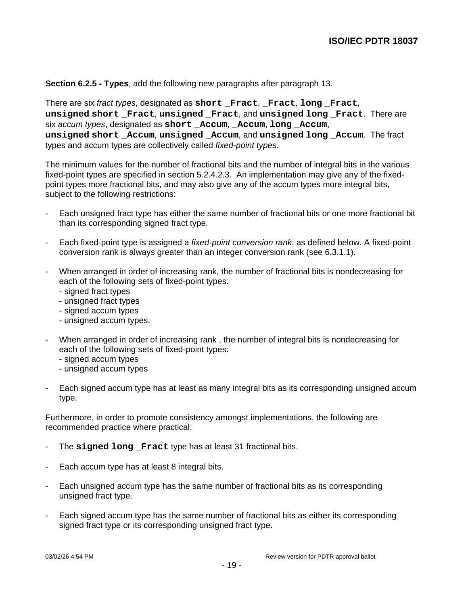#### **Section 6.2.5 - Types**, add the following new paragraphs after paragraph 13.

There are six fract types, designated as **short \_Fract**, **\_Fract**, **long \_Fract**, **unsigned short \_Fract**, **unsigned \_Fract**, and **unsigned long \_Fract**. There are six accum types, designated as short **Accum**, **Accum**, **long Accum**, **unsigned short \_Accum**, **unsigned \_Accum**, and **unsigned long \_Accum**. The fract types and accum types are collectively called fixed-point types.

The minimum values for the number of fractional bits and the number of integral bits in the various fixed-point types are specified in section 5.2.4.2.3. An implementation may give any of the fixedpoint types more fractional bits, and may also give any of the accum types more integral bits, subject to the following restrictions:

- Each unsigned fract type has either the same number of fractional bits or one more fractional bit than its corresponding signed fract type.
- Each fixed-point type is assigned a *fixed-point conversion rank*, as defined below. A fixed-point conversion rank is always greater than an integer conversion rank (see 6.3.1.1).
- When arranged in order of increasing rank, the number of fractional bits is nondecreasing for each of the following sets of fixed-point types:
	- signed fract types
	- unsigned fract types
	- signed accum types
	- unsigned accum types.
- When arranged in order of increasing rank , the number of integral bits is nondecreasing for each of the following sets of fixed-point types:
	- signed accum types
	- unsigned accum types
- Each signed accum type has at least as many integral bits as its corresponding unsigned accum type.

Furthermore, in order to promote consistency amongst implementations, the following are recommended practice where practical:

- The **signed long \_Fract** type has at least 31 fractional bits.
- Each accum type has at least 8 integral bits.
- Each unsigned accum type has the same number of fractional bits as its corresponding unsigned fract type.
- Each signed accum type has the same number of fractional bits as either its corresponding signed fract type or its corresponding unsigned fract type.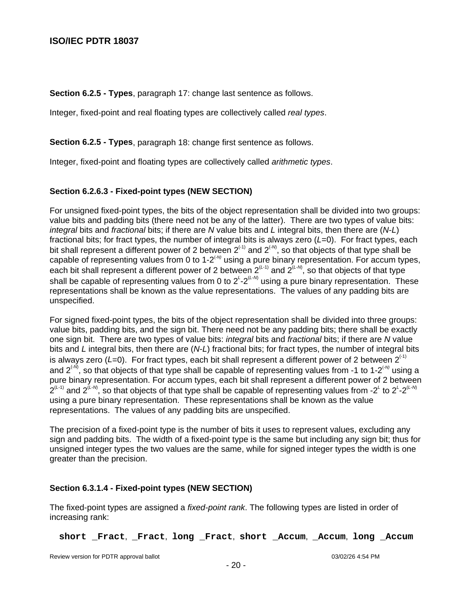**Section 6.2.5 - Types**, paragraph 17: change last sentence as follows.

Integer, fixed-point and real floating types are collectively called real types.

**Section 6.2.5 - Types**, paragraph 18: change first sentence as follows.

Integer, fixed-point and floating types are collectively called arithmetic types.

## **Section 6.2.6.3 - Fixed-point types (NEW SECTION)**

For unsigned fixed-point types, the bits of the object representation shall be divided into two groups: value bits and padding bits (there need not be any of the latter). There are two types of value bits: integral bits and fractional bits; if there are N value bits and L integral bits, then there are  $(N-L)$ fractional bits; for fract types, the number of integral bits is always zero  $(L=0)$ . For fract types, each bit shall represent a different power of 2 between 2 $^{(1)}$  and 2 $^{(M)}$ , so that objects of that type shall be capable of representing values from 0 to 1-2<sup> $\text{ew}$ </sup> using a pure binary representation. For accum types, each bit shall represent a different power of 2 between  $2^{(L\text{-}1)}$  and  $2^{(L\text{-}1)}$ , so that objects of that type shall be capable of representing values from 0 to 2<sup>L</sup>-2<sup>(L-M)</sup> using a pure binary representation. These representations shall be known as the value representations. The values of any padding bits are unspecified.

For signed fixed-point types, the bits of the object representation shall be divided into three groups: value bits, padding bits, and the sign bit. There need not be any padding bits; there shall be exactly one sign bit. There are two types of value bits: *integral* bits and fractional bits; if there are N value bits and L integral bits, then there are  $(N-L)$  fractional bits; for fract types, the number of integral bits is always zero (L=0). For fract types, each bit shall represent a different power of 2 between  $2^{(+)}$ and 2<sup> $\cdot$ M</sup>, so that objects of that type shall be capable of representing values from -1 to 1-2 $\cdot$ MU using a pure binary representation. For accum types, each bit shall represent a different power of 2 between  $2^{(L-1)}$  and  $2^{(L\text{-}M)}$ , so that objects of that type shall be capable of representing values from -2<sup>L</sup> to 2<sup>L</sup>-2<sup>(L-M</sup> using a pure binary representation. These representations shall be known as the value representations. The values of any padding bits are unspecified.

The precision of a fixed-point type is the number of bits it uses to represent values, excluding any sign and padding bits. The width of a fixed-point type is the same but including any sign bit; thus for unsigned integer types the two values are the same, while for signed integer types the width is one greater than the precision.

#### **Section 6.3.1.4 - Fixed-point types (NEW SECTION)**

The fixed-point types are assigned a fixed-point rank. The following types are listed in order of increasing rank:

**short \_Fract**, **\_Fract**, **long \_Fract**, **short \_Accum**, **\_Accum**, **long \_Accum**

Review version for PDTR approval ballot 03/02/26 4:54 PM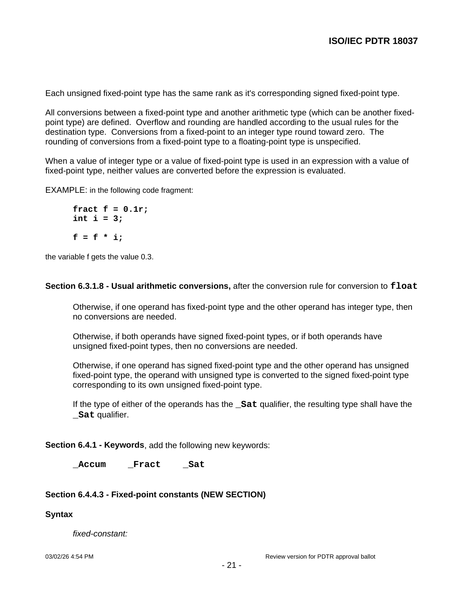Each unsigned fixed-point type has the same rank as it's corresponding signed fixed-point type.

All conversions between a fixed-point type and another arithmetic type (which can be another fixedpoint type) are defined. Overflow and rounding are handled according to the usual rules for the destination type. Conversions from a fixed-point to an integer type round toward zero. The rounding of conversions from a fixed-point type to a floating-point type is unspecified.

When a value of integer type or a value of fixed-point type is used in an expression with a value of fixed-point type, neither values are converted before the expression is evaluated.

EXAMPLE: in the following code fragment:

**fract f = 0.1r; int i = 3;**  $f = f * i;$ 

the variable f gets the value 0.3.

**Section 6.3.1.8 - Usual arithmetic conversions,** after the conversion rule for conversion to **float**

Otherwise, if one operand has fixed-point type and the other operand has integer type, then no conversions are needed.

Otherwise, if both operands have signed fixed-point types, or if both operands have unsigned fixed-point types, then no conversions are needed.

Otherwise, if one operand has signed fixed-point type and the other operand has unsigned fixed-point type, the operand with unsigned type is converted to the signed fixed-point type corresponding to its own unsigned fixed-point type.

If the type of either of the operands has the **\_Sat** qualifier, the resulting type shall have the **\_Sat** qualifier.

**Section 6.4.1 - Keywords**, add the following new keywords:

**\_Accum \_Fract \_Sat**

#### **Section 6.4.4.3 - Fixed-point constants (NEW SECTION)**

**Syntax**

fixed-constant: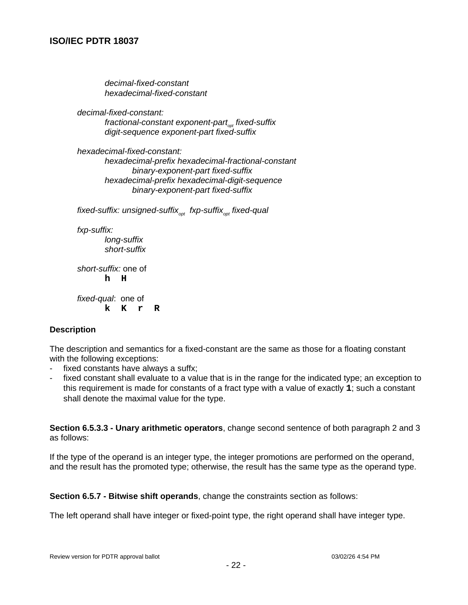decimal-fixed-constant hexadecimal-fixed-constant

decimal-fixed-constant: fractional-constant exponent-part<sub>or</sub>, fixed-suffix digit-sequence exponent-part fixed-suffix

hexadecimal-fixed-constant: hexadecimal-prefix hexadecimal-fractional-constant binary-exponent-part fixed-suffix hexadecimal-prefix hexadecimal-digit-sequence binary-exponent-part fixed-suffix

fixed-suffix: unsigned-suffix<sub>opt</sub> fxp-suffix<sub>opt</sub> fixed-qual

fxp-suffix:

long-suffix short-suffix

short-suffix: one of **h H**

fixed-qual: one of **k K r R**

#### **Description**

The description and semantics for a fixed-constant are the same as those for a floating constant with the following exceptions:

- fixed constants have always a suffx;
- fixed constant shall evaluate to a value that is in the range for the indicated type; an exception to this requirement is made for constants of a fract type with a value of exactly **1**; such a constant shall denote the maximal value for the type.

**Section 6.5.3.3 - Unary arithmetic operators**, change second sentence of both paragraph 2 and 3 as follows:

If the type of the operand is an integer type, the integer promotions are performed on the operand, and the result has the promoted type; otherwise, the result has the same type as the operand type.

**Section 6.5.7 - Bitwise shift operands**, change the constraints section as follows:

The left operand shall have integer or fixed-point type, the right operand shall have integer type.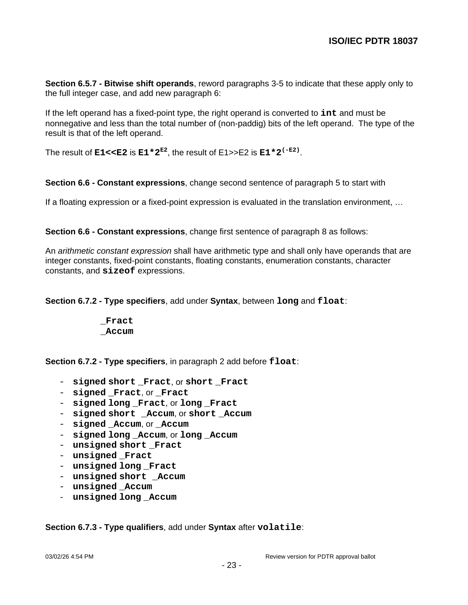**Section 6.5.7 - Bitwise shift operands**, reword paragraphs 3-5 to indicate that these apply only to the full integer case, and add new paragraph 6:

If the left operand has a fixed-point type, the right operand is converted to **int** and must be nonnegative and less than the total number of (non-paddig) bits of the left operand. The type of the result is that of the left operand.

The result of  $\texttt{E1< is  $\texttt{E1*2}^{\texttt{E2}},$  the result of E1>>E2 is  $\texttt{E1*2}^{\texttt{(-E2)}}.$$ 

**Section 6.6 - Constant expressions**, change second sentence of paragraph 5 to start with

If a floating expression or a fixed-point expression is evaluated in the translation environment, …

**Section 6.6 - Constant expressions**, change first sentence of paragraph 8 as follows:

An *arithmetic constant expression* shall have arithmetic type and shall only have operands that are integer constants, fixed-point constants, floating constants, enumeration constants, character constants, and **sizeof** expressions.

**Section 6.7.2 - Type specifiers**, add under **Syntax**, between **long** and **float**:

**\_Fract \_Accum**

**Section 6.7.2 - Type specifiers**, in paragraph 2 add before **float**:

- **signed short \_Fract**, or **short \_Fract**
- signed **Fract**, or **Fract**
- **signed long \_Fract**, or **long \_Fract**
- signed short Accum, or short Accum
- **signed \_Accum**, or **\_Accum**
- signed long Accum, or long Accum
- unsigned short **Fract**
- **unsigned Fract**
- **unsigned long \_Fract**
- **unsigned short \_Accum**
- **unsigned \_Accum**
- **unsigned long \_Accum**

**Section 6.7.3 - Type qualifiers**, add under **Syntax** after **volatile**: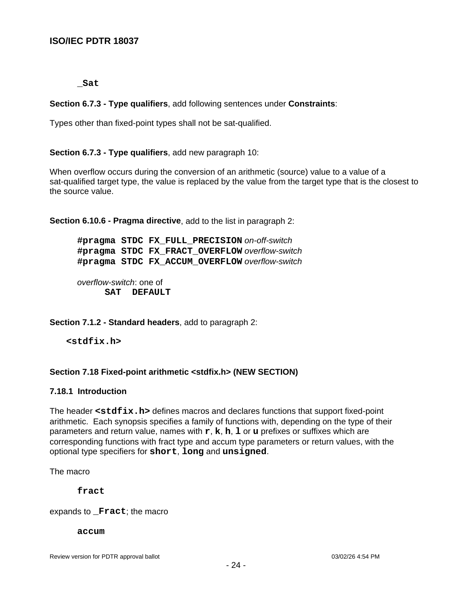**\_Sat**

**Section 6.7.3 - Type qualifiers**, add following sentences under **Constraints**:

Types other than fixed-point types shall not be sat-qualified.

**Section 6.7.3 - Type qualifiers**, add new paragraph 10:

When overflow occurs during the conversion of an arithmetic (source) value to a value of a sat-qualified target type, the value is replaced by the value from the target type that is the closest to the source value.

**Section 6.10.6 - Pragma directive**, add to the list in paragraph 2:

**#pragma STDC FX\_FULL\_PRECISION** on-off-switch **#pragma STDC FX\_FRACT\_OVERFLOW** overflow-switch **#pragma STDC FX\_ACCUM\_OVERFLOW** overflow-switch

overflow-switch: one of **SAT DEFAULT**

**Section 7.1.2 - Standard headers**, add to paragraph 2:

**<stdfix.h>**

#### **Section 7.18 Fixed-point arithmetic <stdfix.h> (NEW SECTION)**

#### **7.18.1 Introduction**

The header **<stdfix.h>** defines macros and declares functions that support fixed-point arithmetic. Each synopsis specifies a family of functions with, depending on the type of their parameters and return value, names with **r**, **k**, **h**, **l** or **u** prefixes or suffixes which are corresponding functions with fract type and accum type parameters or return values, with the optional type specifiers for **short**, **long** and **unsigned**.

The macro

**fract**

expands to **\_Fract**; the macro

**accum**

Review version for PDTR approval ballot 03/02/26 4:54 PM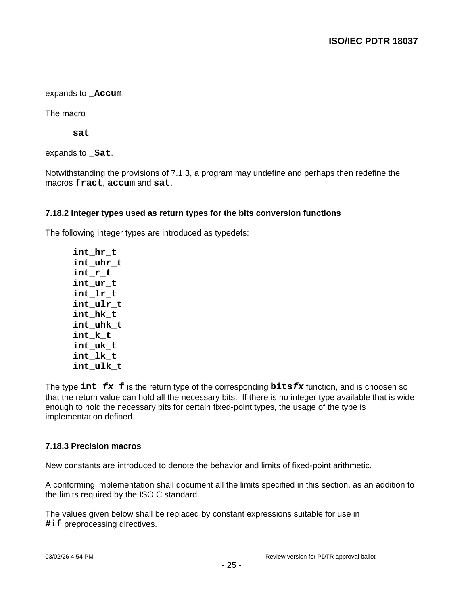expands to **\_Accum**.

The macro

**sat**

expands to **Sat**.

Notwithstanding the provisions of 7.1.3, a program may undefine and perhaps then redefine the macros **fract**, **accum** and **sat**.

#### **7.18.2 Integer types used as return types for the bits conversion functions**

The following integer types are introduced as typedefs:

**int\_hr\_t int\_uhr\_t int\_r\_t int\_ur\_t int\_lr\_t int\_ulr\_t int\_hk\_t int\_uhk\_t int\_k\_t int\_uk\_t int\_lk\_t int\_ulk\_t**

The type **int\_fx\_f** is the return type of the corresponding **bitsfx** function, and is choosen so that the return value can hold all the necessary bits. If there is no integer type available that is wide enough to hold the necessary bits for certain fixed-point types, the usage of the type is implementation defined.

#### **7.18.3 Precision macros**

New constants are introduced to denote the behavior and limits of fixed-point arithmetic.

A conforming implementation shall document all the limits specified in this section, as an addition to the limits required by the ISO C standard.

The values given below shall be replaced by constant expressions suitable for use in **#if** preprocessing directives.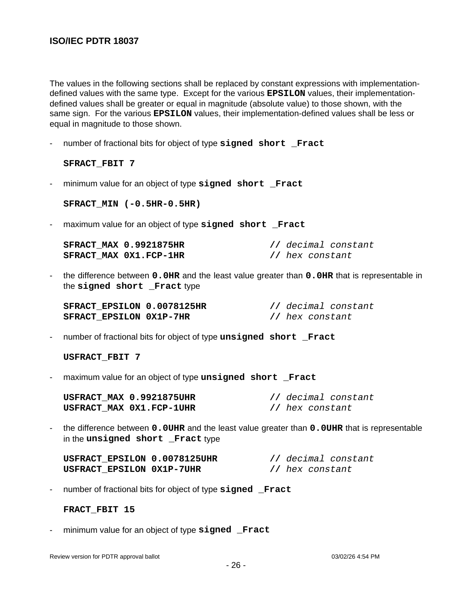The values in the following sections shall be replaced by constant expressions with implementationdefined values with the same type. Except for the various **EPSILON** values, their implementationdefined values shall be greater or equal in magnitude (absolute value) to those shown, with the same sign. For the various **EPSILON** values, their implementation-defined values shall be less or equal in magnitude to those shown.

number of fractional bits for object of type signed short Fract

**SFRACT\_FBIT 7**

- minimum value for an object of type **signed short \_Fract**

**SFRACT\_MIN (-0.5HR-0.5HR)**

- maximum value for an object of type signed short Fract

| <b>SFRACT MAX 0.9921875HR</b> | // decimal constant |
|-------------------------------|---------------------|
| SFRACT MAX 0X1.FCP-1HR        | // hex constant     |

- the difference between **0.0HR** and the least value greater than **0.0HR** that is representable in the **signed short \_Fract** type

| SFRACT EPSILON 0.0078125HR     |  |                 | // decimal constant |
|--------------------------------|--|-----------------|---------------------|
| <b>SFRACT EPSILON 0X1P-7HR</b> |  | // hex constant |                     |

- number of fractional bits for object of type **unsigned short \_Fract**

**USFRACT\_FBIT 7**

- maximum value for an object of type **unsigned short \_Fract**

| USFRACT MAX 0.9921875UHR | // decimal constant |
|--------------------------|---------------------|
| USFRACT MAX 0X1.FCP-1UHR | // hex constant     |

- the difference between **0.0UHR** and the least value greater than **0.0UHR** that is representable in the **unsigned** short Fract type

| USFRACT EPSILON 0.0078125UHR | // decimal constant |
|------------------------------|---------------------|
| USFRACT EPSILON 0X1P-7UHR    | // hex constant     |

- number of fractional bits for object of type **signed \_Fract**

**FRACT\_FBIT 15**

- minimum value for an object of type **signed \_Fract**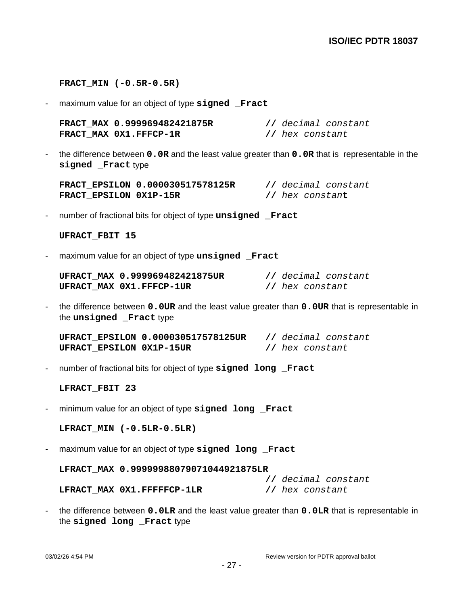#### **FRACT\_MIN (-0.5R-0.5R)**

- maximum value for an object of type **signed \_Fract**

| FRACT MAX 0.999969482421875R |                 | // decimal constant |
|------------------------------|-----------------|---------------------|
| FRACT MAX 0X1.FFFCP-1R       | // hex constant |                     |

- the difference between **0.0R** and the least value greater than **0.0R** that is representable in the **signed \_Fract** type

**FRACT\_EPSILON 0.000030517578125R //** decimal constant **FRACT\_EPSILON 0X1P-15R //** hex constan**t**

- number of fractional bits for object of type **unsigned \_Fract**

#### **UFRACT\_FBIT 15**

- maximum value for an object of type **unsigned \_Fract**

| UFRACT MAX 0.999969482421875UR |                 | // decimal constant |
|--------------------------------|-----------------|---------------------|
| UFRACT MAX 0X1.FFFCP-1UR       | // hex constant |                     |

- the difference between **0.0UR** and the least value greater than **0.0UR** that is representable in the **unsigned \_Fract** type

**UFRACT\_EPSILON 0.000030517578125UR //** decimal constant **UFRACT\_EPSILON 0X1P-15UR //** hex constant

- number of fractional bits for object of type **signed long \_Fract**

#### **LFRACT\_FBIT 23**

- minimum value for an object of type **signed long \_Fract**

**LFRACT\_MIN (-0.5LR-0.5LR)**

- maximum value for an object of type **signed long \_Fract**

#### **LFRACT\_MAX 0.99999988079071044921875LR**

**//** decimal constant **LFRACT\_MAX 0X1.FFFFFCP-1LR //** hex constant

- the difference between **0.0LR** and the least value greater than **0.0LR** that is representable in the signed long Fract type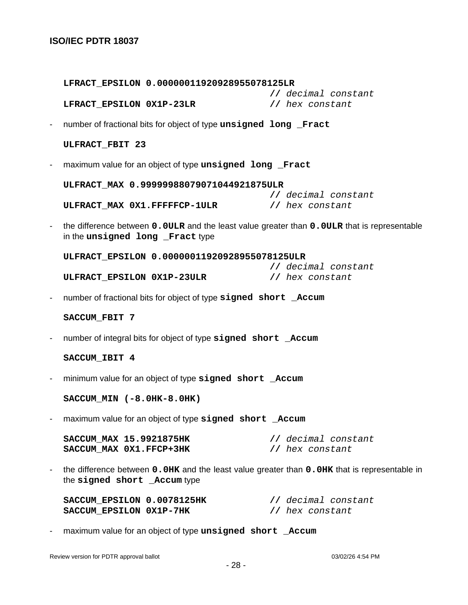|                          | LFRACT_EPSILON  0.00000011920928955078125LR                                                                                    |                                        |
|--------------------------|--------------------------------------------------------------------------------------------------------------------------------|----------------------------------------|
|                          | LFRACT EPSILON 0X1P-23LR                                                                                                       | // decimal constant<br>// hex constant |
|                          | number of fractional bits for object of type unsigned long Fract                                                               |                                        |
|                          | ULFRACT_FBIT 23                                                                                                                |                                        |
| $\overline{\phantom{a}}$ | maximum value for an object of type unsigned long Fract                                                                        |                                        |
|                          | ULFRACT MAX 0.99999988079071044921875ULR                                                                                       |                                        |
|                          | ULFRACT_MAX 0X1.FFFFFCP-1ULR // hex constant                                                                                   | // decimal constant                    |
| $\overline{\phantom{a}}$ | the difference between 0.0ULR and the least value greater than 0.0ULR that is representable<br>in the unsigned long Fract type |                                        |
|                          | ULFRACT_EPSILON 0.00000011920928955078125ULR                                                                                   |                                        |
|                          | ULFRACT_EPSILON 0X1P-23ULR                                                                                                     | // decimal constant<br>// hex constant |
| $\overline{\phantom{a}}$ | number of fractional bits for object of type signed short _Accum                                                               |                                        |
|                          | SACCUM FBIT 7                                                                                                                  |                                        |
| $\overline{\phantom{a}}$ | number of integral bits for object of type signed short _Accum                                                                 |                                        |
|                          | SACCUM_IBIT 4                                                                                                                  |                                        |
| $\overline{\phantom{a}}$ | minimum value for an object of type signed short _Accum                                                                        |                                        |
|                          | SACCUM_MIN (-8.0HK-8.0HK)                                                                                                      |                                        |
|                          | maximum value for an object of type signed short _Accum                                                                        |                                        |
|                          | SACCUM MAX 15.9921875HK<br>SACCUM MAX 0X1.FFCP+3HK                                                                             | // decimal constant<br>// hex constant |
| $\overline{\phantom{a}}$ | the difference between 0.0HK and the least value greater than 0.0HK that is representable in<br>the signed short _Accum type   |                                        |
|                          | SACCUM_EPSILON 0.0078125HK<br>SACCUM_EPSILON 0X1P-7HK                                                                          | // decimal constant<br>// hex constant |

- maximum value for an object of type **unsigned short \_Accum**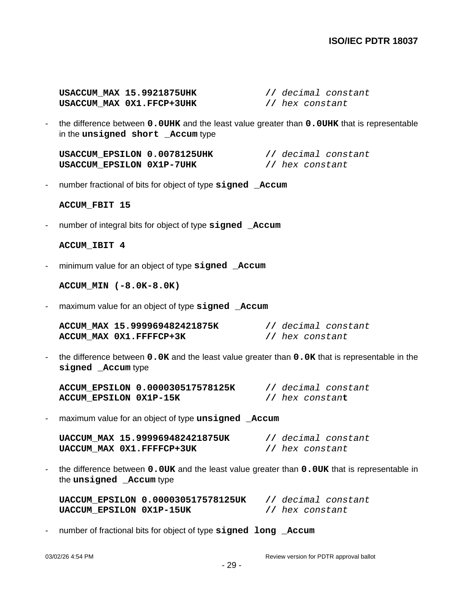**USACCUM\_MAX 15.9921875UHK //** decimal constant **USACCUM\_MAX 0X1.FFCP+3UHK //** hex constant

- the difference between **0.0UHK** and the least value greater than **0.0UHK** that is representable in the **unsigned short \_Accum** type

**USACCUM\_EPSILON 0.0078125UHK //** decimal constant **USACCUM\_EPSILON 0X1P-7UHK //** hex constant

- number fractional of bits for object of type **signed \_Accum**

**ACCUM\_FBIT 15**

- number of integral bits for object of type **signed \_Accum**

**ACCUM\_IBIT 4**

- minimum value for an object of type **signed \_Accum**

**ACCUM\_MIN (-8.0K-8.0K)**

- maximum value for an object of type **signed \_Accum**

| ACCUM MAX 15.999969482421875K |                 | // decimal constant |
|-------------------------------|-----------------|---------------------|
| ACCUM MAX 0X1.FFFFCP+3K       | // hex constant |                     |

- the difference between **0.0K** and the least value greater than **0.0K** that is representable in the **signed \_Accum** type

**ACCUM\_EPSILON 0.000030517578125K //** decimal constant **ACCUM\_EPSILON 0X1P-15K //** hex constan**t**

- maximum value for an object of type **unsigned \_Accum**

| UACCUM MAX 15.999969482421875UK |                 | // decimal constant |
|---------------------------------|-----------------|---------------------|
| UACCUM MAX 0X1.FFFFCP+3UK       | // hex constant |                     |

- the difference between **0.0UK** and the least value greater than **0.0UK** that is representable in the **unsigned \_Accum** type

|                          | UACCUM EPSILON 0.000030517578125UK |                 | // decimal constant |
|--------------------------|------------------------------------|-----------------|---------------------|
| UACCUM EPSILON 0X1P-15UK |                                    | // hex constant |                     |

- number of fractional bits for object of type **signed long \_Accum**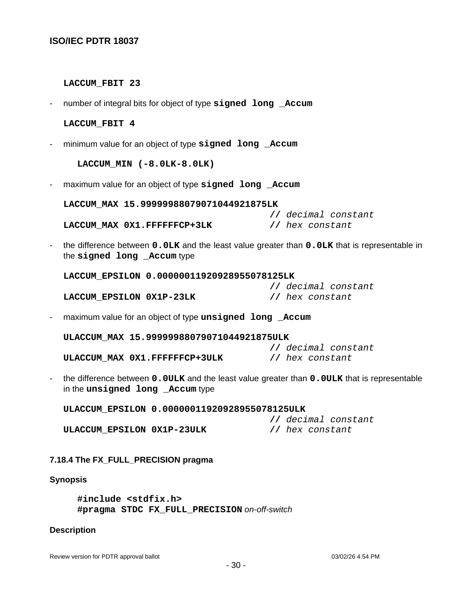#### **LACCUM\_FBIT 23**

- number of integral bits for object of type **signed long \_Accum**

#### **LACCUM\_FBIT 4**

- minimum value for an object of type **signed long \_Accum**

**LACCUM\_MIN (-8.0LK-8.0LK)**

- maximum value for an object of type **signed long \_Accum**

**LACCUM\_MAX 15.99999988079071044921875LK**

**//** decimal constant **LACCUM\_MAX 0X1.FFFFFFCP+3LK //** hex constant

- the difference between **0.0LK** and the least value greater than **0.0LK** that is representable in the **signed long \_Accum** type

**LACCUM\_EPSILON 0.00000011920928955078125LK**

|                          |  |                 | // decimal constant |
|--------------------------|--|-----------------|---------------------|
| LACCUM EPSILON 0X1P-23LK |  | // hex constant |                     |

- maximum value for an object of type **unsigned long \_Accum**

**ULACCUM\_MAX 15.99999988079071044921875ULK //** decimal constant **ULACCUM\_MAX 0X1.FFFFFFCP+3ULK //** hex constant

- the difference between **0.0ULK** and the least value greater than **0.0ULK** that is representable in the **unsigned long \_Accum** type

**ULACCUM\_EPSILON 0.00000011920928955078125ULK //** decimal constant **ULACCUM\_EPSILON 0X1P-23ULK //** hex constant

#### **7.18.4 The FX\_FULL\_PRECISION pragma**

#### **Synopsis**

**#include <stdfix.h> #pragma STDC FX\_FULL\_PRECISION** on-off-switch

#### **Description**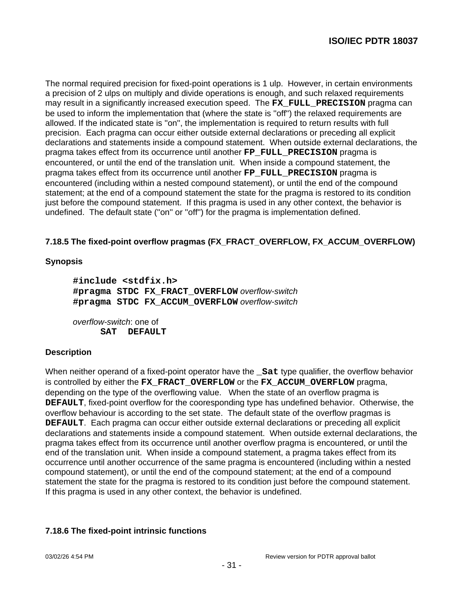The normal required precision for fixed-point operations is 1 ulp. However, in certain environments a precision of 2 ulps on multiply and divide operations is enough, and such relaxed requirements may result in a significantly increased execution speed. The **FX\_FULL\_PRECISION** pragma can be used to inform the implementation that (where the state is ''off'') the relaxed requirements are allowed. If the indicated state is ''on'', the implementation is required to return results with full precision. Each pragma can occur either outside external declarations or preceding all explicit declarations and statements inside a compound statement. When outside external declarations, the pragma takes effect from its occurrence until another **FP\_FULL\_PRECISION** pragma is encountered, or until the end of the translation unit. When inside a compound statement, the pragma takes effect from its occurrence until another **FP\_FULL\_PRECISION** pragma is encountered (including within a nested compound statement), or until the end of the compound statement; at the end of a compound statement the state for the pragma is restored to its condition just before the compound statement. If this pragma is used in any other context, the behavior is undefined. The default state (''on'' or ''off'') for the pragma is implementation defined.

# **7.18.5 The fixed-point overflow pragmas (FX\_FRACT\_OVERFLOW, FX\_ACCUM\_OVERFLOW)**

## **Synopsis**

**#include <stdfix.h> #pragma STDC FX\_FRACT\_OVERFLOW** overflow-switch **#pragma STDC FX\_ACCUM\_OVERFLOW** overflow-switch

overflow-switch: one of **SAT DEFAULT**

#### **Description**

When neither operand of a fixed-point operator have the **\_Sat** type qualifier, the overflow behavior is controlled by either the **FX\_FRACT\_OVERFLOW** or the **FX\_ACCUM\_OVERFLOW** pragma, depending on the type of the overflowing value. When the state of an overflow pragma is **DEFAULT**, fixed-point overflow for the cooresponding type has undefined behavior. Otherwise, the overflow behaviour is according to the set state. The default state of the overflow pragmas is **DEFAULT**. Each pragma can occur either outside external declarations or preceding all explicit declarations and statements inside a compound statement. When outside external declarations, the pragma takes effect from its occurrence until another overflow pragma is encountered, or until the end of the translation unit. When inside a compound statement, a pragma takes effect from its occurrence until another occurrence of the same pragma is encountered (including within a nested compound statement), or until the end of the compound statement; at the end of a compound statement the state for the pragma is restored to its condition just before the compound statement. If this pragma is used in any other context, the behavior is undefined.

# **7.18.6 The fixed-point intrinsic functions**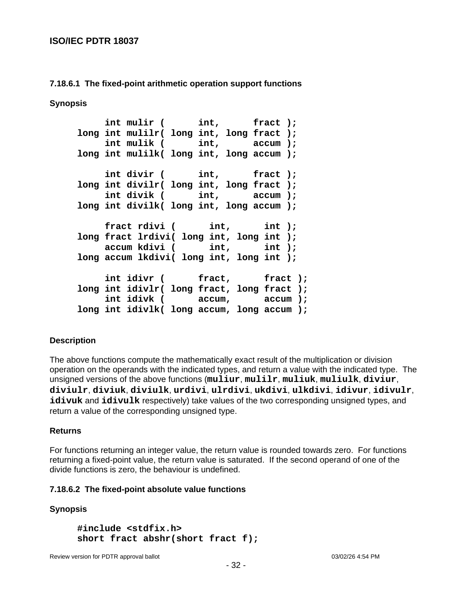## **7.18.6.1 The fixed-point arithmetic operation support functions**

**Synopsis**

 **int mulir ( int, fract ); long int mulilr( long int, long fract ); int mulik ( int, accum ); long int mulilk( long int, long accum ); int divir ( int, fract ); long int divilr( long int, long fract ); int divik ( int, accum ); long int divilk( long int, long accum );** fract rdivi ( int, int ); **long fract lrdivi( long int, long int ); accum kdivi ( int, int ); long accum lkdivi( long int, long int );** int idivr ( fract, fract ); **long int idivlr( long fract, long fract ); int idivk ( accum, accum ); long int idivlk( long accum, long accum );**

#### **Description**

The above functions compute the mathematically exact result of the multiplication or division operation on the operands with the indicated types, and return a value with the indicated type. The unsigned versions of the above functions (**muliur**, **mulilr**, **muliuk**, **muliulk**, **diviur**, **diviulr**, **diviuk**, **diviulk**, **urdivi**, **ulrdivi**, **ukdivi**, **ulkdivi**, **idivur**, **idivulr**, **idivuk** and **idivulk** respectively) take values of the two corresponding unsigned types, and return a value of the corresponding unsigned type.

#### **Returns**

For functions returning an integer value, the return value is rounded towards zero. For functions returning a fixed-point value, the return value is saturated. If the second operand of one of the divide functions is zero, the behaviour is undefined.

#### **7.18.6.2 The fixed-point absolute value functions**

# **Synopsis**

**#include <stdfix.h> short fract abshr(short fract f);**

Review version for PDTR approval ballot 03/02/26 4:54 PM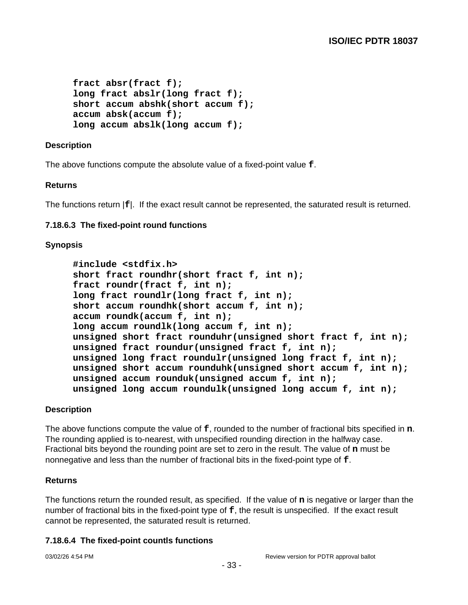```
fract absr(fract f);
long fract abslr(long fract f);
short accum abshk(short accum f);
accum absk(accum f);
long accum abslk(long accum f);
```
## **Description**

The above functions compute the absolute value of a fixed-point value **f**.

#### **Returns**

The functions return |**f**|. If the exact result cannot be represented, the saturated result is returned.

#### **7.18.6.3 The fixed-point round functions**

#### **Synopsis**

```
#include <stdfix.h>
short fract roundhr(short fract f, int n);
fract roundr(fract f, int n);
long fract roundlr(long fract f, int n);
short accum roundhk(short accum f, int n);
accum roundk(accum f, int n);
long accum roundlk(long accum f, int n);
unsigned short fract rounduhr(unsigned short fract f, int n);
unsigned fract roundur(unsigned fract f, int n);
unsigned long fract roundulr(unsigned long fract f, int n);
unsigned short accum rounduhk(unsigned short accum f, int n);
unsigned accum rounduk(unsigned accum f, int n);
unsigned long accum roundulk(unsigned long accum f, int n);
```
#### **Description**

The above functions compute the value of **f**, rounded to the number of fractional bits specified in **n**. The rounding applied is to-nearest, with unspecified rounding direction in the halfway case. Fractional bits beyond the rounding point are set to zero in the result. The value of **n** must be nonnegative and less than the number of fractional bits in the fixed-point type of **f**.

#### **Returns**

The functions return the rounded result, as specified. If the value of **n** is negative or larger than the number of fractional bits in the fixed-point type of **f**, the result is unspecified. If the exact result cannot be represented, the saturated result is returned.

#### **7.18.6.4 The fixed-point countls functions**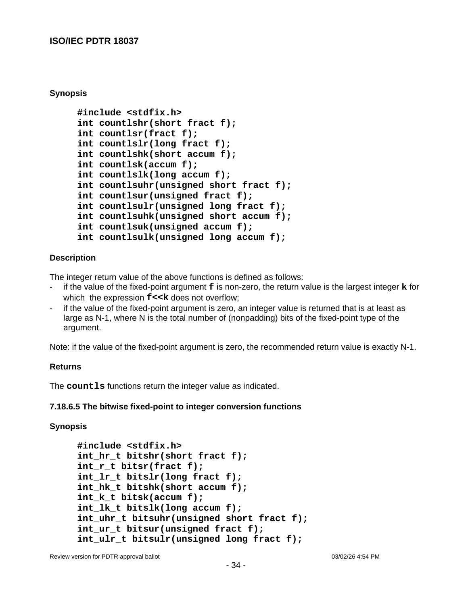#### **Synopsis**

```
#include <stdfix.h>
int countlshr(short fract f);
int countlsr(fract f);
int countlslr(long fract f);
int countlshk(short accum f);
int countlsk(accum f);
int countlslk(long accum f);
int countlsuhr(unsigned short fract f);
int countlsur(unsigned fract f);
int countlsulr(unsigned long fract f);
int countlsuhk(unsigned short accum f);
int countlsuk(unsigned accum f);
int countlsulk(unsigned long accum f);
```
#### **Description**

The integer return value of the above functions is defined as follows:

- if the value of the fixed-point argument **f** is non-zero, the return value is the largest integer **k** for which the expression  $f \lt k$  does not overflow;
- if the value of the fixed-point argument is zero, an integer value is returned that is at least as large as N-1, where N is the total number of (nonpadding) bits of the fixed-point type of the argument.

Note: if the value of the fixed-point argument is zero, the recommended return value is exactly N-1.

#### **Returns**

The **countls** functions return the integer value as indicated.

#### **7.18.6.5 The bitwise fixed-point to integer conversion functions**

# **Synopsis**

```
#include <stdfix.h>
int_hr_t bitshr(short fract f);
int_r_t bitsr(fract f);
int_lr_t bitslr(long fract f);
int_hk_t bitshk(short accum f);
int_k_t bitsk(accum f);
int_lk_t bitslk(long accum f);
int uhr t bitsuhr(unsigned short fract f);
int_ur_t bitsur(unsigned fract f);
int ulr t bitsulr(unsigned long fract f);
```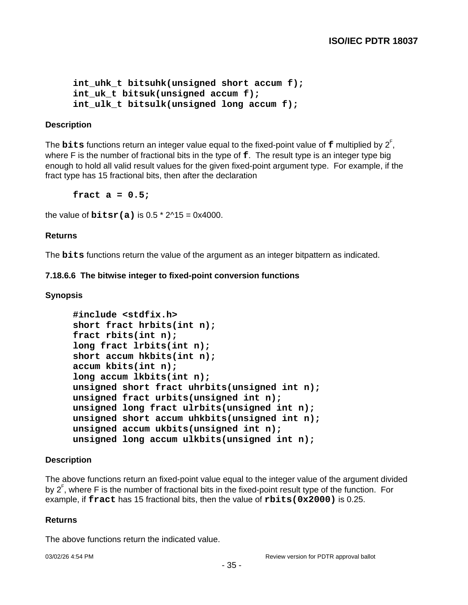```
int uhk t bitsuhk(unsigned short accum f);
int uk t bitsuk(unsigned accum f);
int_ulk_t bitsulk(unsigned long accum f);
```
#### **Description**

The **bits** functions return an integer value equal to the fixed-point value of **f** multiplied by 2 F , where F is the number of fractional bits in the type of **f**. The result type is an integer type big enough to hold all valid result values for the given fixed-point argument type. For example, if the fract type has 15 fractional bits, then after the declaration

**fract a = 0.5;**

the value of **bitsr(a)** is  $0.5 * 2^1 - 0 \times 4000$ .

#### **Returns**

The **bits** functions return the value of the argument as an integer bitpattern as indicated.

#### **7.18.6.6 The bitwise integer to fixed-point conversion functions**

#### **Synopsis**

```
#include <stdfix.h>
short fract hrbits(int n);
fract rbits(int n);
long fract lrbits(int n);
short accum hkbits(int n);
accum kbits(int n);
long accum lkbits(int n);
unsigned short fract uhrbits(unsigned int n);
unsigned fract urbits(unsigned int n);
unsigned long fract ulrbits(unsigned int n);
unsigned short accum uhkbits(unsigned int n);
unsigned accum ukbits(unsigned int n);
unsigned long accum ulkbits(unsigned int n);
```
#### **Description**

The above functions return an fixed-point value equal to the integer value of the argument divided by 2<sup>F</sup>, where F is the number of fractional bits in the fixed-point result type of the function. For example, if **fract** has 15 fractional bits, then the value of **rbits(0x2000)** is 0.25.

#### **Returns**

The above functions return the indicated value.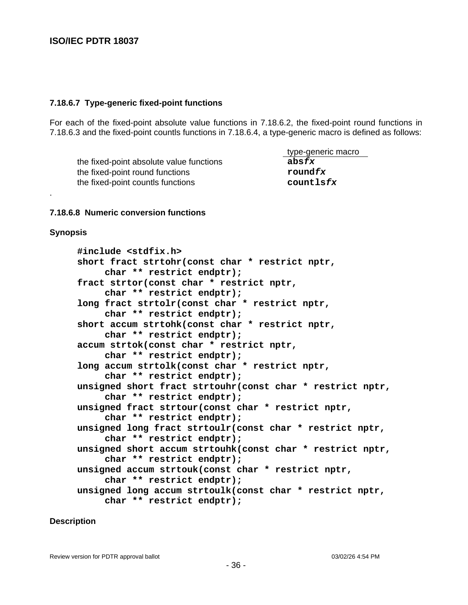#### **7.18.6.7 Type-generic fixed-point functions**

For each of the fixed-point absolute value functions in 7.18.6.2, the fixed-point round functions in 7.18.6.3 and the fixed-point countls functions in 7.18.6.4, a type-generic macro is defined as follows:

the fixed-point absolute value functions **absfx** the fixed-point round functions **roundfx** the fixed-point countls functions **countlsfx**

type-generic macro

#### **7.18.6.8 Numeric conversion functions**

#### **Synopsis**

.

**#include <stdfix.h> short fract strtohr(const char \* restrict nptr, char \*\* restrict endptr); fract strtor(const char \* restrict nptr, char \*\* restrict endptr); long fract strtolr(const char \* restrict nptr, char \*\* restrict endptr); short accum strtohk(const char \* restrict nptr, char \*\* restrict endptr); accum strtok(const char \* restrict nptr, char \*\* restrict endptr); long accum strtolk(const char \* restrict nptr, char \*\* restrict endptr); unsigned short fract strtouhr(const char \* restrict nptr, char \*\* restrict endptr); unsigned fract strtour(const char \* restrict nptr, char \*\* restrict endptr); unsigned long fract strtoulr(const char \* restrict nptr, char \*\* restrict endptr); unsigned short accum strtouhk(const char \* restrict nptr, char \*\* restrict endptr); unsigned accum strtouk(const char \* restrict nptr, char \*\* restrict endptr); unsigned long accum strtoulk(const char \* restrict nptr, char \*\* restrict endptr);**

#### **Description**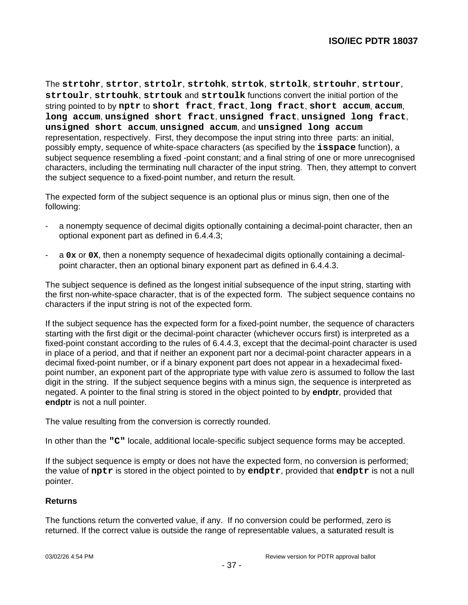The **strtohr**, **strtor**, **strtolr**, **strtohk**, **strtok**, **strtolk**, **strtouhr**, **strtour**, **strtoulr**, **strtouhk**, **strtouk** and **strtoulk** functions convert the initial portion of the string pointed to by **nptr** to **short fract**, **fract**, **long fract**, **short accum**, **accum**, **long accum**, **unsigned short fract**, **unsigned fract**, **unsigned long fract**, **unsigned short accum**, **unsigned accum**, and **unsigned long accum** representation, respectively. First, they decompose the input string into three parts: an initial, possibly empty, sequence of white-space characters (as specified by the **isspace** function), a subject sequence resembling a fixed -point constant; and a final string of one or more unrecognised characters, including the terminating null character of the input string. Then, they attempt to convert the subject sequence to a fixed-point number, and return the result.

The expected form of the subject sequence is an optional plus or minus sign, then one of the following:

- a nonempty sequence of decimal digits optionally containing a decimal-point character, then an optional exponent part as defined in 6.4.4.3;
- a **0x** or **0X**, then a nonempty sequence of hexadecimal digits optionally containing a decimalpoint character, then an optional binary exponent part as defined in 6.4.4.3.

The subject sequence is defined as the longest initial subsequence of the input string, starting with the first non-white-space character, that is of the expected form. The subject sequence contains no characters if the input string is not of the expected form.

If the subject sequence has the expected form for a fixed-point number, the sequence of characters starting with the first digit or the decimal-point character (whichever occurs first) is interpreted as a fixed-point constant according to the rules of 6.4.4.3, except that the decimal-point character is used in place of a period, and that if neither an exponent part nor a decimal-point character appears in a decimal fixed-point number, or if a binary exponent part does not appear in a hexadecimal fixedpoint number, an exponent part of the appropriate type with value zero is assumed to follow the last digit in the string. If the subject sequence begins with a minus sign, the sequence is interpreted as negated. A pointer to the final string is stored in the object pointed to by **endptr**, provided that **endptr** is not a null pointer.

The value resulting from the conversion is correctly rounded.

In other than the **"C"** locale, additional locale-specific subject sequence forms may be accepted.

If the subject sequence is empty or does not have the expected form, no conversion is performed; the value of **nptr** is stored in the object pointed to by **endptr**, provided that **endptr** is not a null pointer.

## **Returns**

The functions return the converted value, if any. If no conversion could be performed, zero is returned. If the correct value is outside the range of representable values, a saturated result is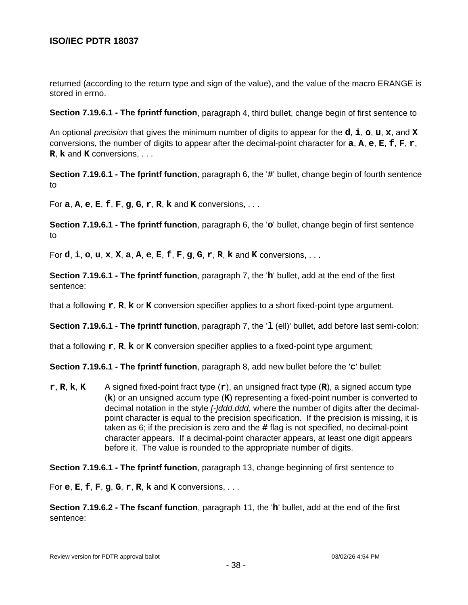returned (according to the return type and sign of the value), and the value of the macro ERANGE is stored in errno.

**Section 7.19.6.1 - The fprintf function**, paragraph 4, third bullet, change begin of first sentence to

An optional precision that gives the minimum number of digits to appear for the **d**, **i**, **o**, **u**, **x**, and **X** conversions, the number of digits to appear after the decimal-point character for **a**, **A**, **e**, **E**, **f**, **F**, **r**, **R**, **k** and **K** conversions, . . .

**Section 7.19.6.1 - The fprintf function**, paragraph 6, the '**#**' bullet, change begin of fourth sentence to

For **a**, **A**, **e**, **E**, **f**, **F**, **g**, **G**, **r**, **R**, **k** and **K** conversions, . . .

**Section 7.19.6.1 - The fprintf function**, paragraph 6, the '**o**' bullet, change begin of first sentence to

For **d**, **i**, **o**, **u**, **x**, **X**, **a**, **A**, **e**, **E**, **f**, **F**, **g**, **G**, **r**, **R**, **k** and **K** conversions, . . .

**Section 7.19.6.1 - The fprintf function**, paragraph 7, the '**h**' bullet, add at the end of the first sentence:

that a following **r**, **R**, **k** or **K** conversion specifier applies to a short fixed-point type argument.

**Section 7.19.6.1 - The fprintf function**, paragraph 7, the '**l** (ell)' bullet, add before last semi-colon:

that a following **r**, **R**, **k** or **K** conversion specifier applies to a fixed-point type argument;

**Section 7.19.6.1 - The fprintf function**, paragraph 8, add new bullet before the '**c**' bullet:

**r**, **R**, **k**, **K** A signed fixed-point fract type (**r**), an unsigned fract type (**R**), a signed accum type (**k**) or an unsigned accum type (**K**) representing a fixed-point number is converted to decimal notation in the style *[-]ddd.ddd*, where the number of digits after the decimalpoint character is equal to the precision specification. If the precision is missing, it is taken as 6; if the precision is zero and the **#** flag is not specified, no decimal-point character appears. If a decimal-point character appears, at least one digit appears before it. The value is rounded to the appropriate number of digits.

**Section 7.19.6.1 - The fprintf function**, paragraph 13, change beginning of first sentence to

For **e**, **E**, **f**, **F**, **g**, **G**, **r**, **R**, **k** and **K** conversions, . . .

**Section 7.19.6.2 - The fscanf function**, paragraph 11, the '**h**' bullet, add at the end of the first sentence: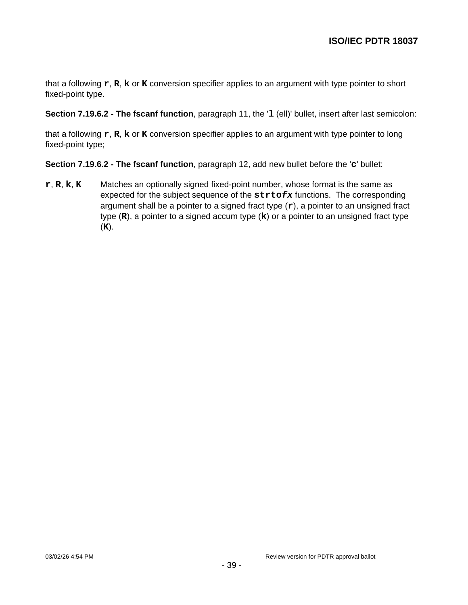that a following **r**, **R**, **k** or **K** conversion specifier applies to an argument with type pointer to short fixed-point type.

**Section 7.19.6.2 - The fscanf function**, paragraph 11, the '**l** (ell)' bullet, insert after last semicolon:

that a following **r**, **R**, **k** or **K** conversion specifier applies to an argument with type pointer to long fixed-point type;

**Section 7.19.6.2 - The fscanf function**, paragraph 12, add new bullet before the '**c**' bullet:

**r**, **R**, **k**, **K** Matches an optionally signed fixed-point number, whose format is the same as expected for the subject sequence of the **strtofx** functions. The corresponding argument shall be a pointer to a signed fract type (**r**), a pointer to an unsigned fract type (**R**), a pointer to a signed accum type (**k**) or a pointer to an unsigned fract type (**K**).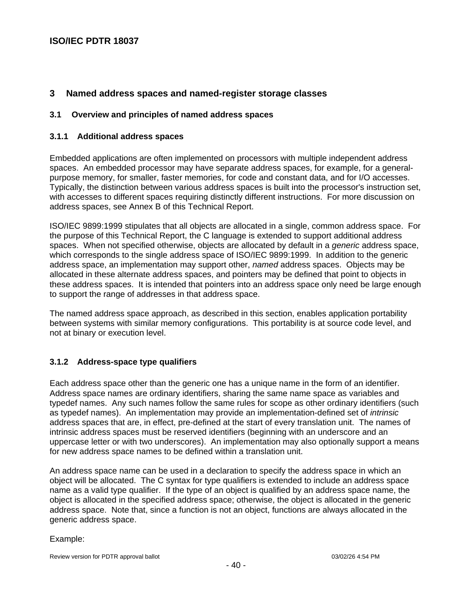# **3 Named address spaces and named-register storage classes**

#### **3.1 Overview and principles of named address spaces**

#### **3.1.1 Additional address spaces**

Embedded applications are often implemented on processors with multiple independent address spaces. An embedded processor may have separate address spaces, for example, for a generalpurpose memory, for smaller, faster memories, for code and constant data, and for I/O accesses. Typically, the distinction between various address spaces is built into the processor's instruction set, with accesses to different spaces requiring distinctly different instructions. For more discussion on address spaces, see Annex B of this Technical Report.

ISO/IEC 9899:1999 stipulates that all objects are allocated in a single, common address space. For the purpose of this Technical Report, the C language is extended to support additional address spaces. When not specified otherwise, objects are allocated by default in a *generic* address space, which corresponds to the single address space of ISO/IEC 9899:1999. In addition to the generic address space, an implementation may support other, named address spaces. Objects may be allocated in these alternate address spaces, and pointers may be defined that point to objects in these address spaces. It is intended that pointers into an address space only need be large enough to support the range of addresses in that address space.

The named address space approach, as described in this section, enables application portability between systems with similar memory configurations. This portability is at source code level, and not at binary or execution level.

## **3.1.2 Address-space type qualifiers**

Each address space other than the generic one has a unique name in the form of an identifier. Address space names are ordinary identifiers, sharing the same name space as variables and typedef names. Any such names follow the same rules for scope as other ordinary identifiers (such as typedef names). An implementation may provide an implementation-defined set of intrinsic address spaces that are, in effect, pre-defined at the start of every translation unit. The names of intrinsic address spaces must be reserved identifiers (beginning with an underscore and an uppercase letter or with two underscores). An implementation may also optionally support a means for new address space names to be defined within a translation unit.

An address space name can be used in a declaration to specify the address space in which an object will be allocated. The C syntax for type qualifiers is extended to include an address space name as a valid type qualifier. If the type of an object is qualified by an address space name, the object is allocated in the specified address space; otherwise, the object is allocated in the generic address space. Note that, since a function is not an object, functions are always allocated in the generic address space.

#### Example:

Review version for PDTR approval ballot 03/02/26 4:54 PM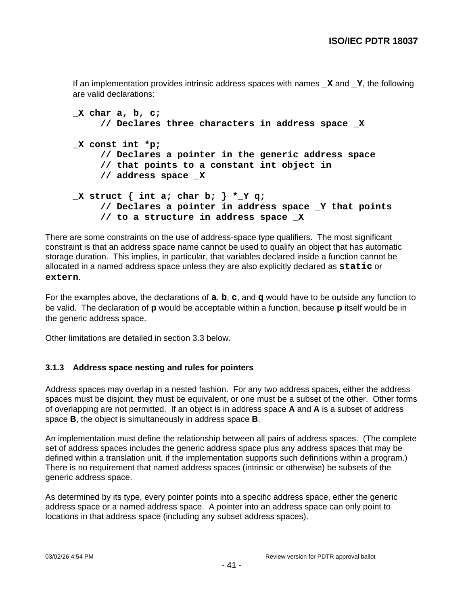If an implementation provides intrinsic address spaces with names **\_X** and **\_Y**, the following are valid declarations:

```
_X char a, b, c;
     // Declares three characters in address space _X
_X const int *p;
     // Declares a pointer in the generic address space
     // that points to a constant int object in
     // address space _X
_X struct { int a; char b; } *_Y q;
     // Declares a pointer in address space _Y that points
     // to a structure in address space _X
```
There are some constraints on the use of address-space type qualifiers. The most significant constraint is that an address space name cannot be used to qualify an object that has automatic storage duration. This implies, in particular, that variables declared inside a function cannot be allocated in a named address space unless they are also explicitly declared as **static** or **extern**.

For the examples above, the declarations of **a**, **b**, **c**, and **q** would have to be outside any function to be valid. The declaration of **p** would be acceptable within a function, because **p** itself would be in the generic address space.

Other limitations are detailed in section 3.3 below.

## **3.1.3 Address space nesting and rules for pointers**

Address spaces may overlap in a nested fashion. For any two address spaces, either the address spaces must be disjoint, they must be equivalent, or one must be a subset of the other. Other forms of overlapping are not permitted. If an object is in address space **A** and **A** is a subset of address space **B**, the object is simultaneously in address space **B**.

An implementation must define the relationship between all pairs of address spaces. (The complete set of address spaces includes the generic address space plus any address spaces that may be defined within a translation unit, if the implementation supports such definitions within a program.) There is no requirement that named address spaces (intrinsic or otherwise) be subsets of the generic address space.

As determined by its type, every pointer points into a specific address space, either the generic address space or a named address space. A pointer into an address space can only point to locations in that address space (including any subset address spaces).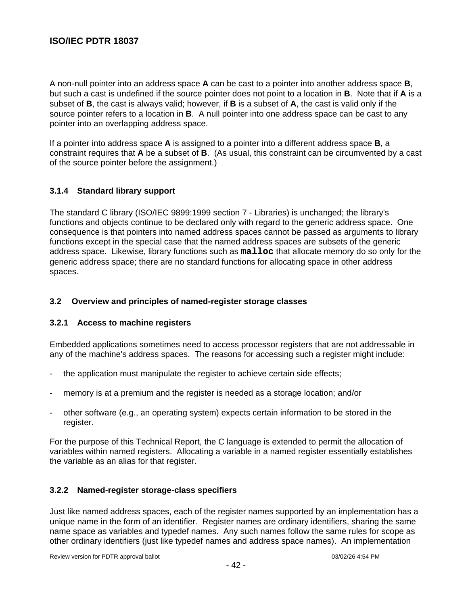A non-null pointer into an address space **A** can be cast to a pointer into another address space **B**, but such a cast is undefined if the source pointer does not point to a location in **B**. Note that if **A** is a subset of **B**, the cast is always valid; however, if **B** is a subset of **A**, the cast is valid only if the source pointer refers to a location in **B**. A null pointer into one address space can be cast to any pointer into an overlapping address space.

If a pointer into address space **A** is assigned to a pointer into a different address space **B**, a constraint requires that **A** be a subset of **B**. (As usual, this constraint can be circumvented by a cast of the source pointer before the assignment.)

## **3.1.4 Standard library support**

The standard C library (ISO/IEC 9899:1999 section 7 - Libraries) is unchanged; the library's functions and objects continue to be declared only with regard to the generic address space. One consequence is that pointers into named address spaces cannot be passed as arguments to library functions except in the special case that the named address spaces are subsets of the generic address space. Likewise, library functions such as **malloc** that allocate memory do so only for the generic address space; there are no standard functions for allocating space in other address spaces.

## **3.2 Overview and principles of named-register storage classes**

## **3.2.1 Access to machine registers**

Embedded applications sometimes need to access processor registers that are not addressable in any of the machine's address spaces. The reasons for accessing such a register might include:

- the application must manipulate the register to achieve certain side effects;
- memory is at a premium and the register is needed as a storage location; and/or
- other software (e.g., an operating system) expects certain information to be stored in the register.

For the purpose of this Technical Report, the C language is extended to permit the allocation of variables within named registers. Allocating a variable in a named register essentially establishes the variable as an alias for that register.

## **3.2.2 Named-register storage-class specifiers**

Just like named address spaces, each of the register names supported by an implementation has a unique name in the form of an identifier. Register names are ordinary identifiers, sharing the same name space as variables and typedef names. Any such names follow the same rules for scope as other ordinary identifiers (just like typedef names and address space names). An implementation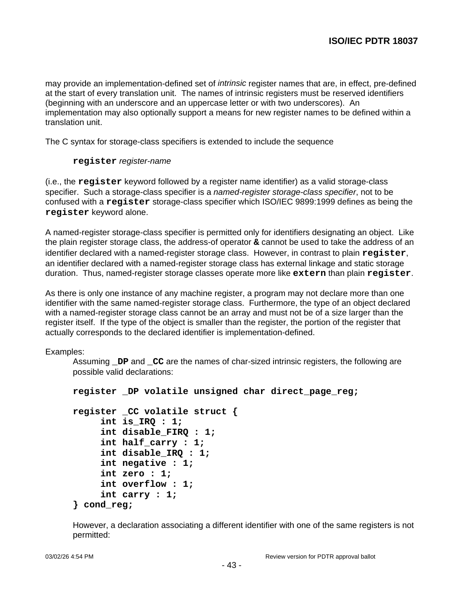may provide an implementation-defined set of *intrinsic* register names that are, in effect, pre-defined at the start of every translation unit. The names of intrinsic registers must be reserved identifiers (beginning with an underscore and an uppercase letter or with two underscores). An implementation may also optionally support a means for new register names to be defined within a translation unit.

The C syntax for storage-class specifiers is extended to include the sequence

#### **register** register-name

(i.e., the **register** keyword followed by a register name identifier) as a valid storage-class specifier. Such a storage-class specifier is a named-register storage-class specifier, not to be confused with a **register** storage-class specifier which ISO/IEC 9899:1999 defines as being the **register** keyword alone.

A named-register storage-class specifier is permitted only for identifiers designating an object. Like the plain register storage class, the address-of operator **&** cannot be used to take the address of an identifier declared with a named-register storage class. However, in contrast to plain **register**, an identifier declared with a named-register storage class has external linkage and static storage duration. Thus, named-register storage classes operate more like **extern** than plain **register**.

As there is only one instance of any machine register, a program may not declare more than one identifier with the same named-register storage class. Furthermore, the type of an object declared with a named-register storage class cannot be an array and must not be of a size larger than the register itself. If the type of the object is smaller than the register, the portion of the register that actually corresponds to the declared identifier is implementation-defined.

Examples:

Assuming **\_DP** and **\_CC** are the names of char-sized intrinsic registers, the following are possible valid declarations:

```
register _DP volatile unsigned char direct_page_reg;
```

```
register _CC volatile struct {
     int is_IRQ : 1;
     int disable_FIRQ : 1;
     int half_carry : 1;
     int disable_IRQ : 1;
     int negative : 1;
     int zero : 1;
     int overflow : 1;
     int carry : 1;
} cond_reg;
```
However, a declaration associating a different identifier with one of the same registers is not permitted: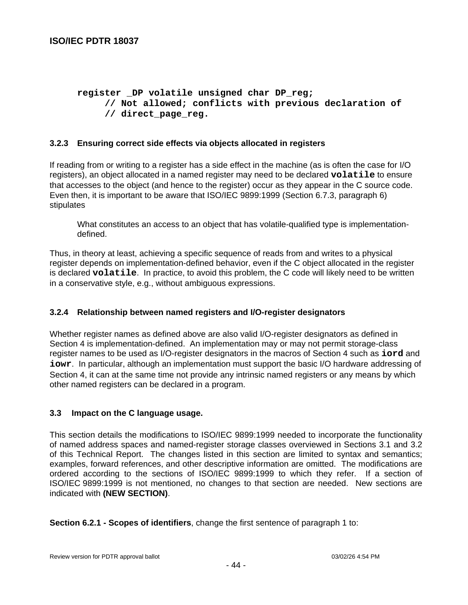```
register _DP volatile unsigned char DP_reg;
     // Not allowed; conflicts with previous declaration of
     // direct_page_reg.
```
## **3.2.3 Ensuring correct side effects via objects allocated in registers**

If reading from or writing to a register has a side effect in the machine (as is often the case for I/O registers), an object allocated in a named register may need to be declared **volatile** to ensure that accesses to the object (and hence to the register) occur as they appear in the C source code. Even then, it is important to be aware that ISO/IEC 9899:1999 (Section 6.7.3, paragraph 6) stipulates

What constitutes an access to an object that has volatile-qualified type is implementationdefined.

Thus, in theory at least, achieving a specific sequence of reads from and writes to a physical register depends on implementation-defined behavior, even if the C object allocated in the register is declared **volatile**. In practice, to avoid this problem, the C code will likely need to be written in a conservative style, e.g., without ambiguous expressions.

## **3.2.4 Relationship between named registers and I/O-register designators**

Whether register names as defined above are also valid I/O-register designators as defined in Section 4 is implementation-defined. An implementation may or may not permit storage-class register names to be used as I/O-register designators in the macros of Section 4 such as **iord** and **iowr**. In particular, although an implementation must support the basic I/O hardware addressing of Section 4, it can at the same time not provide any intrinsic named registers or any means by which other named registers can be declared in a program.

#### **3.3 Impact on the C language usage.**

This section details the modifications to ISO/IEC 9899:1999 needed to incorporate the functionality of named address spaces and named-register storage classes overviewed in Sections 3.1 and 3.2 of this Technical Report. The changes listed in this section are limited to syntax and semantics; examples, forward references, and other descriptive information are omitted. The modifications are ordered according to the sections of ISO/IEC 9899:1999 to which they refer. If a section of ISO/IEC 9899:1999 is not mentioned, no changes to that section are needed. New sections are indicated with **(NEW SECTION)**.

**Section 6.2.1 - Scopes of identifiers**, change the first sentence of paragraph 1 to: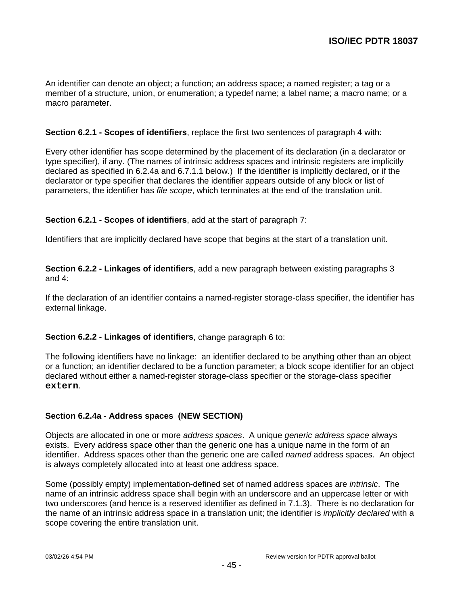An identifier can denote an object; a function; an address space; a named register; a tag or a member of a structure, union, or enumeration; a typedef name; a label name; a macro name; or a macro parameter.

#### **Section 6.2.1 - Scopes of identifiers**, replace the first two sentences of paragraph 4 with:

Every other identifier has scope determined by the placement of its declaration (in a declarator or type specifier), if any. (The names of intrinsic address spaces and intrinsic registers are implicitly declared as specified in 6.2.4a and 6.7.1.1 below.) If the identifier is implicitly declared, or if the declarator or type specifier that declares the identifier appears outside of any block or list of parameters, the identifier has file scope, which terminates at the end of the translation unit.

#### **Section 6.2.1 - Scopes of identifiers**, add at the start of paragraph 7:

Identifiers that are implicitly declared have scope that begins at the start of a translation unit.

**Section 6.2.2 - Linkages of identifiers**, add a new paragraph between existing paragraphs 3 and 4:

If the declaration of an identifier contains a named-register storage-class specifier, the identifier has external linkage.

## **Section 6.2.2 - Linkages of identifiers**, change paragraph 6 to:

The following identifiers have no linkage: an identifier declared to be anything other than an object or a function; an identifier declared to be a function parameter; a block scope identifier for an object declared without either a named-register storage-class specifier or the storage-class specifier **extern**.

## **Section 6.2.4a - Address spaces (NEW SECTION)**

Objects are allocated in one or more address spaces. A unique generic address space always exists. Every address space other than the generic one has a unique name in the form of an identifier. Address spaces other than the generic one are called *named* address spaces. An object is always completely allocated into at least one address space.

Some (possibly empty) implementation-defined set of named address spaces are intrinsic. The name of an intrinsic address space shall begin with an underscore and an uppercase letter or with two underscores (and hence is a reserved identifier as defined in 7.1.3). There is no declaration for the name of an intrinsic address space in a translation unit; the identifier is *implicitly declared* with a scope covering the entire translation unit.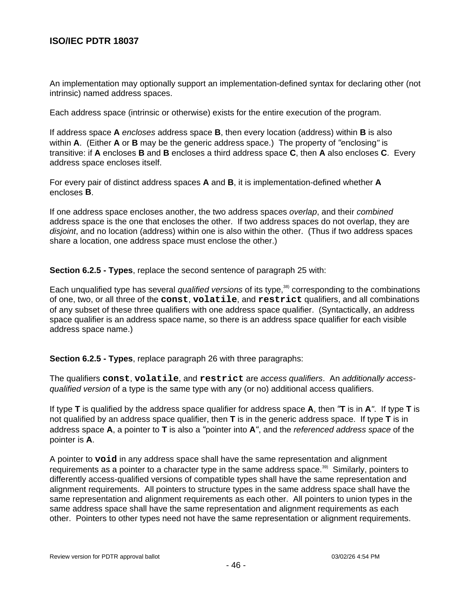An implementation may optionally support an implementation-defined syntax for declaring other (not intrinsic) named address spaces.

Each address space (intrinsic or otherwise) exists for the entire execution of the program.

If address space **A** encloses address space **B**, then every location (address) within **B** is also within **A**. (Either **A** or **B** may be the generic address space.) The property of "enclosing" is transitive: if **A** encloses **B** and **B** encloses a third address space **C**, then **A** also encloses **C**. Every address space encloses itself.

For every pair of distinct address spaces **A** and **B**, it is implementation-defined whether **A** encloses **B**.

If one address space encloses another, the two address spaces overlap, and their combined address space is the one that encloses the other. If two address spaces do not overlap, they are disjoint, and no location (address) within one is also within the other. (Thus if two address spaces share a location, one address space must enclose the other.)

**Section 6.2.5 - Types**, replace the second sentence of paragraph 25 with:

Each unqualified type has several qualified versions of its type,<sup>38)</sup> corresponding to the combinations of one, two, or all three of the **const**, **volatile**, and **restrict** qualifiers, and all combinations of any subset of these three qualifiers with one address space qualifier. (Syntactically, an address space qualifier is an address space name, so there is an address space qualifier for each visible address space name.)

**Section 6.2.5 - Types**, replace paragraph 26 with three paragraphs:

The qualifiers **const**, **volatile**, and **restrict** are access qualifiers. An additionally accessqualified version of a type is the same type with any (or no) additional access qualifiers.

If type **T** is qualified by the address space qualifier for address space **A**, then "**T** is in **A**". If type **T** is not qualified by an address space qualifier, then **T** is in the generic address space. If type **T** is in address space **A**, a pointer to **T** is also a "pointer into **A**", and the referenced address space of the pointer is **A**.

A pointer to **void** in any address space shall have the same representation and alignment requirements as a pointer to a character type in the same address space.<sup>39)</sup> Similarly, pointers to differently access-qualified versions of compatible types shall have the same representation and alignment requirements. All pointers to structure types in the same address space shall have the same representation and alignment requirements as each other. All pointers to union types in the same address space shall have the same representation and alignment requirements as each other. Pointers to other types need not have the same representation or alignment requirements.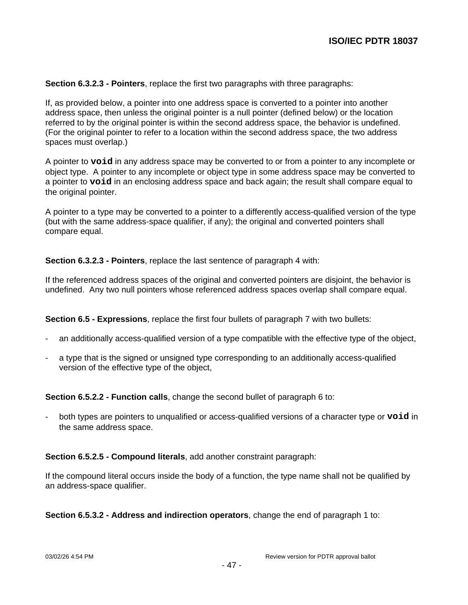**Section 6.3.2.3 - Pointers**, replace the first two paragraphs with three paragraphs:

If, as provided below, a pointer into one address space is converted to a pointer into another address space, then unless the original pointer is a null pointer (defined below) or the location referred to by the original pointer is within the second address space, the behavior is undefined. (For the original pointer to refer to a location within the second address space, the two address spaces must overlap.)

A pointer to **void** in any address space may be converted to or from a pointer to any incomplete or object type. A pointer to any incomplete or object type in some address space may be converted to a pointer to **void** in an enclosing address space and back again; the result shall compare equal to the original pointer.

A pointer to a type may be converted to a pointer to a differently access-qualified version of the type (but with the same address-space qualifier, if any); the original and converted pointers shall compare equal.

**Section 6.3.2.3 - Pointers**, replace the last sentence of paragraph 4 with:

If the referenced address spaces of the original and converted pointers are disjoint, the behavior is undefined. Any two null pointers whose referenced address spaces overlap shall compare equal.

**Section 6.5 - Expressions**, replace the first four bullets of paragraph 7 with two bullets:

- an additionally access-qualified version of a type compatible with the effective type of the object,
- a type that is the signed or unsigned type corresponding to an additionally access-qualified version of the effective type of the object,

**Section 6.5.2.2 - Function calls**, change the second bullet of paragraph 6 to:

- both types are pointers to unqualified or access-qualified versions of a character type or **void** in the same address space.

#### **Section 6.5.2.5 - Compound literals**, add another constraint paragraph:

If the compound literal occurs inside the body of a function, the type name shall not be qualified by an address-space qualifier.

**Section 6.5.3.2 - Address and indirection operators**, change the end of paragraph 1 to: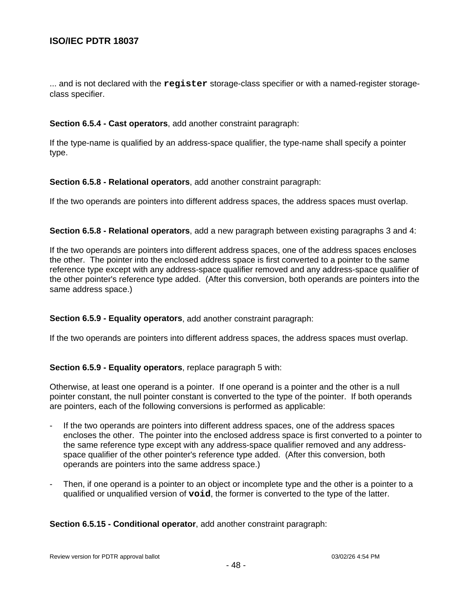... and is not declared with the **register** storage-class specifier or with a named-register storageclass specifier.

#### **Section 6.5.4 - Cast operators**, add another constraint paragraph:

If the type-name is qualified by an address-space qualifier, the type-name shall specify a pointer type.

#### **Section 6.5.8 - Relational operators**, add another constraint paragraph:

If the two operands are pointers into different address spaces, the address spaces must overlap.

#### **Section 6.5.8 - Relational operators**, add a new paragraph between existing paragraphs 3 and 4:

If the two operands are pointers into different address spaces, one of the address spaces encloses the other. The pointer into the enclosed address space is first converted to a pointer to the same reference type except with any address-space qualifier removed and any address-space qualifier of the other pointer's reference type added. (After this conversion, both operands are pointers into the same address space.)

## **Section 6.5.9 - Equality operators**, add another constraint paragraph:

If the two operands are pointers into different address spaces, the address spaces must overlap.

## **Section 6.5.9 - Equality operators**, replace paragraph 5 with:

Otherwise, at least one operand is a pointer. If one operand is a pointer and the other is a null pointer constant, the null pointer constant is converted to the type of the pointer. If both operands are pointers, each of the following conversions is performed as applicable:

- If the two operands are pointers into different address spaces, one of the address spaces encloses the other. The pointer into the enclosed address space is first converted to a pointer to the same reference type except with any address-space qualifier removed and any addressspace qualifier of the other pointer's reference type added. (After this conversion, both operands are pointers into the same address space.)
- Then, if one operand is a pointer to an object or incomplete type and the other is a pointer to a qualified or unqualified version of **void**, the former is converted to the type of the latter.

**Section 6.5.15 - Conditional operator**, add another constraint paragraph: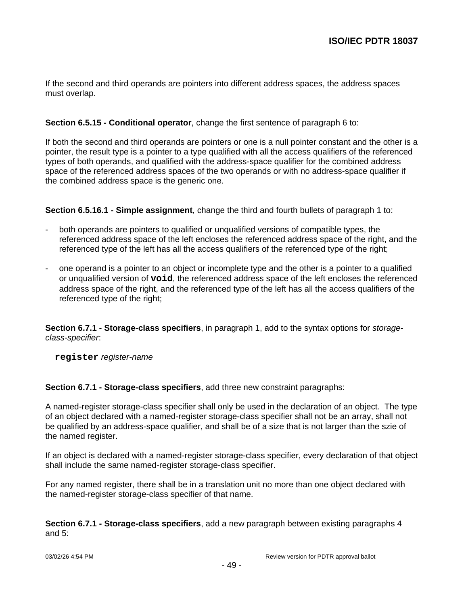If the second and third operands are pointers into different address spaces, the address spaces must overlap.

## **Section 6.5.15 - Conditional operator**, change the first sentence of paragraph 6 to:

If both the second and third operands are pointers or one is a null pointer constant and the other is a pointer, the result type is a pointer to a type qualified with all the access qualifiers of the referenced types of both operands, and qualified with the address-space qualifier for the combined address space of the referenced address spaces of the two operands or with no address-space qualifier if the combined address space is the generic one.

**Section 6.5.16.1 - Simple assignment**, change the third and fourth bullets of paragraph 1 to:

- both operands are pointers to qualified or unqualified versions of compatible types, the referenced address space of the left encloses the referenced address space of the right, and the referenced type of the left has all the access qualifiers of the referenced type of the right;
- one operand is a pointer to an object or incomplete type and the other is a pointer to a qualified or unqualified version of **void**, the referenced address space of the left encloses the referenced address space of the right, and the referenced type of the left has all the access qualifiers of the referenced type of the right;

**Section 6.7.1 - Storage-class specifiers**, in paragraph 1, add to the syntax options for storageclass-specifier:

**register** register-name

**Section 6.7.1 - Storage-class specifiers**, add three new constraint paragraphs:

A named-register storage-class specifier shall only be used in the declaration of an object. The type of an object declared with a named-register storage-class specifier shall not be an array, shall not be qualified by an address-space qualifier, and shall be of a size that is not larger than the szie of the named register.

If an object is declared with a named-register storage-class specifier, every declaration of that object shall include the same named-register storage-class specifier.

For any named register, there shall be in a translation unit no more than one object declared with the named-register storage-class specifier of that name.

**Section 6.7.1 - Storage-class specifiers**, add a new paragraph between existing paragraphs 4 and 5: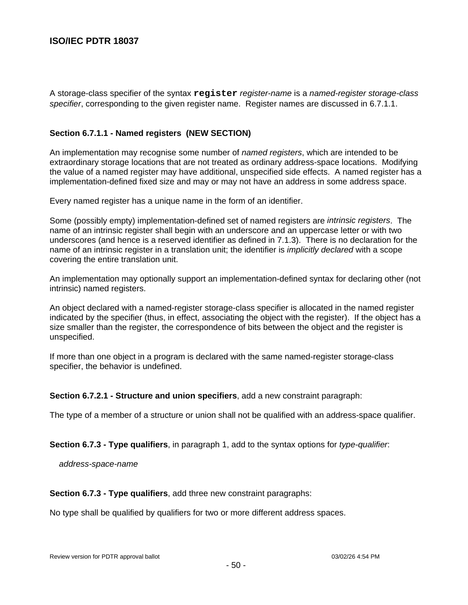A storage-class specifier of the syntax **register** register-name is a named-register storage-class specifier, corresponding to the given register name. Register names are discussed in 6.7.1.1.

## **Section 6.7.1.1 - Named registers (NEW SECTION)**

An implementation may recognise some number of *named registers*, which are intended to be extraordinary storage locations that are not treated as ordinary address-space locations. Modifying the value of a named register may have additional, unspecified side effects. A named register has a implementation-defined fixed size and may or may not have an address in some address space.

Every named register has a unique name in the form of an identifier.

Some (possibly empty) implementation-defined set of named registers are *intrinsic registers*. The name of an intrinsic register shall begin with an underscore and an uppercase letter or with two underscores (and hence is a reserved identifier as defined in 7.1.3). There is no declaration for the name of an intrinsic register in a translation unit; the identifier is *implicitly declared* with a scope covering the entire translation unit.

An implementation may optionally support an implementation-defined syntax for declaring other (not intrinsic) named registers.

An object declared with a named-register storage-class specifier is allocated in the named register indicated by the specifier (thus, in effect, associating the object with the register). If the object has a size smaller than the register, the correspondence of bits between the object and the register is unspecified.

If more than one object in a program is declared with the same named-register storage-class specifier, the behavior is undefined.

**Section 6.7.2.1 - Structure and union specifiers**, add a new constraint paragraph:

The type of a member of a structure or union shall not be qualified with an address-space qualifier.

**Section 6.7.3 - Type qualifiers**, in paragraph 1, add to the syntax options for type-qualifier:

address-space-name

**Section 6.7.3 - Type qualifiers**, add three new constraint paragraphs:

No type shall be qualified by qualifiers for two or more different address spaces.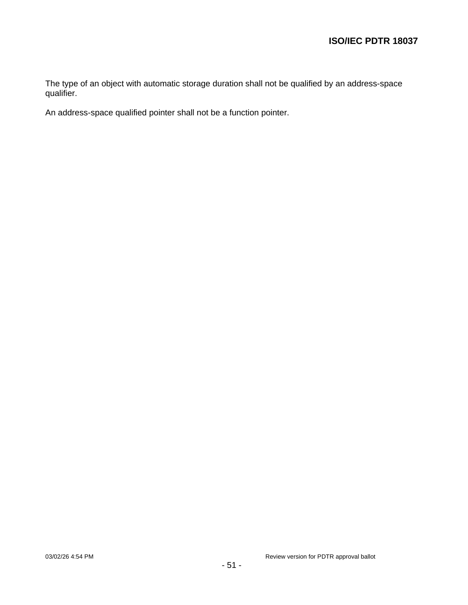The type of an object with automatic storage duration shall not be qualified by an address-space qualifier.

An address-space qualified pointer shall not be a function pointer.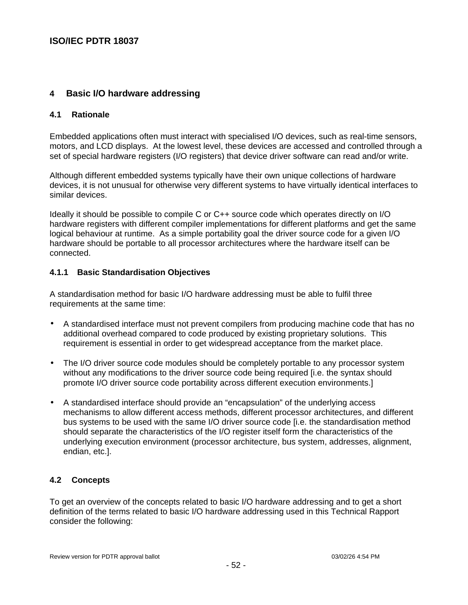# **4 Basic I/O hardware addressing**

## **4.1 Rationale**

Embedded applications often must interact with specialised I/O devices, such as real-time sensors, motors, and LCD displays. At the lowest level, these devices are accessed and controlled through a set of special hardware registers (I/O registers) that device driver software can read and/or write.

Although different embedded systems typically have their own unique collections of hardware devices, it is not unusual for otherwise very different systems to have virtually identical interfaces to similar devices.

Ideally it should be possible to compile C or C++ source code which operates directly on I/O hardware registers with different compiler implementations for different platforms and get the same logical behaviour at runtime. As a simple portability goal the driver source code for a given I/O hardware should be portable to all processor architectures where the hardware itself can be connected.

## **4.1.1 Basic Standardisation Objectives**

A standardisation method for basic I/O hardware addressing must be able to fulfil three requirements at the same time:

- A standardised interface must not prevent compilers from producing machine code that has no additional overhead compared to code produced by existing proprietary solutions. This requirement is essential in order to get widespread acceptance from the market place.
- The I/O driver source code modules should be completely portable to any processor system without any modifications to the driver source code being required [i.e. the syntax should promote I/O driver source code portability across different execution environments.]
- A standardised interface should provide an "encapsulation" of the underlying access mechanisms to allow different access methods, different processor architectures, and different bus systems to be used with the same I/O driver source code [i.e. the standardisation method should separate the characteristics of the I/O register itself form the characteristics of the underlying execution environment (processor architecture, bus system, addresses, alignment, endian, etc.].

# **4.2 Concepts**

To get an overview of the concepts related to basic I/O hardware addressing and to get a short definition of the terms related to basic I/O hardware addressing used in this Technical Rapport consider the following: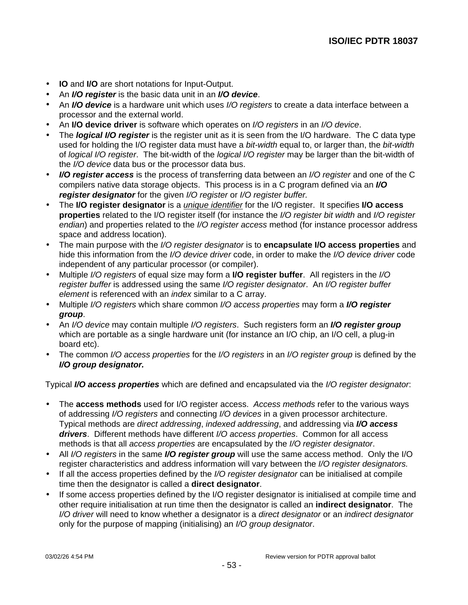- **IO** and **I/O** are short notations for Input-Output.
- An **I/O register** is the basic data unit in an **I/O device**.
- An **I/O device** is a hardware unit which uses I/O registers to create a data interface between a processor and the external world.
- An **I/O device driver** is software which operates on I/O registers in an I/O device.
- The **logical I/O register** is the register unit as it is seen from the I/O hardware. The C data type used for holding the I/O register data must have a bit-width equal to, or larger than, the bit-width of logical I/O register. The bit-width of the logical I/O register may be larger than the bit-width of the I/O device data bus or the processor data bus.
- **I/O register access** is the process of transferring data between an I/O register and one of the C compilers native data storage objects. This process is in a C program defined via an **I/O register designator** for the given I/O register or I/O register buffer.
- The **I/O register designator** is a unique identifier for the I/O register. It specifies **I/O access properties** related to the I/O register itself (for instance the I/O register bit width and I/O register endian) and properties related to the *I/O register access* method (for instance processor address space and address location).
- The main purpose with the I/O register designator is to **encapsulate I/O access properties** and hide this information from the I/O device driver code, in order to make the I/O device driver code independent of any particular processor (or compiler).
- Multiple I/O registers of equal size may form a **I/O register buffer**. All registers in the I/O register buffer is addressed using the same I/O register designator. An I/O register buffer element is referenced with an index similar to a C array.
- Multiple I/O registers which share common I/O access properties may form a **I/O register group**.
- An I/O device may contain multiple I/O registers. Such registers form an **I/O register group** which are portable as a single hardware unit (for instance an I/O chip, an I/O cell, a plug-in board etc).
- The common I/O access properties for the I/O registers in an I/O register group is defined by the **I/O group designator.**

Typical **I/O access properties** which are defined and encapsulated via the I/O register designator:

- The **access methods** used for I/O register access. Access methods refer to the various ways of addressing I/O registers and connecting I/O devices in a given processor architecture. Typical methods are direct addressing, indexed addressing, and addressing via **I/O access drivers**. Different methods have different I/O access properties. Common for all access methods is that all access properties are encapsulated by the I/O register designator.
- All *I/O registers* in the same *I/O register group* will use the same access method. Only the I/O register characteristics and address information will vary between the I/O register designators.
- If all the access properties defined by the I/O register designator can be initialised at compile time then the designator is called a **direct designator**.
- If some access properties defined by the I/O register designator is initialised at compile time and other require initialisation at run time then the designator is called an **indirect designator**. The I/O driver will need to know whether a designator is a direct designator or an indirect designator only for the purpose of mapping (initialising) an I/O group designator.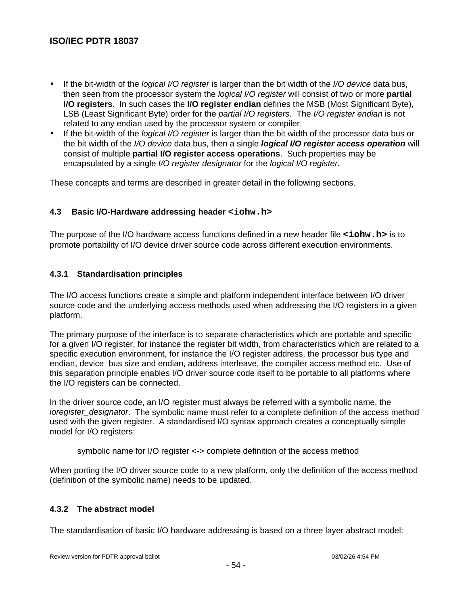- $\bullet$  If the bit-width of the *logical I/O register* is larger than the bit width of the *I/O device* data bus, then seen from the processor system the logical I/O register will consist of two or more **partial I/O registers**. In such cases the **I/O register endian** defines the MSB (Most Significant Byte), LSB (Least Significant Byte) order for the partial I/O registers. The I/O register endian is not related to any endian used by the processor system or compiler.
- If the bit-width of the *logical I/O register* is larger than the bit width of the processor data bus or the bit width of the I/O device data bus, then a single **logical I/O register access operation** will consist of multiple **partial I/O register access operations**. Such properties may be encapsulated by a single I/O register designator for the logical I/O register.

These concepts and terms are described in greater detail in the following sections.

# **4.3 Basic I/O-Hardware addressing header <iohw.h>**

The purpose of the I/O hardware access functions defined in a new header file **<iohw.h>** is to promote portability of I/O device driver source code across different execution environments.

## **4.3.1 Standardisation principles**

The I/O access functions create a simple and platform independent interface between I/O driver source code and the underlying access methods used when addressing the I/O registers in a given platform.

The primary purpose of the interface is to separate characteristics which are portable and specific for a given I/O register, for instance the register bit width, from characteristics which are related to a specific execution environment, for instance the I/O register address, the processor bus type and endian, device bus size and endian, address interleave, the compiler access method etc. Use of this separation principle enables I/O driver source code itself to be portable to all platforms where the I/O registers can be connected.

In the driver source code, an I/O register must always be referred with a symbolic name, the ioregister\_designator. The symbolic name must refer to a complete definition of the access method used with the given register. A standardised I/O syntax approach creates a conceptually simple model for I/O registers:

symbolic name for I/O register <-> complete definition of the access method

When porting the I/O driver source code to a new platform, only the definition of the access method (definition of the symbolic name) needs to be updated.

# **4.3.2 The abstract model**

The standardisation of basic I/O hardware addressing is based on a three layer abstract model: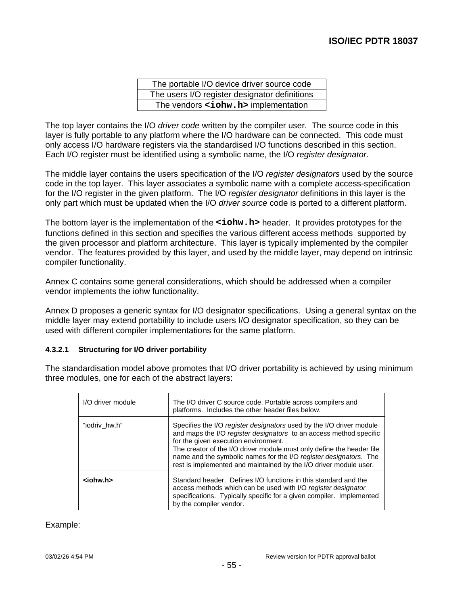| The portable I/O device driver source code    |
|-----------------------------------------------|
| The users I/O register designator definitions |
| The vendors <iohw.h> implementation</iohw.h>  |

The top layer contains the I/O driver code written by the compiler user. The source code in this layer is fully portable to any platform where the I/O hardware can be connected. This code must only access I/O hardware registers via the standardised I/O functions described in this section. Each I/O register must be identified using a symbolic name, the I/O register designator.

The middle layer contains the users specification of the I/O register designators used by the source code in the top layer. This layer associates a symbolic name with a complete access-specification for the I/O register in the given platform. The I/O register designator definitions in this layer is the only part which must be updated when the I/O driver source code is ported to a different platform.

The bottom layer is the implementation of the **<iohw.h>** header. It provides prototypes for the functions defined in this section and specifies the various different access methods supported by the given processor and platform architecture. This layer is typically implemented by the compiler vendor. The features provided by this layer, and used by the middle layer, may depend on intrinsic compiler functionality.

Annex C contains some general considerations, which should be addressed when a compiler vendor implements the iohw functionality.

Annex D proposes a generic syntax for I/O designator specifications. Using a general syntax on the middle layer may extend portability to include users I/O designator specification, so they can be used with different compiler implementations for the same platform.

#### **4.3.2.1 Structuring for I/O driver portability**

The standardisation model above promotes that I/O driver portability is achieved by using minimum three modules, one for each of the abstract layers:

| I/O driver module | The I/O driver C source code. Portable across compilers and<br>platforms. Includes the other header files below.                                                                                                                                                                                                                                                                                      |
|-------------------|-------------------------------------------------------------------------------------------------------------------------------------------------------------------------------------------------------------------------------------------------------------------------------------------------------------------------------------------------------------------------------------------------------|
| "iodriv hw.h"     | Specifies the I/O register designators used by the I/O driver module<br>and maps the I/O register designators to an access method specific<br>for the given execution environment.<br>The creator of the I/O driver module must only define the header file<br>name and the symbolic names for the I/O register designators. The<br>rest is implemented and maintained by the I/O driver module user. |
| <iohw.h></iohw.h> | Standard header. Defines I/O functions in this standard and the<br>access methods which can be used with I/O register designator<br>specifications. Typically specific for a given compiler. Implemented<br>by the compiler vendor.                                                                                                                                                                   |

#### Example: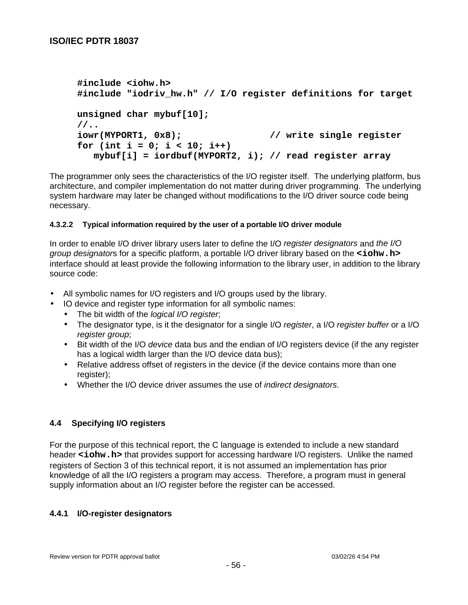```
#include <iohw.h>
#include "iodriv_hw.h" // I/O register definitions for target
unsigned char mybuf[10];
//..
iowr(MYPORT1, 0x8); // write single register
for (int i = 0; i < 10; i++)
   mybuf[i] = iordbuf(MYPORT2, i); // read register array
```
The programmer only sees the characteristics of the I/O register itself. The underlying platform, bus architecture, and compiler implementation do not matter during driver programming. The underlying system hardware may later be changed without modifications to the I/O driver source code being necessary.

## **4.3.2.2 Typical information required by the user of a portable I/O driver module**

In order to enable I/O driver library users later to define the I/O register designators and the I/O group designators for a specific platform, a portable I/O driver library based on the **<iohw.h>** interface should at least provide the following information to the library user, in addition to the library source code:

- All symbolic names for I/O registers and I/O groups used by the library.
- IO device and register type information for all symbolic names:
	- The bit width of the *logical I/O register*;
	- The designator type, is it the designator for a single I/O register, a I/O register buffer or a I/O register group;
	- Bit width of the I/O device data bus and the endian of I/O registers device (if the any register has a logical width larger than the I/O device data bus);
	- Relative address offset of registers in the device (if the device contains more than one register);
	- Whether the I/O device driver assumes the use of *indirect designators*.

## **4.4 Specifying I/O registers**

For the purpose of this technical report, the C language is extended to include a new standard header <iohw.h> that provides support for accessing hardware I/O registers. Unlike the named registers of Section 3 of this technical report, it is not assumed an implementation has prior knowledge of all the I/O registers a program may access. Therefore, a program must in general supply information about an I/O register before the register can be accessed.

## **4.4.1 I/O-register designators**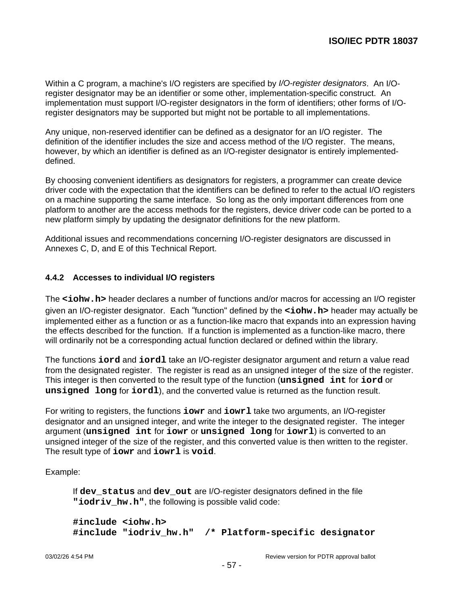Within a C program, a machine's I/O registers are specified by I/O-register designators. An I/Oregister designator may be an identifier or some other, implementation-specific construct. An implementation must support I/O-register designators in the form of identifiers; other forms of I/Oregister designators may be supported but might not be portable to all implementations.

Any unique, non-reserved identifier can be defined as a designator for an I/O register. The definition of the identifier includes the size and access method of the I/O register. The means, however, by which an identifier is defined as an I/O-register designator is entirely implementeddefined.

By choosing convenient identifiers as designators for registers, a programmer can create device driver code with the expectation that the identifiers can be defined to refer to the actual I/O registers on a machine supporting the same interface. So long as the only important differences from one platform to another are the access methods for the registers, device driver code can be ported to a new platform simply by updating the designator definitions for the new platform.

Additional issues and recommendations concerning I/O-register designators are discussed in Annexes C, D, and E of this Technical Report.

# **4.4.2 Accesses to individual I/O registers**

The **<iohw.h>** header declares a number of functions and/or macros for accessing an I/O register given an I/O-register designator. Each "function" defined by the **<iohw.h>** header may actually be implemented either as a function or as a function-like macro that expands into an expression having the effects described for the function. If a function is implemented as a function-like macro, there will ordinarily not be a corresponding actual function declared or defined within the library.

The functions **iord** and **iordl** take an I/O-register designator argument and return a value read from the designated register. The register is read as an unsigned integer of the size of the register. This integer is then converted to the result type of the function (**unsigned int** for **iord** or **unsigned long** for **iordl**), and the converted value is returned as the function result.

For writing to registers, the functions **iowr** and **iowrl** take two arguments, an I/O-register designator and an unsigned integer, and write the integer to the designated register. The integer argument (**unsigned int** for **iowr** or **unsigned long** for **iowrl**) is converted to an unsigned integer of the size of the register, and this converted value is then written to the register. The result type of **iowr** and **iowrl** is **void**.

Example:

If **dev\_status** and **dev\_out** are I/O-register designators defined in the file "iodriv hw.h", the following is possible valid code:

```
#include <iohw.h>
#include "iodriv_hw.h" /* Platform-specific designator
```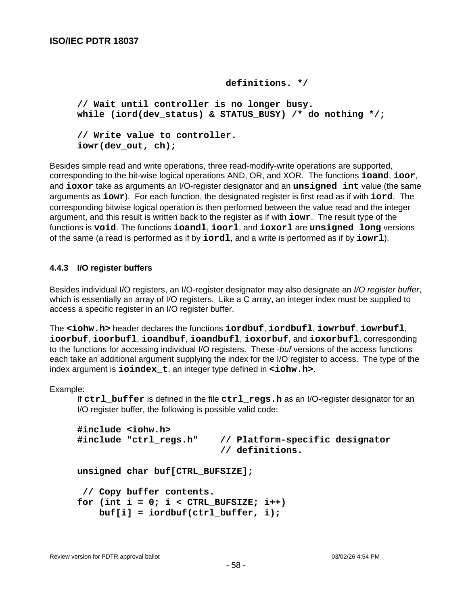```
 definitions. */
```

```
// Wait until controller is no longer busy.
while (iord(dev_status) & STATUS_BUSY) /* do nothing */;
// Write value to controller.
iowr(dev_out, ch);
```
Besides simple read and write operations, three read-modify-write operations are supported, corresponding to the bit-wise logical operations AND, OR, and XOR. The functions **ioand**, **ioor**, and **ioxor** take as arguments an I/O-register designator and an **unsigned int** value (the same arguments as **iowr**). For each function, the designated register is first read as if with **iord**. The corresponding bitwise logical operation is then performed between the value read and the integer argument, and this result is written back to the register as if with **iowr**. The result type of the functions is **void**. The functions **ioandl**, **ioorl**, and **ioxorl** are **unsigned long** versions of the same (a read is performed as if by **iordl**, and a write is performed as if by **iowrl**).

## **4.4.3 I/O register buffers**

Besides individual I/O registers, an I/O-register designator may also designate an I/O register buffer, which is essentially an array of I/O registers. Like a C array, an integer index must be supplied to access a specific register in an I/O register buffer.

The **<iohw.h>** header declares the functions **iordbuf**, **iordbufl**, **iowrbuf**, **iowrbufl**, **ioorbuf**, **ioorbufl**, **ioandbuf**, **ioandbufl**, **ioxorbuf**, and **ioxorbufl**, corresponding to the functions for accessing individual I/O registers. These -buf versions of the access functions each take an additional argument supplying the index for the I/O register to access. The type of the index argument is **ioindex\_t**, an integer type defined in **<iohw.h>**.

Example:

If **ctrl\_buffer** is defined in the file **ctrl\_regs.h** as an I/O-register designator for an I/O register buffer, the following is possible valid code:

```
#include <iohw.h>
#include "ctrl_regs.h" // Platform-specific designator
                           // definitions.
unsigned char buf[CTRL_BUFSIZE];
  // Copy buffer contents.
for (int i = 0; i < CTRL_BUFFSIZE; i++) buf[i] = iordbuf(ctrl_buffer, i);
```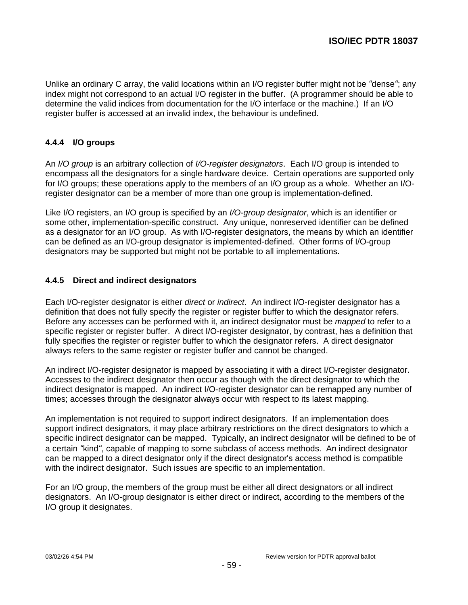Unlike an ordinary C array, the valid locations within an I/O register buffer might not be "dense"; any index might not correspond to an actual I/O register in the buffer. (A programmer should be able to determine the valid indices from documentation for the I/O interface or the machine.) If an I/O register buffer is accessed at an invalid index, the behaviour is undefined.

# **4.4.4 I/O groups**

An I/O group is an arbitrary collection of I/O-register designators. Each I/O group is intended to encompass all the designators for a single hardware device. Certain operations are supported only for I/O groups; these operations apply to the members of an I/O group as a whole. Whether an I/Oregister designator can be a member of more than one group is implementation-defined.

Like I/O registers, an I/O group is specified by an I/O-group designator, which is an identifier or some other, implementation-specific construct. Any unique, nonreserved identifier can be defined as a designator for an I/O group. As with I/O-register designators, the means by which an identifier can be defined as an I/O-group designator is implemented-defined. Other forms of I/O-group designators may be supported but might not be portable to all implementations.

## **4.4.5 Direct and indirect designators**

Each I/O-register designator is either direct or indirect. An indirect I/O-register designator has a definition that does not fully specify the register or register buffer to which the designator refers. Before any accesses can be performed with it, an indirect designator must be *mapped* to refer to a specific register or register buffer. A direct I/O-register designator, by contrast, has a definition that fully specifies the register or register buffer to which the designator refers. A direct designator always refers to the same register or register buffer and cannot be changed.

An indirect I/O-register designator is mapped by associating it with a direct I/O-register designator. Accesses to the indirect designator then occur as though with the direct designator to which the indirect designator is mapped. An indirect I/O-register designator can be remapped any number of times; accesses through the designator always occur with respect to its latest mapping.

An implementation is not required to support indirect designators. If an implementation does support indirect designators, it may place arbitrary restrictions on the direct designators to which a specific indirect designator can be mapped. Typically, an indirect designator will be defined to be of a certain "kind", capable of mapping to some subclass of access methods. An indirect designator can be mapped to a direct designator only if the direct designator's access method is compatible with the indirect designator. Such issues are specific to an implementation.

For an I/O group, the members of the group must be either all direct designators or all indirect designators. An I/O-group designator is either direct or indirect, according to the members of the I/O group it designates.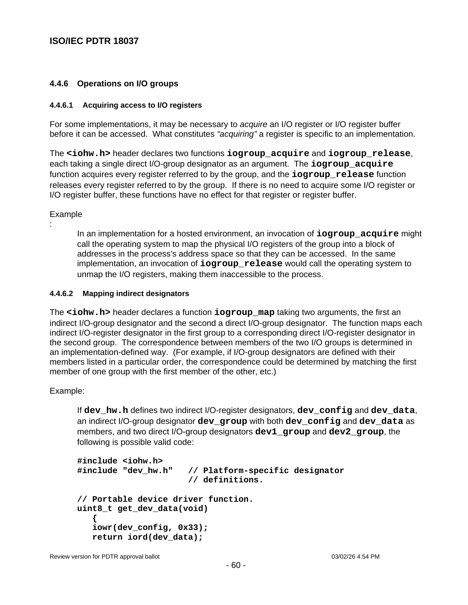## **4.4.6 Operations on I/O groups**

#### **4.4.6.1 Acquiring access to I/O registers**

For some implementations, it may be necessary to acquire an I/O register or I/O register buffer before it can be accessed. What constitutes "acquiring" a register is specific to an implementation.

The **<iohw.h>** header declares two functions **iogroup\_acquire** and **iogroup\_release**, each taking a single direct I/O-group designator as an argument. The **iogroup\_acquire** function acquires every register referred to by the group, and the **iogroup\_release** function releases every register referred to by the group. If there is no need to acquire some I/O register or I/O register buffer, these functions have no effect for that register or register buffer.

Example

:

In an implementation for a hosted environment, an invocation of **iogroup\_acquire** might call the operating system to map the physical I/O registers of the group into a block of addresses in the process's address space so that they can be accessed. In the same implementation, an invocation of **iogroup\_release** would call the operating system to unmap the I/O registers, making them inaccessible to the process.

#### **4.4.6.2 Mapping indirect designators**

The **<iohw.h>** header declares a function **iogroup\_map** taking two arguments, the first an indirect I/O-group designator and the second a direct I/O-group designator. The function maps each indirect I/O-register designator in the first group to a corresponding direct I/O-register designator in the second group. The correspondence between members of the two I/O groups is determined in an implementation-defined way. (For example, if I/O-group designators are defined with their members listed in a particular order, the correspondence could be determined by matching the first member of one group with the first member of the other, etc.)

Example:

If **dev\_hw.h** defines two indirect I/O-register designators, **dev\_config** and **dev\_data**, an indirect I/O-group designator **dev\_group** with both **dev\_config** and **dev\_data** as members, and two direct I/O-group designators **dev1\_group** and **dev2\_group**, the following is possible valid code:

```
#include <iohw.h>
#include "dev_hw.h" // Platform-specific designator
                       // definitions.
// Portable device driver function.
uint8_t get_dev_data(void)
    {
    iowr(dev_config, 0x33);
    return iord(dev_data);
```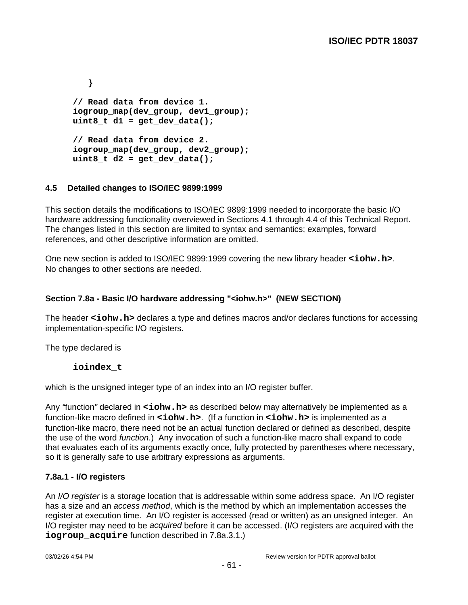```
 }
// Read data from device 1.
iogroup_map(dev_group, dev1_group);
uint8_t d1 = get_dev_data();
// Read data from device 2.
iogroup_map(dev_group, dev2_group);
uint8_t d2 = get_dev_data();
```
# **4.5 Detailed changes to ISO/IEC 9899:1999**

This section details the modifications to ISO/IEC 9899:1999 needed to incorporate the basic I/O hardware addressing functionality overviewed in Sections 4.1 through 4.4 of this Technical Report. The changes listed in this section are limited to syntax and semantics; examples, forward references, and other descriptive information are omitted.

One new section is added to ISO/IEC 9899:1999 covering the new library header **<iohw.h>**. No changes to other sections are needed.

# **Section 7.8a - Basic I/O hardware addressing "<iohw.h>" (NEW SECTION)**

The header **<iohw.h>** declares a type and defines macros and/or declares functions for accessing implementation-specific I/O registers.

The type declared is

# **ioindex\_t**

which is the unsigned integer type of an index into an I/O register buffer.

Any "function" declared in **<iohw.h>** as described below may alternatively be implemented as a function-like macro defined in **<iohw.h>**. (If a function in **<iohw.h>** is implemented as a function-like macro, there need not be an actual function declared or defined as described, despite the use of the word *function*.) Any invocation of such a function-like macro shall expand to code that evaluates each of its arguments exactly once, fully protected by parentheses where necessary, so it is generally safe to use arbitrary expressions as arguments.

# **7.8a.1 - I/O registers**

An *I/O register* is a storage location that is addressable within some address space. An I/O register has a size and an *access method*, which is the method by which an implementation accesses the register at execution time. An I/O register is accessed (read or written) as an unsigned integer. An I/O register may need to be acquired before it can be accessed. (I/O registers are acquired with the **iogroup** acquire function described in 7.8a.3.1.)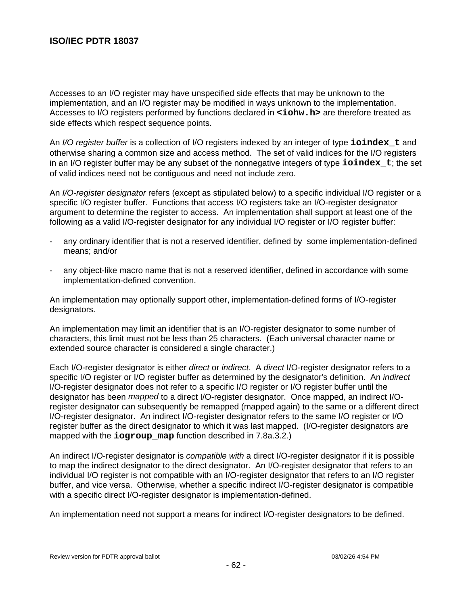Accesses to an I/O register may have unspecified side effects that may be unknown to the implementation, and an I/O register may be modified in ways unknown to the implementation. Accesses to I/O registers performed by functions declared in **<iohw.h>** are therefore treated as side effects which respect sequence points.

An I/O register buffer is a collection of I/O registers indexed by an integer of type **ioindex\_t** and otherwise sharing a common size and access method. The set of valid indices for the I/O registers in an I/O register buffer may be any subset of the nonnegative integers of type **ioindex\_t**; the set of valid indices need not be contiguous and need not include zero.

An *I/O-register designator* refers (except as stipulated below) to a specific individual I/O register or a specific I/O register buffer. Functions that access I/O registers take an I/O-register designator argument to determine the register to access. An implementation shall support at least one of the following as a valid I/O-register designator for any individual I/O register or I/O register buffer:

- any ordinary identifier that is not a reserved identifier, defined by some implementation-defined means; and/or
- any object-like macro name that is not a reserved identifier, defined in accordance with some implementation-defined convention.

An implementation may optionally support other, implementation-defined forms of I/O-register designators.

An implementation may limit an identifier that is an I/O-register designator to some number of characters, this limit must not be less than 25 characters. (Each universal character name or extended source character is considered a single character.)

Each I/O-register designator is either *direct* or *indirect*. A *direct* I/O-register designator refers to a specific I/O register or I/O register buffer as determined by the designator's definition. An *indirect* I/O-register designator does not refer to a specific I/O register or I/O register buffer until the designator has been *mapped* to a direct I/O-register designator. Once mapped, an indirect I/Oregister designator can subsequently be remapped (mapped again) to the same or a different direct I/O-register designator. An indirect I/O-register designator refers to the same I/O register or I/O register buffer as the direct designator to which it was last mapped. (I/O-register designators are mapped with the **iogroup\_map** function described in 7.8a.3.2.)

An indirect I/O-register designator is *compatible with* a direct I/O-register designator if it is possible to map the indirect designator to the direct designator. An I/O-register designator that refers to an individual I/O register is not compatible with an I/O-register designator that refers to an I/O register buffer, and vice versa. Otherwise, whether a specific indirect I/O-register designator is compatible with a specific direct I/O-register designator is implementation-defined.

An implementation need not support a means for indirect I/O-register designators to be defined.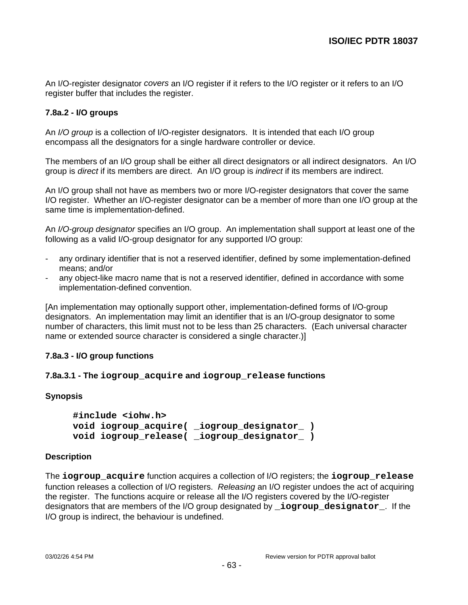An I/O-register designator covers an I/O register if it refers to the I/O register or it refers to an I/O register buffer that includes the register.

## **7.8a.2 - I/O groups**

An *I/O group* is a collection of I/O-register designators. It is intended that each I/O group encompass all the designators for a single hardware controller or device.

The members of an I/O group shall be either all direct designators or all indirect designators. An I/O group is *direct* if its members are direct. An I/O group is *indirect* if its members are indirect.

An I/O group shall not have as members two or more I/O-register designators that cover the same I/O register. Whether an I/O-register designator can be a member of more than one I/O group at the same time is implementation-defined.

An I/O-group designator specifies an I/O group. An implementation shall support at least one of the following as a valid I/O-group designator for any supported I/O group:

- any ordinary identifier that is not a reserved identifier, defined by some implementation-defined means; and/or
- any object-like macro name that is not a reserved identifier, defined in accordance with some implementation-defined convention.

[An implementation may optionally support other, implementation-defined forms of I/O-group designators. An implementation may limit an identifier that is an I/O-group designator to some number of characters, this limit must not to be less than 25 characters. (Each universal character name or extended source character is considered a single character.)]

## **7.8a.3 - I/O group functions**

## **7.8a.3.1 - The iogroup\_acquire and iogroup\_release functions**

## **Synopsis**

**#include <iohw.h> void iogroup\_acquire( \_iogroup\_designator\_ ) void iogroup\_release( \_iogroup\_designator\_ )**

## **Description**

The **iogroup\_acquire** function acquires a collection of I/O registers; the **iogroup\_release** function releases a collection of I/O registers. Releasing an I/O register undoes the act of acquiring the register. The functions acquire or release all the I/O registers covered by the I/O-register designators that are members of the I/O group designated by **\_iogroup\_designator\_**. If the I/O group is indirect, the behaviour is undefined.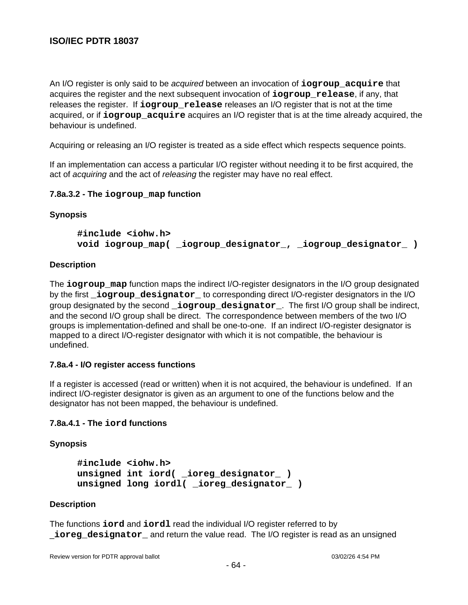An I/O register is only said to be acquired between an invocation of **iogroup\_acquire** that acquires the register and the next subsequent invocation of **iogroup\_release**, if any, that releases the register. If **iogroup\_release** releases an I/O register that is not at the time acquired, or if **iogroup\_acquire** acquires an I/O register that is at the time already acquired, the behaviour is undefined.

Acquiring or releasing an I/O register is treated as a side effect which respects sequence points.

If an implementation can access a particular I/O register without needing it to be first acquired, the act of acquiring and the act of releasing the register may have no real effect.

#### **7.8a.3.2 - The iogroup\_map function**

#### **Synopsis**

**#include <iohw.h> void iogroup\_map( \_iogroup\_designator\_, \_iogroup\_designator\_ )**

#### **Description**

The **iogroup\_map** function maps the indirect I/O-register designators in the I/O group designated by the first **\_iogroup\_designator\_** to corresponding direct I/O-register designators in the I/O group designated by the second **\_iogroup\_designator\_**. The first I/O group shall be indirect, and the second I/O group shall be direct. The correspondence between members of the two I/O groups is implementation-defined and shall be one-to-one. If an indirect I/O-register designator is mapped to a direct I/O-register designator with which it is not compatible, the behaviour is undefined.

## **7.8a.4 - I/O register access functions**

If a register is accessed (read or written) when it is not acquired, the behaviour is undefined. If an indirect I/O-register designator is given as an argument to one of the functions below and the designator has not been mapped, the behaviour is undefined.

## **7.8a.4.1 - The iord functions**

## **Synopsis**

```
#include <iohw.h>
unsigned int iord( _ioreg_designator_ )
unsigned long iordl( _ioreg_designator_ )
```
#### **Description**

The functions **iord** and **iordl** read the individual I/O register referred to by **ioreg** designator and return the value read. The I/O register is read as an unsigned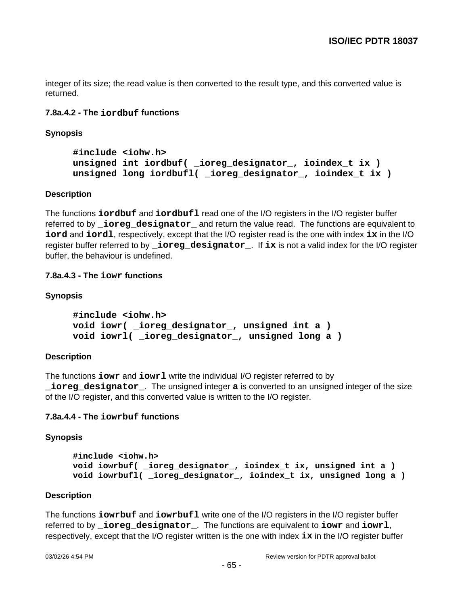integer of its size; the read value is then converted to the result type, and this converted value is returned.

# **7.8a.4.2 - The iordbuf functions**

**Synopsis**

```
#include <iohw.h>
unsigned int iordbuf( _ioreg_designator_, ioindex_t ix )
unsigned long iordbufl( _ioreg_designator_, ioindex_t ix )
```
#### **Description**

The functions **iordbuf** and **iordbufl** read one of the I/O registers in the I/O register buffer referred to by **\_ioreg\_designator\_** and return the value read. The functions are equivalent to **iord** and **iordl**, respectively, except that the I/O register read is the one with index **ix** in the I/O register buffer referred to by **\_ioreg\_designator\_**. If **ix** is not a valid index for the I/O register buffer, the behaviour is undefined.

## **7.8a.4.3 - The iowr functions**

#### **Synopsis**

```
#include <iohw.h>
void iowr( _ioreg_designator_, unsigned int a )
void iowrl( _ioreg_designator_, unsigned long a )
```
## **Description**

The functions **iowr** and **iowrl** write the individual I/O register referred to by **\_ioreg\_designator\_**. The unsigned integer **a** is converted to an unsigned integer of the size of the I/O register, and this converted value is written to the I/O register.

## **7.8a.4.4 - The iowrbuf functions**

#### **Synopsis**

```
#include <iohw.h>
void iowrbuf( _ioreg_designator_, ioindex_t ix, unsigned int a )
void iowrbufl( _ioreg_designator_, ioindex_t ix, unsigned long a )
```
#### **Description**

The functions **iowrbuf** and **iowrbufl** write one of the I/O registers in the I/O register buffer referred to by **\_ioreg\_designator\_**. The functions are equivalent to **iowr** and **iowrl**, respectively, except that the I/O register written is the one with index **ix** in the I/O register buffer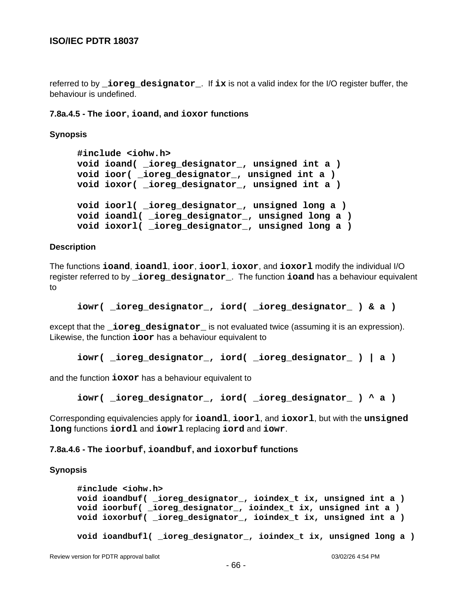referred to by **\_ioreg\_designator\_**. If **ix** is not a valid index for the I/O register buffer, the behaviour is undefined.

**7.8a.4.5 - The ioor, ioand, and ioxor functions**

**Synopsis**

```
#include <iohw.h>
void ioand( _ioreg_designator_, unsigned int a )
void ioor( _ioreg_designator_, unsigned int a )
void ioxor( _ioreg_designator_, unsigned int a )
void ioorl( _ioreg_designator_, unsigned long a )
void ioandl( _ioreg_designator_, unsigned long a )
void ioxorl( _ioreg_designator_, unsigned long a )
```
#### **Description**

The functions **ioand**, **ioandl**, **ioor**, **ioorl**, **ioxor**, and **ioxorl** modify the individual I/O register referred to by **\_ioreg\_designator\_**. The function **ioand** has a behaviour equivalent to

```
iowr( _ioreg_designator_, iord( _ioreg_designator_ ) & a )
```
except that the **\_ioreg\_designator\_** is not evaluated twice (assuming it is an expression). Likewise, the function **ioor** has a behaviour equivalent to

```
iowr( _ioreg_designator_, iord( _ioreg_designator_ ) | a )
```
and the function **ioxor** has a behaviour equivalent to

**iowr( \_ioreg\_designator\_, iord( \_ioreg\_designator\_ ) ^ a )**

Corresponding equivalencies apply for **ioandl**, **ioorl**, and **ioxorl**, but with the **unsigned long** functions **iordl** and **iowrl** replacing **iord** and **iowr**.

#### **7.8a.4.6 - The ioorbuf, ioandbuf, and ioxorbuf functions**

#### **Synopsis**

```
#include <iohw.h>
void ioandbuf( _ioreg_designator_, ioindex_t ix, unsigned int a )
void ioorbuf( _ioreg_designator_, ioindex_t ix, unsigned int a )
void ioxorbuf( _ioreg_designator_, ioindex_t ix, unsigned int a )
void ioandbufl( _ioreg_designator_, ioindex_t ix, unsigned long a )
```
Review version for PDTR approval ballot 03/02/26 4:54 PM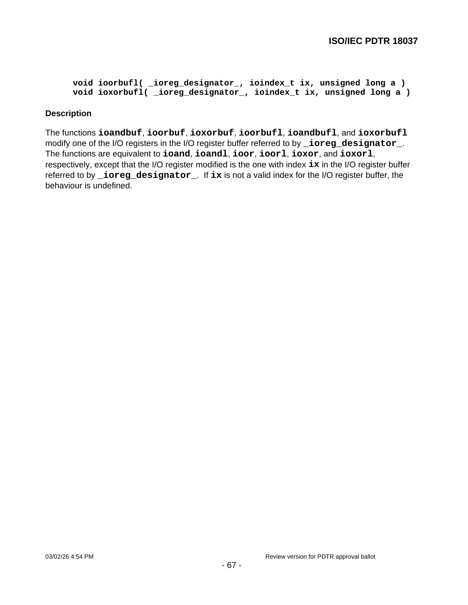```
void ioorbufl( _ioreg_designator_, ioindex_t ix, unsigned long a )
void ioxorbufl( _ioreg_designator_, ioindex_t ix, unsigned long a )
```
#### **Description**

The functions **ioandbuf**, **ioorbuf**, **ioxorbuf**, **ioorbufl**, **ioandbufl**, and **ioxorbufl** modify one of the I/O registers in the I/O register buffer referred to by **\_ioreg\_designator\_**. The functions are equivalent to **ioand**, **ioandl**, **ioor**, **ioorl**, **ioxor**, and **ioxorl**, respectively, except that the I/O register modified is the one with index **ix** in the I/O register buffer referred to by **\_ioreg\_designator\_**. If **ix** is not a valid index for the I/O register buffer, the behaviour is undefined.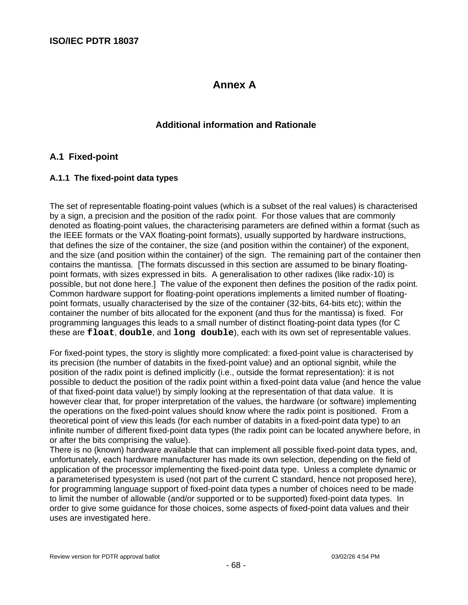# **Annex A**

# **Additional information and Rationale**

# **A.1 Fixed-point**

## **A.1.1 The fixed-point data types**

The set of representable floating-point values (which is a subset of the real values) is characterised by a sign, a precision and the position of the radix point. For those values that are commonly denoted as floating-point values, the characterising parameters are defined within a format (such as the IEEE formats or the VAX floating-point formats), usually supported by hardware instructions, that defines the size of the container, the size (and position within the container) of the exponent, and the size (and position within the container) of the sign. The remaining part of the container then contains the mantissa. [The formats discussed in this section are assumed to be binary floatingpoint formats, with sizes expressed in bits. A generalisation to other radixes (like radix-10) is possible, but not done here.] The value of the exponent then defines the position of the radix point. Common hardware support for floating-point operations implements a limited number of floatingpoint formats, usually characterised by the size of the container (32-bits, 64-bits etc); within the container the number of bits allocated for the exponent (and thus for the mantissa) is fixed. For programming languages this leads to a small number of distinct floating-point data types (for C these are **float**, **double**, and **long double**), each with its own set of representable values.

For fixed-point types, the story is slightly more complicated: a fixed-point value is characterised by its precision (the number of databits in the fixed-point value) and an optional signbit, while the position of the radix point is defined implicitly (i.e., outside the format representation): it is not possible to deduct the position of the radix point within a fixed-point data value (and hence the value of that fixed-point data value!) by simply looking at the representation of that data value. It is however clear that, for proper interpretation of the values, the hardware (or software) implementing the operations on the fixed-point values should know where the radix point is positioned. From a theoretical point of view this leads (for each number of databits in a fixed-point data type) to an infinite number of different fixed-point data types (the radix point can be located anywhere before, in or after the bits comprising the value).

There is no (known) hardware available that can implement all possible fixed-point data types, and, unfortunately, each hardware manufacturer has made its own selection, depending on the field of application of the processor implementing the fixed-point data type. Unless a complete dynamic or a parameterised typesystem is used (not part of the current C standard, hence not proposed here), for programming language support of fixed-point data types a number of choices need to be made to limit the number of allowable (and/or supported or to be supported) fixed-point data types. In order to give some guidance for those choices, some aspects of fixed-point data values and their uses are investigated here.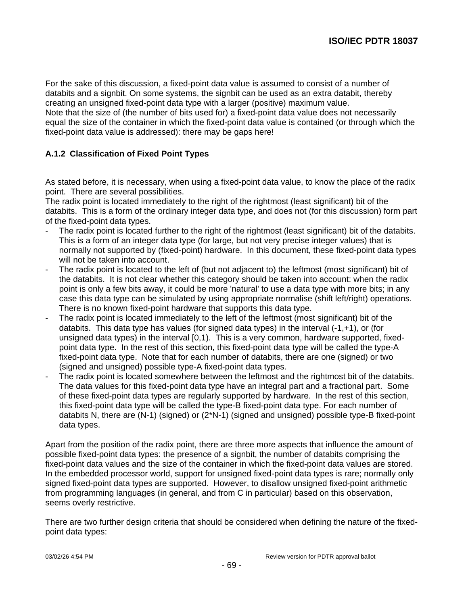For the sake of this discussion, a fixed-point data value is assumed to consist of a number of databits and a signbit. On some systems, the signbit can be used as an extra databit, thereby creating an unsigned fixed-point data type with a larger (positive) maximum value. Note that the size of (the number of bits used for) a fixed-point data value does not necessarily equal the size of the container in which the fixed-point data value is contained (or through which the fixed-point data value is addressed): there may be gaps here!

# **A.1.2 Classification of Fixed Point Types**

As stated before, it is necessary, when using a fixed-point data value, to know the place of the radix point. There are several possibilities.

The radix point is located immediately to the right of the rightmost (least significant) bit of the databits. This is a form of the ordinary integer data type, and does not (for this discussion) form part of the fixed-point data types.

- The radix point is located further to the right of the rightmost (least significant) bit of the databits. This is a form of an integer data type (for large, but not very precise integer values) that is normally not supported by (fixed-point) hardware. In this document, these fixed-point data types will not be taken into account.
- The radix point is located to the left of (but not adjacent to) the leftmost (most significant) bit of the databits. It is not clear whether this category should be taken into account: when the radix point is only a few bits away, it could be more 'natural' to use a data type with more bits; in any case this data type can be simulated by using appropriate normalise (shift left/right) operations. There is no known fixed-point hardware that supports this data type.
- The radix point is located immediately to the left of the leftmost (most significant) bit of the databits. This data type has values (for signed data types) in the interval (-1,+1), or (for unsigned data types) in the interval [0,1). This is a very common, hardware supported, fixedpoint data type. In the rest of this section, this fixed-point data type will be called the type-A fixed-point data type. Note that for each number of databits, there are one (signed) or two (signed and unsigned) possible type-A fixed-point data types.
- The radix point is located somewhere between the leftmost and the rightmost bit of the databits. The data values for this fixed-point data type have an integral part and a fractional part. Some of these fixed-point data types are regularly supported by hardware. In the rest of this section, this fixed-point data type will be called the type-B fixed-point data type. For each number of databits N, there are (N-1) (signed) or (2\*N-1) (signed and unsigned) possible type-B fixed-point data types.

Apart from the position of the radix point, there are three more aspects that influence the amount of possible fixed-point data types: the presence of a signbit, the number of databits comprising the fixed-point data values and the size of the container in which the fixed-point data values are stored. In the embedded processor world, support for unsigned fixed-point data types is rare; normally only signed fixed-point data types are supported. However, to disallow unsigned fixed-point arithmetic from programming languages (in general, and from C in particular) based on this observation, seems overly restrictive.

There are two further design criteria that should be considered when defining the nature of the fixedpoint data types: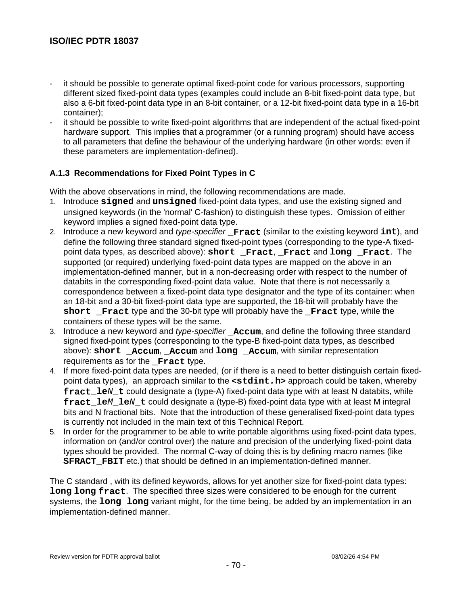- it should be possible to generate optimal fixed-point code for various processors, supporting different sized fixed-point data types (examples could include an 8-bit fixed-point data type, but also a 6-bit fixed-point data type in an 8-bit container, or a 12-bit fixed-point data type in a 16-bit container);
- it should be possible to write fixed-point algorithms that are independent of the actual fixed-point hardware support. This implies that a programmer (or a running program) should have access to all parameters that define the behaviour of the underlying hardware (in other words: even if these parameters are implementation-defined).

# **A.1.3 Recommendations for Fixed Point Types in C**

With the above observations in mind, the following recommendations are made.

- 1. Introduce **signed** and **unsigned** fixed-point data types, and use the existing signed and unsigned keywords (in the 'normal' C-fashion) to distinguish these types. Omission of either keyword implies a signed fixed-point data type.
- 2. Introduce a new keyword and type-specifier **\_Fract** (similar to the existing keyword **int**), and define the following three standard signed fixed-point types (corresponding to the type-A fixedpoint data types, as described above): **short \_Fract**, **\_Fract** and **long \_Fract**. The supported (or required) underlying fixed-point data types are mapped on the above in an implementation-defined manner, but in a non-decreasing order with respect to the number of databits in the corresponding fixed-point data value. Note that there is not necessarily a correspondence between a fixed-point data type designator and the type of its container: when an 18-bit and a 30-bit fixed-point data type are supported, the 18-bit will probably have the **short \_Fract** type and the 30-bit type will probably have the **\_Fract** type, while the containers of these types will be the same.
- 3. Introduce a new keyword and type-specifier **\_Accum**, and define the following three standard signed fixed-point types (corresponding to the type-B fixed-point data types, as described above): **short Accum**, **Accum** and **long \_Accum**, with similar representation requirements as for the **Fract** type.
- 4. If more fixed-point data types are needed, (or if there is a need to better distinguish certain fixedpoint data types), an approach similar to the **<stdint.h>** approach could be taken, whereby **fract** le*N* t could designate a (type-A) fixed-point data type with at least N databits, while **fract\_le**M**\_le**N**\_t** could designate a (type-B) fixed-point data type with at least M integral bits and N fractional bits. Note that the introduction of these generalised fixed-point data types is currently not included in the main text of this Technical Report.
- 5. In order for the programmer to be able to write portable algorithms using fixed-point data types, information on (and/or control over) the nature and precision of the underlying fixed-point data types should be provided. The normal C-way of doing this is by defining macro names (like **SFRACT\_FBIT** etc.) that should be defined in an implementation-defined manner.

The C standard , with its defined keywords, allows for yet another size for fixed-point data types: **long long fract**. The specified three sizes were considered to be enough for the current systems, the **long long** variant might, for the time being, be added by an implementation in an implementation-defined manner.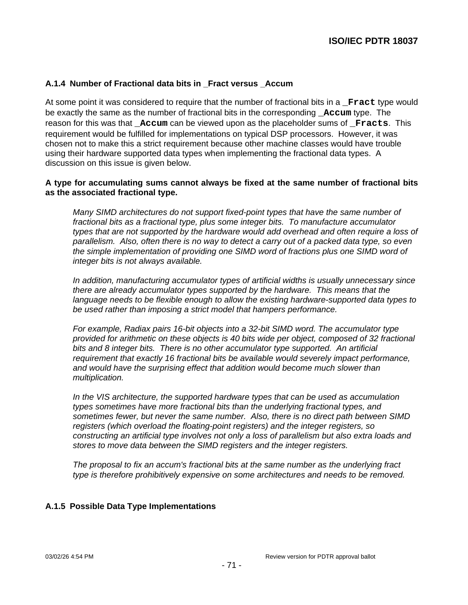# **A.1.4 Number of Fractional data bits in \_Fract versus \_Accum**

At some point it was considered to require that the number of fractional bits in a **Fract** type would be exactly the same as the number of fractional bits in the corresponding **Accum** type. The reason for this was that **Accum** can be viewed upon as the placeholder sums of **Fracts**. This requirement would be fulfilled for implementations on typical DSP processors. However, it was chosen not to make this a strict requirement because other machine classes would have trouble using their hardware supported data types when implementing the fractional data types. A discussion on this issue is given below.

#### **A type for accumulating sums cannot always be fixed at the same number of fractional bits as the associated fractional type.**

Many SIMD architectures do not support fixed-point types that have the same number of fractional bits as a fractional type, plus some integer bits. To manufacture accumulator types that are not supported by the hardware would add overhead and often require a loss of parallelism. Also, often there is no way to detect a carry out of a packed data type, so even the simple implementation of providing one SIMD word of fractions plus one SIMD word of integer bits is not always available.

In addition, manufacturing accumulator types of artificial widths is usually unnecessary since there are already accumulator types supported by the hardware. This means that the language needs to be flexible enough to allow the existing hardware-supported data types to be used rather than imposing a strict model that hampers performance.

For example, Radiax pairs 16-bit objects into a 32-bit SIMD word. The accumulator type provided for arithmetic on these objects is 40 bits wide per object, composed of 32 fractional bits and 8 integer bits. There is no other accumulator type supported. An artificial requirement that exactly 16 fractional bits be available would severely impact performance, and would have the surprising effect that addition would become much slower than multiplication.

In the VIS architecture, the supported hardware types that can be used as accumulation types sometimes have more fractional bits than the underlying fractional types, and sometimes fewer, but never the same number. Also, there is no direct path between SIMD registers (which overload the floating-point registers) and the integer registers, so constructing an artificial type involves not only a loss of parallelism but also extra loads and stores to move data between the SIMD registers and the integer registers.

The proposal to fix an accum's fractional bits at the same number as the underlying fract type is therefore prohibitively expensive on some architectures and needs to be removed.

## **A.1.5 Possible Data Type Implementations**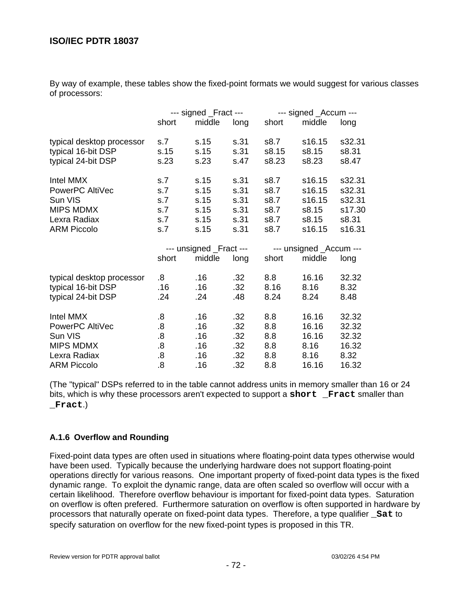By way of example, these tables show the fixed-point formats we would suggest for various classes of processors:

|                           | --- signed _Fract ---   |        |      | --- signed _Accum ---   |        |        |
|---------------------------|-------------------------|--------|------|-------------------------|--------|--------|
|                           | short                   | middle | long | short                   | middle | long   |
| typical desktop processor | s.7                     | s.15   | s.31 | s8.7                    | s16.15 | s32.31 |
| typical 16-bit DSP        | s.15                    | s.15   | s.31 | s8.15                   | s8.15  | s8.31  |
| typical 24-bit DSP        | s.23                    | s.23   | s.47 | s8.23                   | s8.23  | s8.47  |
| Intel MMX                 | s.7                     | s.15   | s.31 | s8.7                    | s16.15 | s32.31 |
| PowerPC AltiVec           | s.7                     | s.15   | s.31 | s8.7                    | s16.15 | s32.31 |
| Sun VIS                   | s.7                     | s.15   | s.31 | s8.7                    | s16.15 | s32.31 |
| <b>MIPS MDMX</b>          | s.7                     | s.15   | s.31 | s8.7                    | s8.15  | s17.30 |
| Lexra Radiax              | s.7                     | s.15   | s.31 | s8.7                    | s8.15  | s8.31  |
| <b>ARM Piccolo</b>        | s.7                     | s.15   | s.31 | s8.7                    | s16.15 | s16.31 |
|                           | --- unsigned _Fract --- |        |      | --- unsigned _Accum --- |        |        |
|                           | short                   | middle | long | short                   | middle | long   |
| typical desktop processor | 8.5                     | .16    | .32  | 8.8                     | 16.16  | 32.32  |
| typical 16-bit DSP        | .16                     | .16    | .32  | 8.16                    | 8.16   | 8.32   |
| typical 24-bit DSP        | .24                     | .24    | .48  | 8.24                    | 8.24   | 8.48   |
| Intel MMX                 | .8                      | .16    | .32  | 8.8                     | 16.16  | 32.32  |
| PowerPC AltiVec           | $\boldsymbol{.8}$       | .16    | .32  | 8.8                     | 16.16  | 32.32  |
| Sun VIS                   | 8.5                     | .16    | .32  | 8.8                     | 16.16  | 32.32  |
| <b>MIPS MDMX</b>          | 8.5                     | .16    | .32  | 8.8                     | 8.16   | 16.32  |
| Lexra Radiax              | 8.                      | .16    | .32  | 8.8                     | 8.16   | 8.32   |
| <b>ARM Piccolo</b>        | 8.5                     | .16    | .32  | 8.8                     | 16.16  | 16.32  |

(The "typical" DSPs referred to in the table cannot address units in memory smaller than 16 or 24 bits, which is why these processors aren't expected to support a **short \_Fract** smaller than **\_Fract**.)

# **A.1.6 Overflow and Rounding**

Fixed-point data types are often used in situations where floating-point data types otherwise would have been used. Typically because the underlying hardware does not support floating-point operations directly for various reasons. One important property of fixed-point data types is the fixed dynamic range. To exploit the dynamic range, data are often scaled so overflow will occur with a certain likelihood. Therefore overflow behaviour is important for fixed-point data types. Saturation on overflow is often prefered. Furthermore saturation on overflow is often supported in hardware by processors that naturally operate on fixed-point data types. Therefore, a type qualifier **\_Sat** to specify saturation on overflow for the new fixed-point types is proposed in this TR.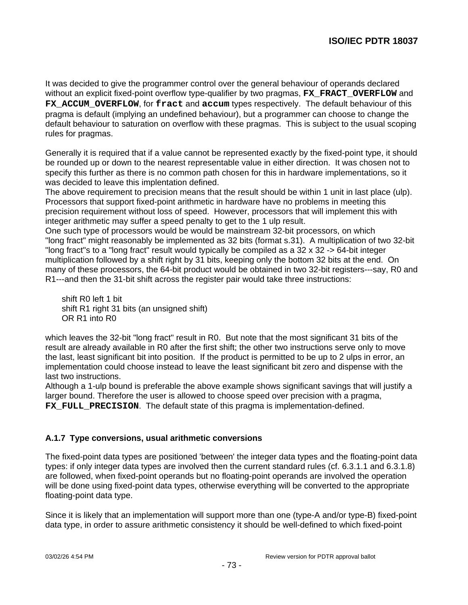It was decided to give the programmer control over the general behaviour of operands declared without an explicit fixed-point overflow type-qualifier by two pragmas, **FX\_FRACT\_OVERFLOW** and FX ACCUM OVERFLOW, for fract and accum types respectively. The default behaviour of this pragma is default (implying an undefined behaviour), but a programmer can choose to change the default behaviour to saturation on overflow with these pragmas. This is subject to the usual scoping rules for pragmas.

Generally it is required that if a value cannot be represented exactly by the fixed-point type, it should be rounded up or down to the nearest representable value in either direction. It was chosen not to specify this further as there is no common path chosen for this in hardware implementations, so it was decided to leave this implentation defined.

The above requirement to precision means that the result should be within 1 unit in last place (ulp). Processors that support fixed-point arithmetic in hardware have no problems in meeting this precision requirement without loss of speed. However, processors that will implement this with integer arithmetic may suffer a speed penalty to get to the 1 ulp result.

One such type of processors would be would be mainstream 32-bit processors, on which "long fract" might reasonably be implemented as 32 bits (format s.31). A multiplication of two 32-bit "long fract"s to a "long fract" result would typically be compiled as a 32 x 32 -> 64-bit integer multiplication followed by a shift right by 31 bits, keeping only the bottom 32 bits at the end. On many of these processors, the 64-bit product would be obtained in two 32-bit registers---say, R0 and R1---and then the 31-bit shift across the register pair would take three instructions:

 shift R0 left 1 bit shift R1 right 31 bits (an unsigned shift) OR R1 into R0

which leaves the 32-bit "long fract" result in R0. But note that the most significant 31 bits of the result are already available in R0 after the first shift; the other two instructions serve only to move the last, least significant bit into position. If the product is permitted to be up to 2 ulps in error, an implementation could choose instead to leave the least significant bit zero and dispense with the last two instructions.

Although a 1-ulp bound is preferable the above example shows significant savings that will justify a larger bound. Therefore the user is allowed to choose speed over precision with a pragma, **FX** FULL PRECISION. The default state of this pragma is implementation-defined.

# **A.1.7 Type conversions, usual arithmetic conversions**

The fixed-point data types are positioned 'between' the integer data types and the floating-point data types: if only integer data types are involved then the current standard rules (cf. 6.3.1.1 and 6.3.1.8) are followed, when fixed-point operands but no floating-point operands are involved the operation will be done using fixed-point data types, otherwise everything will be converted to the appropriate floating-point data type.

Since it is likely that an implementation will support more than one (type-A and/or type-B) fixed-point data type, in order to assure arithmetic consistency it should be well-defined to which fixed-point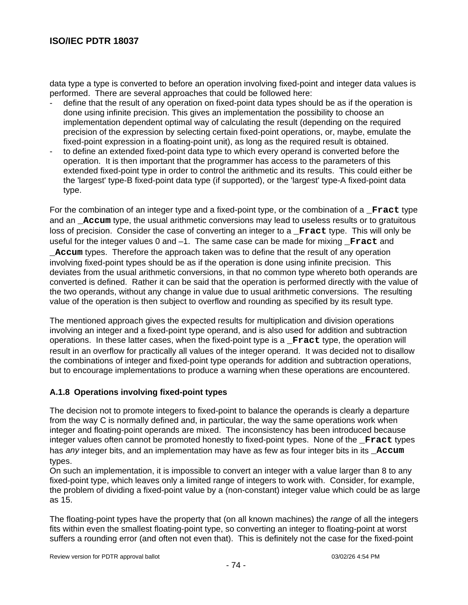data type a type is converted to before an operation involving fixed-point and integer data values is performed. There are several approaches that could be followed here:

- define that the result of any operation on fixed-point data types should be as if the operation is done using infinite precision. This gives an implementation the possibility to choose an implementation dependent optimal way of calculating the result (depending on the required precision of the expression by selecting certain fixed-point operations, or, maybe, emulate the fixed-point expression in a floating-point unit), as long as the required result is obtained.
- to define an extended fixed-point data type to which every operand is converted before the operation. It is then important that the programmer has access to the parameters of this extended fixed-point type in order to control the arithmetic and its results. This could either be the 'largest' type-B fixed-point data type (if supported), or the 'largest' type-A fixed-point data type.

For the combination of an integer type and a fixed-point type, or the combination of a **\_Fract** type and an **\_Accum** type, the usual arithmetic conversions may lead to useless results or to gratuitous loss of precision. Consider the case of converting an integer to a **\_Fract** type. This will only be useful for the integer values 0 and -1. The same case can be made for mixing **Fract** and **\_Accum** types. Therefore the approach taken was to define that the result of any operation involving fixed-point types should be as if the operation is done using infinite precision. This deviates from the usual arithmetic conversions, in that no common type whereto both operands are converted is defined. Rather it can be said that the operation is performed directly with the value of the two operands, without any change in value due to usual arithmetic conversions. The resulting value of the operation is then subject to overflow and rounding as specified by its result type.

The mentioned approach gives the expected results for multiplication and division operations involving an integer and a fixed-point type operand, and is also used for addition and subtraction operations. In these latter cases, when the fixed-point type is a **\_Fract** type, the operation will result in an overflow for practically all values of the integer operand. It was decided not to disallow the combinations of integer and fixed-point type operands for addition and subtraction operations, but to encourage implementations to produce a warning when these operations are encountered.

#### **A.1.8 Operations involving fixed-point types**

The decision not to promote integers to fixed-point to balance the operands is clearly a departure from the way C is normally defined and, in particular, the way the same operations work when integer and floating-point operands are mixed. The inconsistency has been introduced because integer values often cannot be promoted honestly to fixed-point types. None of the **\_Fract** types has any integer bits, and an implementation may have as few as four integer bits in its **Accum** types.

On such an implementation, it is impossible to convert an integer with a value larger than 8 to any fixed-point type, which leaves only a limited range of integers to work with. Consider, for example, the problem of dividing a fixed-point value by a (non-constant) integer value which could be as large as 15.

The floating-point types have the property that (on all known machines) the *range* of all the integers fits within even the smallest floating-point type, so converting an integer to floating-point at worst suffers a rounding error (and often not even that). This is definitely not the case for the fixed-point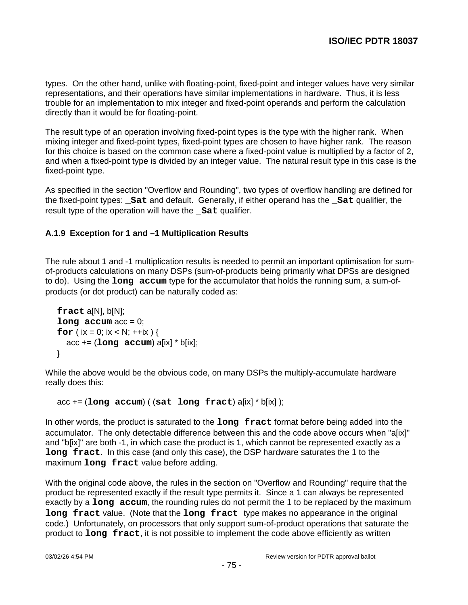types. On the other hand, unlike with floating-point, fixed-point and integer values have very similar representations, and their operations have similar implementations in hardware. Thus, it is less trouble for an implementation to mix integer and fixed-point operands and perform the calculation directly than it would be for floating-point.

The result type of an operation involving fixed-point types is the type with the higher rank. When mixing integer and fixed-point types, fixed-point types are chosen to have higher rank. The reason for this choice is based on the common case where a fixed-point value is multiplied by a factor of 2, and when a fixed-point type is divided by an integer value. The natural result type in this case is the fixed-point type.

As specified in the section "Overflow and Rounding", two types of overflow handling are defined for the fixed-point types: **\_Sat** and default. Generally, if either operand has the **\_Sat** qualifier, the result type of the operation will have the **\_Sat** qualifier.

# **A.1.9 Exception for 1 and –1 Multiplication Results**

The rule about 1 and -1 multiplication results is needed to permit an important optimisation for sumof-products calculations on many DSPs (sum-of-products being primarily what DPSs are designed to do). Using the **long accum** type for the accumulator that holds the running sum, a sum-ofproducts (or dot product) can be naturally coded as:

```
 fract a[N], b[N];
\text{long} \text{accum} \text{acc} = 0;
for (ix = 0; ix < N; ++ix) {
   acc += (long accum) a[ix] * b[ix];
 }
```
While the above would be the obvious code, on many DSPs the multiply-accumulate hardware really does this:

```
 acc += (long accum) ( (sat long fract) a[ix] * b[ix] );
```
In other words, the product is saturated to the **long fract** format before being added into the accumulator. The only detectable difference between this and the code above occurs when "a[ix]" and "b[ix]" are both -1, in which case the product is 1, which cannot be represented exactly as a **long fract**. In this case (and only this case), the DSP hardware saturates the 1 to the maximum **long fract** value before adding.

With the original code above, the rules in the section on "Overflow and Rounding" require that the product be represented exactly if the result type permits it. Since a 1 can always be represented exactly by a **long accum**, the rounding rules do not permit the 1 to be replaced by the maximum **long fract** value. (Note that the **long fract** type makes no appearance in the original code.) Unfortunately, on processors that only support sum-of-product operations that saturate the product to **long fract**, it is not possible to implement the code above efficiently as written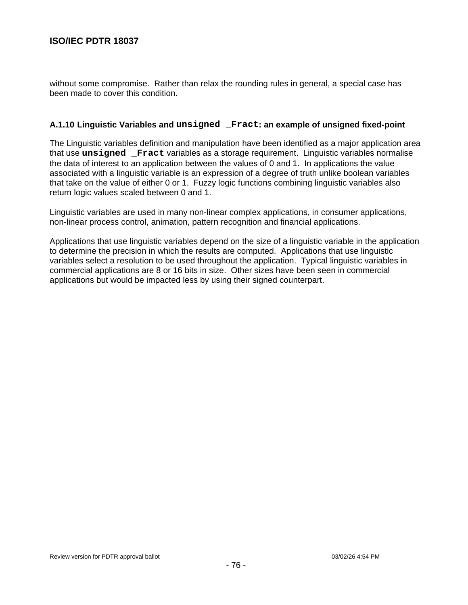without some compromise. Rather than relax the rounding rules in general, a special case has been made to cover this condition.

#### **A.1.10 Linguistic Variables and unsigned \_Fract: an example of unsigned fixed-point**

The Linguistic variables definition and manipulation have been identified as a major application area that use **unsigned \_Fract** variables as a storage requirement. Linguistic variables normalise the data of interest to an application between the values of 0 and 1. In applications the value associated with a linguistic variable is an expression of a degree of truth unlike boolean variables that take on the value of either 0 or 1. Fuzzy logic functions combining linguistic variables also return logic values scaled between 0 and 1.

Linguistic variables are used in many non-linear complex applications, in consumer applications, non-linear process control, animation, pattern recognition and financial applications.

Applications that use linguistic variables depend on the size of a linguistic variable in the application to determine the precision in which the results are computed. Applications that use linguistic variables select a resolution to be used throughout the application. Typical linguistic variables in commercial applications are 8 or 16 bits in size. Other sizes have been seen in commercial applications but would be impacted less by using their signed counterpart.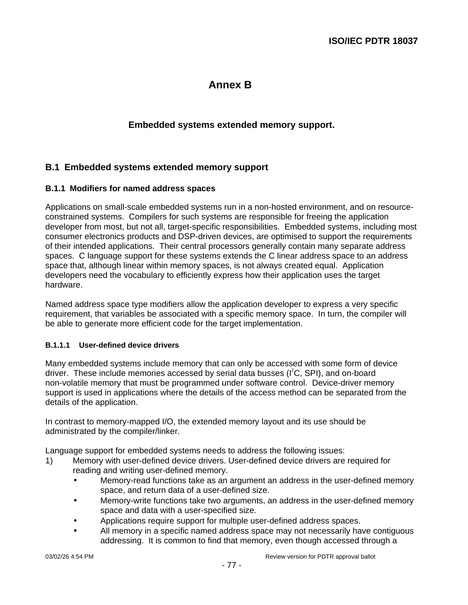# **Annex B**

# **Embedded systems extended memory support.**

# **B.1 Embedded systems extended memory support**

#### **B.1.1 Modifiers for named address spaces**

Applications on small-scale embedded systems run in a non-hosted environment, and on resourceconstrained systems. Compilers for such systems are responsible for freeing the application developer from most, but not all, target-specific responsibilities. Embedded systems, including most consumer electronics products and DSP-driven devices, are optimised to support the requirements of their intended applications. Their central processors generally contain many separate address spaces. C language support for these systems extends the C linear address space to an address space that, although linear within memory spaces, is not always created equal. Application developers need the vocabulary to efficiently express how their application uses the target hardware.

Named address space type modifiers allow the application developer to express a very specific requirement, that variables be associated with a specific memory space. In turn, the compiler will be able to generate more efficient code for the target implementation.

#### **B.1.1.1 User-defined device drivers**

Many embedded systems include memory that can only be accessed with some form of device driver. These include memories accessed by serial data busses (I<sup>2</sup>C, SPI), and on-board non-volatile memory that must be programmed under software control. Device-driver memory support is used in applications where the details of the access method can be separated from the details of the application.

In contrast to memory-mapped I/O, the extended memory layout and its use should be administrated by the compiler/linker.

Language support for embedded systems needs to address the following issues:

- 1) Memory with user-defined device drivers. User-defined device drivers are required for reading and writing user-defined memory.
	- Memory-read functions take as an argument an address in the user-defined memory space, and return data of a user-defined size.
	- Memory-write functions take two arguments, an address in the user-defined memory space and data with a user-specified size.
	- Applications require support for multiple user-defined address spaces.
	- All memory in a specific named address space may not necessarily have contiguous addressing. It is common to find that memory, even though accessed through a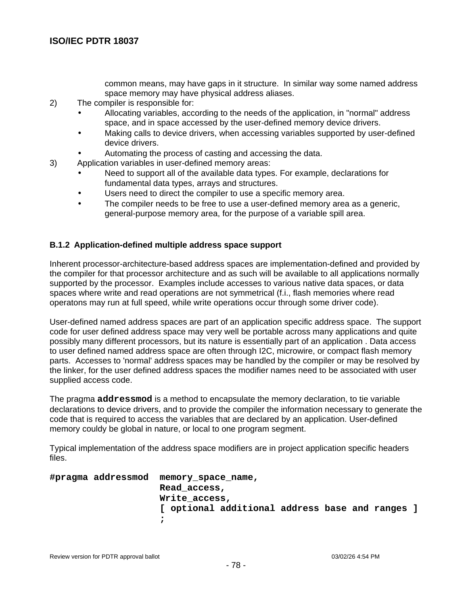common means, may have gaps in it structure. In similar way some named address space memory may have physical address aliases.

- 2) The compiler is responsible for:
	- Allocating variables, according to the needs of the application, in "normal" address space, and in space accessed by the user-defined memory device drivers.
	- Making calls to device drivers, when accessing variables supported by user-defined device drivers.
	- Automating the process of casting and accessing the data.
- 3) Application variables in user-defined memory areas:
	- Need to support all of the available data types. For example, declarations for fundamental data types, arrays and structures.
	- Users need to direct the compiler to use a specific memory area.
	- The compiler needs to be free to use a user-defined memory area as a generic, general-purpose memory area, for the purpose of a variable spill area.

#### **B.1.2 Application-defined multiple address space support**

Inherent processor-architecture-based address spaces are implementation-defined and provided by the compiler for that processor architecture and as such will be available to all applications normally supported by the processor. Examples include accesses to various native data spaces, or data spaces where write and read operations are not symmetrical (f.i., flash memories where read operatons may run at full speed, while write operations occur through some driver code).

User-defined named address spaces are part of an application specific address space. The support code for user defined address space may very well be portable across many applications and quite possibly many different processors, but its nature is essentially part of an application . Data access to user defined named address space are often through I2C, microwire, or compact flash memory parts. Accesses to 'normal' address spaces may be handled by the compiler or may be resolved by the linker, for the user defined address spaces the modifier names need to be associated with user supplied access code.

The pragma **addressmod** is a method to encapsulate the memory declaration, to tie variable declarations to device drivers, and to provide the compiler the information necessary to generate the code that is required to access the variables that are declared by an application. User-defined memory couldy be global in nature, or local to one program segment.

Typical implementation of the address space modifiers are in project application specific headers files.

```
#pragma addressmod memory_space_name,
                    Read_access,
                    Write_access,
                    [ optional additional address base and ranges ]
                    ;
```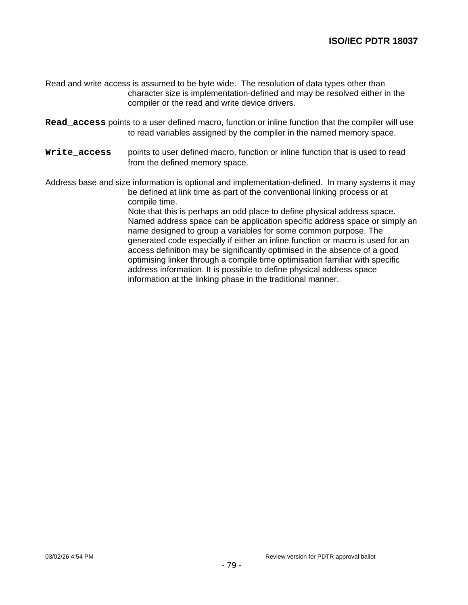- Read and write access is assumed to be byte wide. The resolution of data types other than character size is implementation-defined and may be resolved either in the compiler or the read and write device drivers.
- **Read\_access** points to a user defined macro, function or inline function that the compiler will use to read variables assigned by the compiler in the named memory space.
- Write  $access$  points to user defined macro, function or inline function that is used to read from the defined memory space.

Address base and size information is optional and implementation-defined. In many systems it may be defined at link time as part of the conventional linking process or at compile time.

> Note that this is perhaps an odd place to define physical address space. Named address space can be application specific address space or simply an name designed to group a variables for some common purpose. The generated code especially if either an inline function or macro is used for an access definition may be significantly optimised in the absence of a good optimising linker through a compile time optimisation familiar with specific address information. It is possible to define physical address space information at the linking phase in the traditional manner.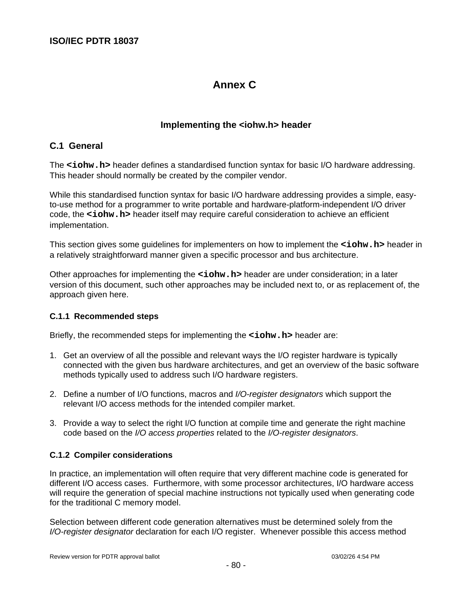# **Annex C**

# **Implementing the <iohw.h> header**

# **C.1 General**

The **<iohw.h>** header defines a standardised function syntax for basic I/O hardware addressing. This header should normally be created by the compiler vendor.

While this standardised function syntax for basic I/O hardware addressing provides a simple, easyto-use method for a programmer to write portable and hardware-platform-independent I/O driver code, the **<iohw.h>** header itself may require careful consideration to achieve an efficient implementation.

This section gives some guidelines for implementers on how to implement the **<iohw.h>** header in a relatively straightforward manner given a specific processor and bus architecture.

Other approaches for implementing the **<iohw.h>** header are under consideration; in a later version of this document, such other approaches may be included next to, or as replacement of, the approach given here.

#### **C.1.1 Recommended steps**

Briefly, the recommended steps for implementing the **<iohw.h>** header are:

- 1. Get an overview of all the possible and relevant ways the I/O register hardware is typically connected with the given bus hardware architectures, and get an overview of the basic software methods typically used to address such I/O hardware registers.
- 2. Define a number of I/O functions, macros and I/O-register designators which support the relevant I/O access methods for the intended compiler market.
- 3. Provide a way to select the right I/O function at compile time and generate the right machine code based on the I/O access properties related to the I/O-register designators.

#### **C.1.2 Compiler considerations**

In practice, an implementation will often require that very different machine code is generated for different I/O access cases. Furthermore, with some processor architectures, I/O hardware access will require the generation of special machine instructions not typically used when generating code for the traditional C memory model.

Selection between different code generation alternatives must be determined solely from the I/O-register designator declaration for each I/O register. Whenever possible this access method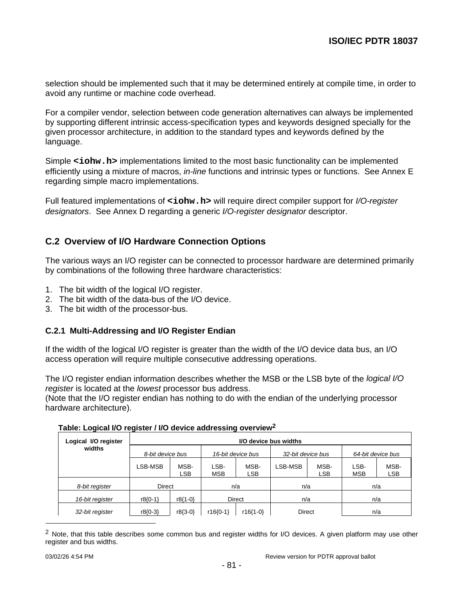selection should be implemented such that it may be determined entirely at compile time, in order to avoid any runtime or machine code overhead.

For a compiler vendor, selection between code generation alternatives can always be implemented by supporting different intrinsic access-specification types and keywords designed specially for the given processor architecture, in addition to the standard types and keywords defined by the language.

Simple <iohw.h> implementations limited to the most basic functionality can be implemented efficiently using a mixture of macros, in-line functions and intrinsic types or functions. See Annex E regarding simple macro implementations.

Full featured implementations of <iohw.h> will require direct compiler support for *I/O-register* designators. See Annex D regarding a generic I/O-register designator descriptor.

# **C.2 Overview of I/O Hardware Connection Options**

The various ways an I/O register can be connected to processor hardware are determined primarily by combinations of the following three hardware characteristics:

- 1. The bit width of the logical I/O register.
- 2. The bit width of the data-bus of the I/O device.
- 3. The bit width of the processor-bus.

#### **C.2.1 Multi-Addressing and I/O Register Endian**

If the width of the logical I/O register is greater than the width of the I/O device data bus, an I/O access operation will require multiple consecutive addressing operations.

The I/O register endian information describes whether the MSB or the LSB byte of the logical I/O register is located at the lowest processor bus address.

(Note that the I/O register endian has nothing to do with the endian of the underlying processor hardware architecture).

| Logical I/O register | I/O device bus widths |                    |                        |                    |         |                    |                    |                    |  |  |
|----------------------|-----------------------|--------------------|------------------------|--------------------|---------|--------------------|--------------------|--------------------|--|--|
| widths               |                       | 8-bit device bus   |                        | 16-bit device bus  |         | 32-bit device bus  |                    | 64-bit device bus  |  |  |
|                      | LSB-MSB               | MSB-<br><b>LSB</b> | LSB-<br><b>MSB</b>     | MSB-<br><b>LSB</b> | LSB-MSB | MSB-<br><b>LSB</b> | LSB-<br><b>MSB</b> | MSB-<br><b>LSB</b> |  |  |
| 8-bit register       | Direct                |                    | n/a                    |                    | n/a     |                    | n/a                |                    |  |  |
| 16-bit register      | $r8(0-1)$             | r8{1-0}            | <b>Direct</b>          |                    | n/a     |                    | n/a                |                    |  |  |
| 32-bit register      | $r8(0-3)$             | $r8(3-0)$          | $r16(0-1)$<br>r16{1-0} |                    | Direct  |                    | n/a                |                    |  |  |

<sup>&</sup>lt;sup>2</sup> Note, that this table describes some common bus and register widths for I/O devices. A given platform may use other register and bus widths.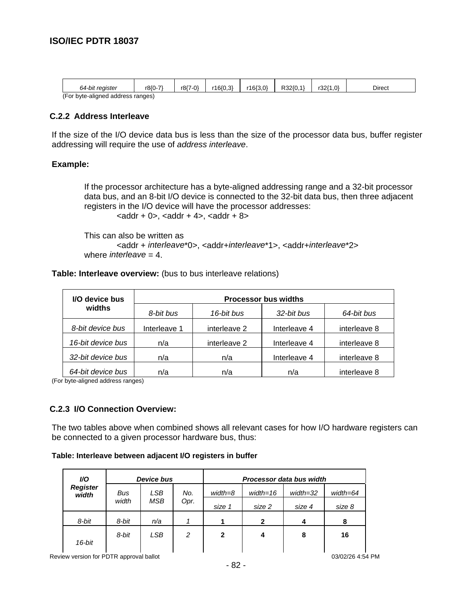| 64-bit reaister                   | r8{0-7` | r8{7-0} | r16(0.3) | r16{3.0` | R32(0, . | 3211،<br>1.0 | <b>Direct</b> |
|-----------------------------------|---------|---------|----------|----------|----------|--------------|---------------|
| (For byte-aligned address ranges) |         |         |          |          |          |              |               |

#### **C.2.2 Address Interleave**

If the size of the I/O device data bus is less than the size of the processor data bus, buffer register addressing will require the use of address interleave.

#### **Example:**

If the processor architecture has a byte-aligned addressing range and a 32-bit processor data bus, and an 8-bit I/O device is connected to the 32-bit data bus, then three adjacent registers in the I/O device will have the processor addresses:

 $\alpha$  <addr + 0>,  $\alpha$ ddr + 4>,  $\alpha$ ddr + 8>

This can also be written as <addr + interleave\*0>, <addr+interleave\*1>, <addr+interleave\*2> where *interleave* =  $4$ .

#### **Table: Interleave overview:** (bus to bus interleave relations)

| I/O device bus    | <b>Processor bus widths</b> |              |              |              |  |  |  |  |
|-------------------|-----------------------------|--------------|--------------|--------------|--|--|--|--|
| widths            | 8-bit bus                   | 16-bit bus   | 32-bit bus   | 64-bit bus   |  |  |  |  |
| 8-bit device bus  | Interleave 1                | interleave 2 | Interleave 4 | interleave 8 |  |  |  |  |
| 16-bit device bus | n/a                         | interleave 2 | Interleave 4 | interleave 8 |  |  |  |  |
| 32-bit device bus | n/a                         | n/a          | Interleave 4 | interleave 8 |  |  |  |  |
| 64-bit device bus | n/a                         | n/a          | n/a          | interleave 8 |  |  |  |  |

(For byte-aligned address ranges)

#### **C.2.3 I/O Connection Overview:**

The two tables above when combined shows all relevant cases for how I/O hardware registers can be connected to a given processor hardware bus, thus:

#### **Table: Interleave between adjacent I/O registers in buffer**

| VO.                      | <b>Device bus</b> |     |      | Processor data bus width |            |              |              |  |
|--------------------------|-------------------|-----|------|--------------------------|------------|--------------|--------------|--|
| <b>Register</b><br>width | Bus               | LSB | No.  | $width = 8$              | $width=16$ | $width = 32$ | $width = 64$ |  |
|                          | width             | MSB | Opr. | size 1                   | size 2     | size 4       | size 8       |  |
| 8-bit                    | 8-bit             | n/a |      |                          | 2          |              | 8            |  |
|                          | 8-bit             | LSB | 2    | 2                        |            | 8            | 16           |  |
| 16-bit                   |                   |     |      |                          |            |              |              |  |

ا ا ا ا ا ا Review version for PDTR approval ballot 1 03/02/26 4:54 PM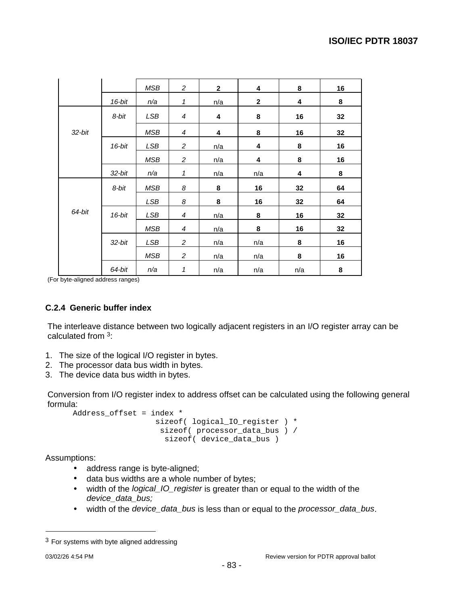|           |           | MSB        | $\overline{c}$ | $\mathbf{2}$ | 4           | 8   | 16 |
|-----------|-----------|------------|----------------|--------------|-------------|-----|----|
|           | 16-bit    | n/a        | 1              | n/a          | $\mathbf 2$ | 4   | 8  |
|           | 8-bit     | LSB        | $\overline{4}$ | 4            | 8           | 16  | 32 |
| $32$ -bit |           | MSB        | $\overline{4}$ | 4            | 8           | 16  | 32 |
|           | 16-bit    | LSB        | 2              | n/a          | 4           | 8   | 16 |
|           |           | <b>MSB</b> | $\overline{c}$ | n/a          | 4           | 8   | 16 |
|           | $32$ -bit | n/a        | 1              | n/a          | n/a         | 4   | 8  |
|           | 8-bit     | MSB        | 8              | 8            | 16          | 32  | 64 |
|           |           | LSB        | 8              | 8            | 16          | 32  | 64 |
| 64-bit    | 16-bit    | <b>LSB</b> | 4              | n/a          | 8           | 16  | 32 |
|           |           | <b>MSB</b> | 4              | n/a          | 8           | 16  | 32 |
|           | $32$ -bit | LSB        | $\overline{c}$ | n/a          | n/a         | 8   | 16 |
|           |           | MSB        | $\overline{c}$ | n/a          | n/a         | 8   | 16 |
|           | 64-bit    | n/a        | $\mathbf 1$    | n/a          | n/a         | n/a | 8  |

(For byte-aligned address ranges)

### **C.2.4 Generic buffer index**

The interleave distance between two logically adjacent registers in an I/O register array can be calculated from 3:

- 1. The size of the logical I/O register in bytes.
- 2. The processor data bus width in bytes.
- 3. The device data bus width in bytes.

Conversion from I/O register index to address offset can be calculated using the following general formula:

```
Address offset = index *
                  sizeof( logical IO register ) *
                    sizeof( processor_data_bus ) /
                     sizeof( device_data_bus )
```
Assumptions:

- address range is byte-aligned;
- data bus widths are a whole number of bytes;
- width of the *logical\_IO\_register* is greater than or equal to the width of the device\_data\_bus;
- width of the device\_data\_bus is less than or equal to the processor\_data\_bus.

 $3$  For systems with byte aligned addressing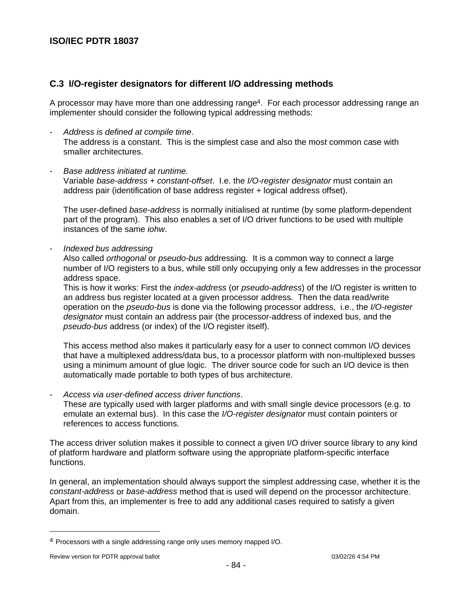# **C.3 I/O-register designators for different I/O addressing methods**

A processor may have more than one addressing range<sup>4</sup>. For each processor addressing range an implementer should consider the following typical addressing methods:

Address is defined at compile time. The address is a constant. This is the simplest case and also the most common case with smaller architectures.

#### Base address initiated at runtime.

Variable base-address + constant-offset. I.e. the I/O-register designator must contain an address pair (identification of base address register + logical address offset).

The user-defined base-address is normally initialised at runtime (by some platform-dependent part of the program). This also enables a set of I/O driver functions to be used with multiple instances of the same iohw.

Indexed bus addressing

Also called orthogonal or pseudo-bus addressing. It is a common way to connect a large number of I/O registers to a bus, while still only occupying only a few addresses in the processor address space.

This is how it works: First the index-address (or pseudo-address) of the I/O register is written to an address bus register located at a given processor address. Then the data read/write operation on the pseudo-bus is done via the following processor address, i.e., the I/O-register designator must contain an address pair (the processor-address of indexed bus, and the pseudo-bus address (or index) of the I/O register itself).

This access method also makes it particularly easy for a user to connect common I/O devices that have a multiplexed address/data bus, to a processor platform with non-multiplexed busses using a minimum amount of glue logic. The driver source code for such an I/O device is then automatically made portable to both types of bus architecture.

Access via user-defined access driver functions.

These are typically used with larger platforms and with small single device processors (e.g. to emulate an external bus). In this case the *I/O-register designator* must contain pointers or references to access functions.

The access driver solution makes it possible to connect a given I/O driver source library to any kind of platform hardware and platform software using the appropriate platform-specific interface functions.

In general, an implementation should always support the simplest addressing case, whether it is the constant-address or base-address method that is used will depend on the processor architecture. Apart from this, an implementer is free to add any additional cases required to satisfy a given domain.

<sup>4</sup> Processors with a single addressing range only uses memory mapped I/O.

Review version for PDTR approval ballot 03/02/26 4:54 PM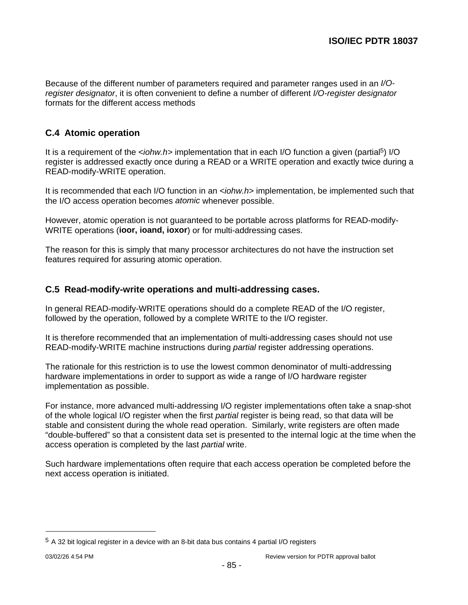Because of the different number of parameters required and parameter ranges used in an I/Oregister designator, it is often convenient to define a number of different I/O-register designator formats for the different access methods

# **C.4 Atomic operation**

It is a requirement of the <iohw.h> implementation that in each I/O function a given (partial<sup>5</sup>) I/O register is addressed exactly once during a READ or a WRITE operation and exactly twice during a READ-modify-WRITE operation.

It is recommended that each I/O function in an  $\lt$ *iohw.h*> implementation, be implemented such that the I/O access operation becomes atomic whenever possible.

However, atomic operation is not guaranteed to be portable across platforms for READ-modify-WRITE operations (**ioor, ioand, ioxor**) or for multi-addressing cases.

The reason for this is simply that many processor architectures do not have the instruction set features required for assuring atomic operation.

# **C.5 Read-modify-write operations and multi-addressing cases.**

In general READ-modify-WRITE operations should do a complete READ of the I/O register, followed by the operation, followed by a complete WRITE to the I/O register.

It is therefore recommended that an implementation of multi-addressing cases should not use READ-modify-WRITE machine instructions during partial register addressing operations.

The rationale for this restriction is to use the lowest common denominator of multi-addressing hardware implementations in order to support as wide a range of I/O hardware register implementation as possible.

For instance, more advanced multi-addressing I/O register implementations often take a snap-shot of the whole logical I/O register when the first partial register is being read, so that data will be stable and consistent during the whole read operation. Similarly, write registers are often made "double-buffered" so that a consistent data set is presented to the internal logic at the time when the access operation is completed by the last partial write.

Such hardware implementations often require that each access operation be completed before the next access operation is initiated.

<sup>5</sup> A 32 bit logical register in a device with an 8-bit data bus contains 4 partial I/O registers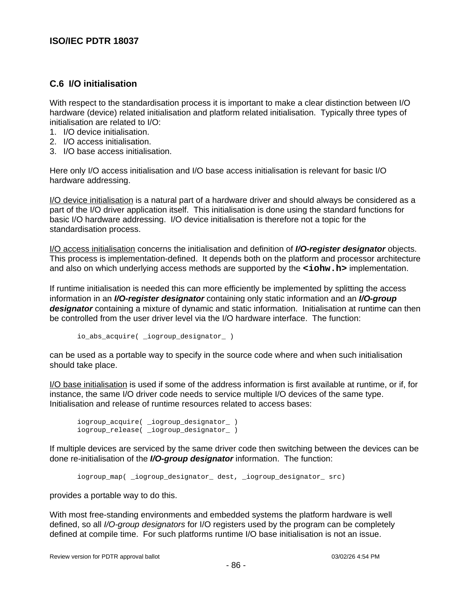# **C.6 I/O initialisation**

With respect to the standardisation process it is important to make a clear distinction between I/O hardware (device) related initialisation and platform related initialisation. Typically three types of initialisation are related to I/O:

- 1. I/O device initialisation.
- 2. I/O access initialisation.
- 3. I/O base access initialisation.

Here only I/O access initialisation and I/O base access initialisation is relevant for basic I/O hardware addressing.

I/O device initialisation is a natural part of a hardware driver and should always be considered as a part of the I/O driver application itself. This initialisation is done using the standard functions for basic I/O hardware addressing. I/O device initialisation is therefore not a topic for the standardisation process.

I/O access initialisation concerns the initialisation and definition of **I/O-register designator** objects. This process is implementation-defined. It depends both on the platform and processor architecture and also on which underlying access methods are supported by the **<iohw.h>** implementation.

If runtime initialisation is needed this can more efficiently be implemented by splitting the access information in an **I/O-register designator** containing only static information and an **I/O-group designator** containing a mixture of dynamic and static information. Initialisation at runtime can then be controlled from the user driver level via the I/O hardware interface. The function:

io\_abs\_acquire( \_iogroup\_designator\_ )

can be used as a portable way to specify in the source code where and when such initialisation should take place.

I/O base initialisation is used if some of the address information is first available at runtime, or if, for instance, the same I/O driver code needs to service multiple I/O devices of the same type. Initialisation and release of runtime resources related to access bases:

```
iogroup acquire( _iogroup designator )
iogroup_release( _iogroup_designator_ )
```
If multiple devices are serviced by the same driver code then switching between the devices can be done re-initialisation of the **I/O-group designator** information. The function:

iogroup\_map( \_iogroup\_designator\_ dest, \_iogroup\_designator\_ src)

provides a portable way to do this.

With most free-standing environments and embedded systems the platform hardware is well defined, so all I/O-group designators for I/O registers used by the program can be completely defined at compile time. For such platforms runtime I/O base initialisation is not an issue.

Review version for PDTR approval ballot 03/02/26 4:54 PM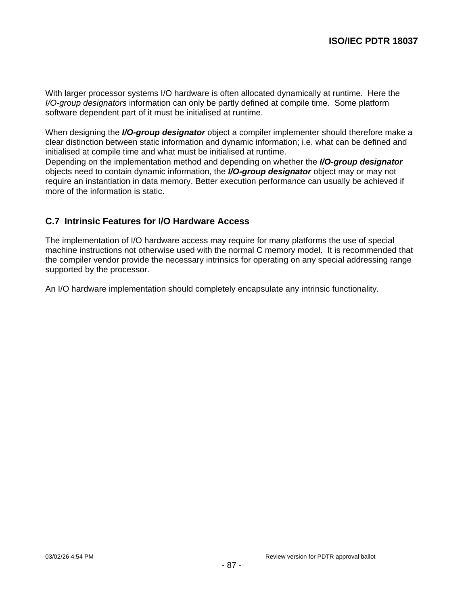With larger processor systems I/O hardware is often allocated dynamically at runtime. Here the I/O-group designators information can only be partly defined at compile time. Some platform software dependent part of it must be initialised at runtime.

When designing the **I/O-group designator** object a compiler implementer should therefore make a clear distinction between static information and dynamic information; i.e. what can be defined and initialised at compile time and what must be initialised at runtime.

Depending on the implementation method and depending on whether the **I/O-group designator** objects need to contain dynamic information, the **I/O-group designator** object may or may not require an instantiation in data memory. Better execution performance can usually be achieved if more of the information is static.

# **C.7 Intrinsic Features for I/O Hardware Access**

The implementation of I/O hardware access may require for many platforms the use of special machine instructions not otherwise used with the normal C memory model. It is recommended that the compiler vendor provide the necessary intrinsics for operating on any special addressing range supported by the processor.

An I/O hardware implementation should completely encapsulate any intrinsic functionality.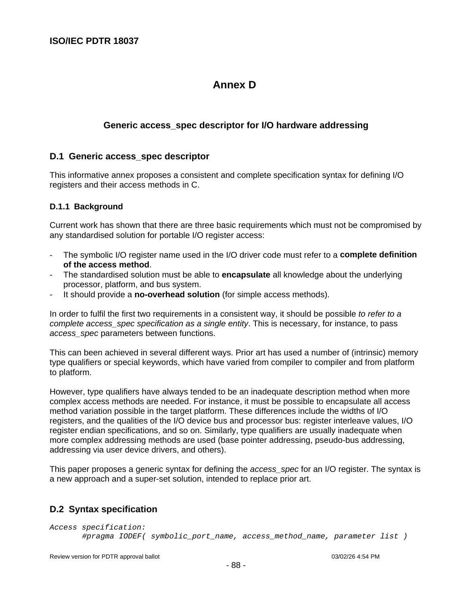# **Annex D**

# **Generic access\_spec descriptor for I/O hardware addressing**

### **D.1 Generic access\_spec descriptor**

This informative annex proposes a consistent and complete specification syntax for defining I/O registers and their access methods in C.

#### **D.1.1 Background**

Current work has shown that there are three basic requirements which must not be compromised by any standardised solution for portable I/O register access:

- The symbolic I/O register name used in the I/O driver code must refer to a **complete definition of the access method**.
- The standardised solution must be able to **encapsulate** all knowledge about the underlying processor, platform, and bus system.
- It should provide a **no-overhead solution** (for simple access methods).

In order to fulfil the first two requirements in a consistent way, it should be possible to refer to a complete access\_spec specification as a single entity. This is necessary, for instance, to pass access spec parameters between functions.

This can been achieved in several different ways. Prior art has used a number of (intrinsic) memory type qualifiers or special keywords, which have varied from compiler to compiler and from platform to platform.

However, type qualifiers have always tended to be an inadequate description method when more complex access methods are needed. For instance, it must be possible to encapsulate all access method variation possible in the target platform. These differences include the widths of I/O registers, and the qualities of the I/O device bus and processor bus: register interleave values, I/O register endian specifications, and so on. Similarly, type qualifiers are usually inadequate when more complex addressing methods are used (base pointer addressing, pseudo-bus addressing, addressing via user device drivers, and others).

This paper proposes a generic syntax for defining the access spec for an I/O register. The syntax is a new approach and a super-set solution, intended to replace prior art.

# **D.2 Syntax specification**

```
Access specification:
       #pragma IODEF( symbolic_port_name, access_method_name, parameter list )
```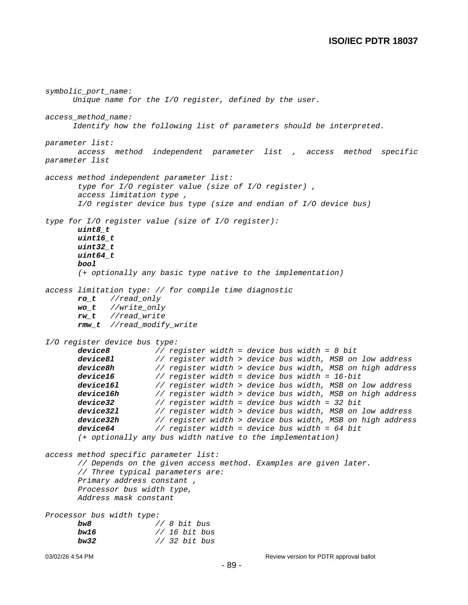```
03/02/26 4:54 PM DEVELOCITY CONSULTED Review version for PDTR approval ballot
symbolic_port_name:
      Unique name for the I/O register, defined by the user.
access_method_name:
      Identify how the following list of parameters should be interpreted.
parameter list:
       access method independent parameter list , access method specific
parameter list
access method independent parameter list:
       type for I/O register value (size of I/O register) ,
       access limitation type ,
       I/O register device bus type (size and endian of I/O device bus)
type for I/O register value (size of I/O register):
       uint8_t
       uint16_t
       uint32_t
       uint64_t
       bool
       (+ optionally any basic type native to the implementation)
access limitation type: // for compile time diagnostic
       ro_t //read_only
       wo_t //write_only
       rw_t //read_write
       rmw_t //read_modify_write
I/O register device bus type:
       device8 // register width = device bus width = 8 bit
       device81 // register width > device bus width, MSB on low address<br>device8h // register width > device bus width, MSB on high address
                        device8h // register width > device bus width, MSB on high address
       device16 // register width = device bus width = 16-bit
       device16l // register width > device bus width, MSB on low address
       device16h // register width > device bus width, MSB on high address
       device32 // register width = device bus width = 32 bit<br>device321 // register width > device bus width, MSB on
       device321 // register width > device bus width, MSB on low address<br>device32h // register width > device bus width, MSB on high address
                        device32h // register width > device bus width, MSB on high address
       device64 // register width = device bus width = 64 bit
       (+ optionally any bus width native to the implementation)
access method specific parameter list:
       // Depends on the given access method. Examples are given later.
       // Three typical parameters are:
       Primary address constant ,
       Processor bus width type,
       Address mask constant
Processor bus width type:
       bw8 // 8 bit bus
       bw16 // 16 bit bus
       bw32 // 32 bit bus
```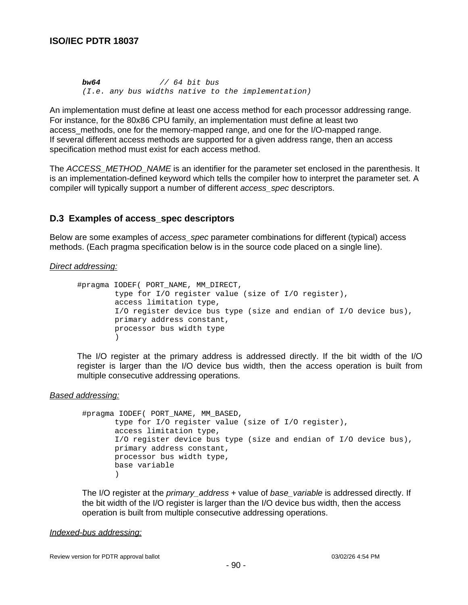**bw64** // 64 bit bus (I.e. any bus widths native to the implementation)

An implementation must define at least one access method for each processor addressing range. For instance, for the 80x86 CPU family, an implementation must define at least two access\_methods, one for the memory-mapped range, and one for the I/O-mapped range. If several different access methods are supported for a given address range, then an access specification method must exist for each access method.

The ACCESS METHOD NAME is an identifier for the parameter set enclosed in the parenthesis. It is an implementation-defined keyword which tells the compiler how to interpret the parameter set. A compiler will typically support a number of different access\_spec descriptors.

### **D.3 Examples of access\_spec descriptors**

Below are some examples of *access* spec parameter combinations for different (typical) access methods. (Each pragma specification below is in the source code placed on a single line).

#### Direct addressing:

```
#pragma IODEF( PORT_NAME, MM_DIRECT,
        type for I/O register value (size of I/O register),
        access limitation type,
        I/O register device bus type (size and endian of I/O device bus),
        primary address constant,
        processor bus width type
        )
```
The I/O register at the primary address is addressed directly. If the bit width of the I/O register is larger than the I/O device bus width, then the access operation is built from multiple consecutive addressing operations.

#### Based addressing:

```
#pragma IODEF( PORT_NAME, MM_BASED,
      type for I/O register value (size of I/O register),
       access limitation type,
       I/O register device bus type (size and endian of I/O device bus),
       primary address constant,
       processor bus width type,
       base variable
       \lambda
```
The I/O register at the *primary* address + value of base variable is addressed directly. If the bit width of the I/O register is larger than the I/O device bus width, then the access operation is built from multiple consecutive addressing operations.

#### Indexed-bus addressing: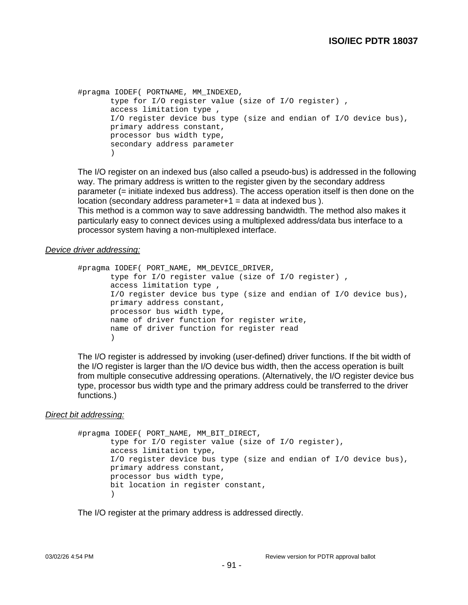```
#pragma IODEF( PORTNAME, MM_INDEXED,
       type for I/O register value (size of I/O register) ,
       access limitation type ,
      I/O register device bus type (size and endian of I/O device bus),
      primary address constant,
      processor bus width type,
       secondary address parameter
       )
```
The I/O register on an indexed bus (also called a pseudo-bus) is addressed in the following way. The primary address is written to the register given by the secondary address parameter (= initiate indexed bus address). The access operation itself is then done on the  $location$  (secondary address parameter $+1$  = data at indexed bus).

This method is a common way to save addressing bandwidth. The method also makes it particularly easy to connect devices using a multiplexed address/data bus interface to a processor system having a non-multiplexed interface.

#### Device driver addressing:

```
#pragma IODEF( PORT NAME, MM DEVICE DRIVER,
      type for I/O register value (size of I/O register) ,
      access limitation type ,
      I/O register device bus type (size and endian of I/O device bus),
      primary address constant,
      processor bus width type,
      name of driver function for register write,
      name of driver function for register read
       )
```
The I/O register is addressed by invoking (user-defined) driver functions. If the bit width of the I/O register is larger than the I/O device bus width, then the access operation is built from multiple consecutive addressing operations. (Alternatively, the I/O register device bus type, processor bus width type and the primary address could be transferred to the driver functions.)

#### Direct bit addressing:

```
#pragma IODEF( PORT_NAME, MM_BIT_DIRECT,
      type for I/O register value (size of I/O register),
       access limitation type,
       I/O register device bus type (size and endian of I/O device bus),
      primary address constant,
      processor bus width type,
      bit location in register constant,
       )
```
The I/O register at the primary address is addressed directly.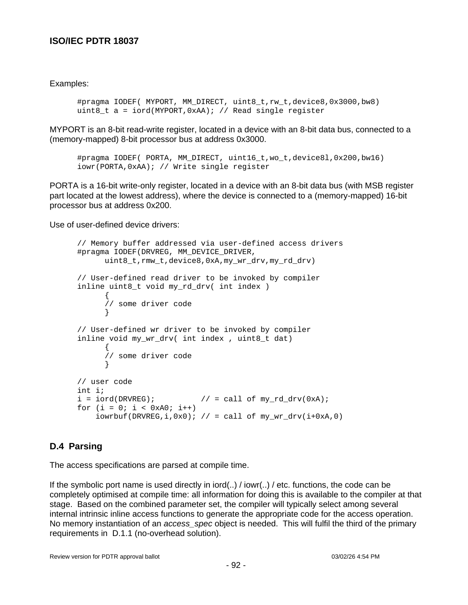### Examples:

#pragma IODEF( MYPORT, MM DIRECT, uint8 t,rw t,device8,0x3000,bw8) uint8 t a = iord(MYPORT,0xAA); // Read single register

MYPORT is an 8-bit read-write register, located in a device with an 8-bit data bus, connected to a (memory-mapped) 8-bit processor bus at address 0x3000.

```
#pragma IODEF( PORTA, MM_DIRECT, uint16_t,wo_t,device8l,0x200,bw16)
iowr(PORTA,0xAA); // Write single register
```
PORTA is a 16-bit write-only register, located in a device with an 8-bit data bus (with MSB register part located at the lowest address), where the device is connected to a (memory-mapped) 16-bit processor bus at address 0x200.

Use of user-defined device drivers:

```
// Memory buffer addressed via user-defined access drivers
#pragma IODEF(DRVREG, MM_DEVICE_DRIVER,
      uint8_t,rmw_t,device8,0xA,my_wr_drv,my_rd_drv)
// User-defined read driver to be invoked by compiler
inline uint8_t void my_rd_drv( int index )
      {
      // some driver code
      }
// User-defined wr driver to be invoked by compiler
inline void my wr drv( int index, uint8 t dat)
      {
      // some driver code
      }
// user code
int i;
i = iord(DRVREG); // = call of my_rd_drv(0xA);
for (i = 0; i < 0xA0; i++)iowrbuf(DRVREG,i,0x0); // = call of my\_wr\_drv(i+0xA,0)
```
# **D.4 Parsing**

The access specifications are parsed at compile time.

If the symbolic port name is used directly in iord( $.)$  / iowr( $.)$  / etc. functions, the code can be completely optimised at compile time: all information for doing this is available to the compiler at that stage. Based on the combined parameter set, the compiler will typically select among several internal intrinsic inline access functions to generate the appropriate code for the access operation. No memory instantiation of an access\_spec object is needed. This will fulfil the third of the primary requirements in D.1.1 (no-overhead solution).

Review version for PDTR approval ballot 03/02/26 4:54 PM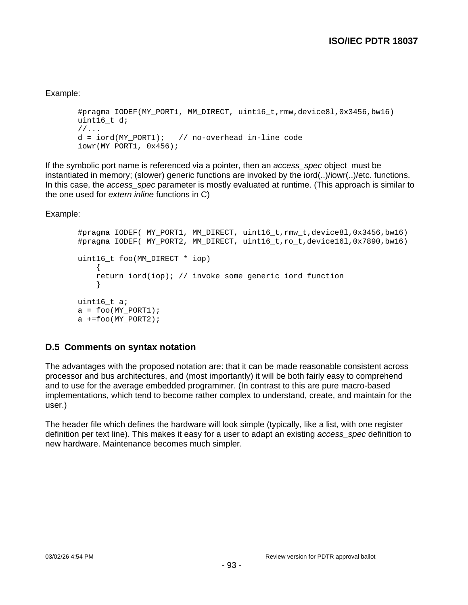### Example:

```
#pragma IODEF(MY_PORT1, MM_DIRECT, uint16_t,rmw,device8l,0x3456,bw16)
uint16 t d;
1/\ldotsd = iord(MY_PORT1); // no-overhead in-line code
iowr(MY_PORT1, 0x456);
```
If the symbolic port name is referenced via a pointer, then an access spec object must be instantiated in memory; (slower) generic functions are invoked by the iord(..)/iowr(..)/etc. functions. In this case, the *access\_spec* parameter is mostly evaluated at runtime. (This approach is similar to the one used for extern inline functions in C)

Example:

```
#pragma IODEF( MY PORT1, MM DIRECT, uint16 t,rmw t,device8l,0x3456,bw16)
#pragma IODEF( MY PORT2, MM DIRECT, uint16 t,ro t,device16l,0x7890,bw16)
uint16_t foo(MM_DIRECT * iop)
     {
     return iord(iop); // invoke some generic iord function
     }
uint16_t a;
a = foo(MY) PORT1);
a +=foo(MY_PORT2);
```
# **D.5 Comments on syntax notation**

The advantages with the proposed notation are: that it can be made reasonable consistent across processor and bus architectures, and (most importantly) it will be both fairly easy to comprehend and to use for the average embedded programmer. (In contrast to this are pure macro-based implementations, which tend to become rather complex to understand, create, and maintain for the user.)

The header file which defines the hardware will look simple (typically, like a list, with one register definition per text line). This makes it easy for a user to adapt an existing access spec definition to new hardware. Maintenance becomes much simpler.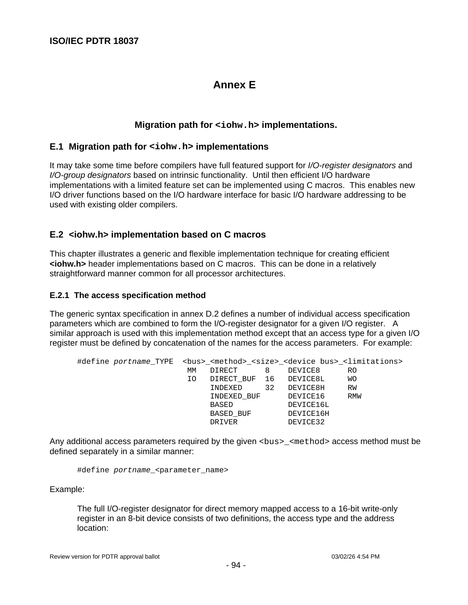# **Annex E**

# **Migration path for <iohw.h> implementations.**

### **E.1 Migration path for <iohw.h> implementations**

It may take some time before compilers have full featured support for I/O-register designators and I/O-group designators based on intrinsic functionality. Until then efficient I/O hardware implementations with a limited feature set can be implemented using C macros. This enables new I/O driver functions based on the I/O hardware interface for basic I/O hardware addressing to be used with existing older compilers.

# **E.2 <iohw.h> implementation based on C macros**

This chapter illustrates a generic and flexible implementation technique for creating efficient **<iohw.h>** header implementations based on C macros. This can be done in a relatively straightforward manner common for all processor architectures.

#### **E.2.1 The access specification method**

The generic syntax specification in annex D.2 defines a number of individual access specification parameters which are combined to form the I/O-register designator for a given I/O register. A similar approach is used with this implementation method except that an access type for a given I/O register must be defined by concatenation of the names for the access parameters. For example:

| #define portname_TYPE <bus>_<method>_<size>_<device bus="">_<limitations></limitations></device></size></method></bus> |    |                        |    |           |     |
|------------------------------------------------------------------------------------------------------------------------|----|------------------------|----|-----------|-----|
|                                                                                                                        | MМ | DIRECT                 | 8  | DEVICE8   | RO. |
|                                                                                                                        | IΟ | DIRECT BUF 16 DEVICE8L |    |           | WО  |
|                                                                                                                        |    | INDEXED                | 32 | DEVICE8H  | RW  |
|                                                                                                                        |    | INDEXED BUF            |    | DEVICE16  | RMW |
|                                                                                                                        |    | BASED                  |    | DEVICE16L |     |
|                                                                                                                        |    | BASED BUF              |    | DEVICE16H |     |
|                                                                                                                        |    | DRIVER                 |    | DEVICE32  |     |

Any additional access parameters required by the given <bus>\_<method> access method must be defined separately in a similar manner:

#define portname\_<parameter\_name>

Example:

The full I/O-register designator for direct memory mapped access to a 16-bit write-only register in an 8-bit device consists of two definitions, the access type and the address location: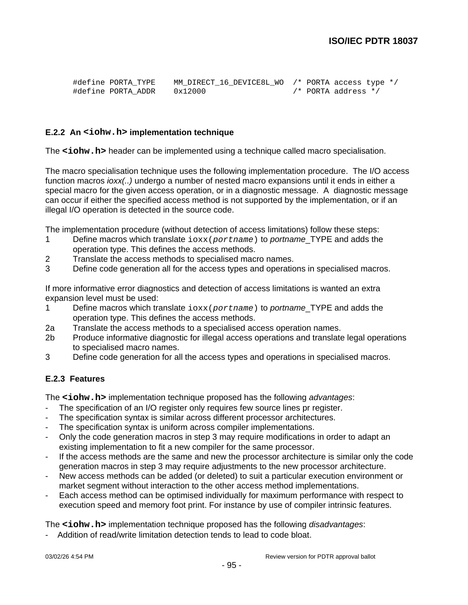| #define PORTA TYPE | MM DIRECT 16 DEVICE8L WO /* PORTA access type */ |  |                     |  |
|--------------------|--------------------------------------------------|--|---------------------|--|
| #define PORTA ADDR | 0x12000                                          |  | /* PORTA address */ |  |

#### **E.2.2 An <iohw.h> implementation technique**

The <iohw.h> header can be implemented using a technique called macro specialisation.

The macro specialisation technique uses the following implementation procedure. The I/O access function macros *ioxx(..)* undergo a number of nested macro expansions until it ends in either a special macro for the given access operation, or in a diagnostic message. A diagnostic message can occur if either the specified access method is not supported by the implementation, or if an illegal I/O operation is detected in the source code.

The implementation procedure (without detection of access limitations) follow these steps:

- 1 Define macros which translate  $i$ oxx(portname) to portname TYPE and adds the operation type. This defines the access methods.
- 2 Translate the access methods to specialised macro names.
- 3 Define code generation all for the access types and operations in specialised macros.

If more informative error diagnostics and detection of access limitations is wanted an extra expansion level must be used:

- 1 Define macros which translate  $i$  oxx (portname) to portname\_TYPE and adds the operation type. This defines the access methods.
- 2a Translate the access methods to a specialised access operation names.
- 2b Produce informative diagnostic for illegal access operations and translate legal operations to specialised macro names.
- 3 Define code generation for all the access types and operations in specialised macros.

### **E.2.3 Features**

The <iohw.h> implementation technique proposed has the following *advantages*:

- The specification of an I/O register only requires few source lines pr register.
- The specification syntax is similar across different processor architectures.
- The specification syntax is uniform across compiler implementations.
- Only the code generation macros in step 3 may require modifications in order to adapt an existing implementation to fit a new compiler for the same processor.
- If the access methods are the same and new the processor architecture is similar only the code generation macros in step 3 may require adjustments to the new processor architecture.
- New access methods can be added (or deleted) to suit a particular execution environment or market segment without interaction to the other access method implementations.
- Each access method can be optimised individually for maximum performance with respect to execution speed and memory foot print. For instance by use of compiler intrinsic features.

The <iohw.h> implementation technique proposed has the following *disadvantages*:

Addition of read/write limitation detection tends to lead to code bloat.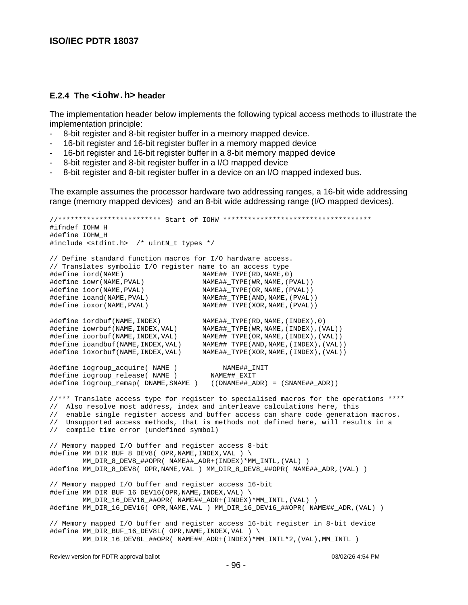#### **E.2.4 The <iohw.h> header**

The implementation header below implements the following typical access methods to illustrate the implementation principle:

- 8-bit register and 8-bit register buffer in a memory mapped device.
- 16-bit register and 16-bit register buffer in a memory mapped device
- 16-bit register and 16-bit register buffer in a 8-bit memory mapped device
- 8-bit register and 8-bit register buffer in a I/O mapped device
- 8-bit register and 8-bit register buffer in a device on an I/O mapped indexed bus.

The example assumes the processor hardware two addressing ranges, a 16-bit wide addressing range (memory mapped devices) and an 8-bit wide addressing range (I/O mapped devices).

```
//************************* Start of IOHW ************************************
#ifndef IOHW_H
#define IOHW_H
#include <stdint.h> /* uintN_t types */
// Define standard function macros for I/O hardware access.
// Translates symbolic I/O register name to an access type
#define iord(NAME) NAME##_TYPE(RD,NAME,0)
#define iowr(NAME,PVAL) NAME##_TYPE(WR,NAME,(PVAL))
#define ioor(NAME,PVAL) NAME##_TYPE(OR,NAME,(PVAL))
#define ioand(NAME,PVAL) NAME##_TYPE(AND,NAME,(PVAL))
#define ioxor(NAME,PVAL) NAME##_TYPE(XOR,NAME,(PVAL))
#define iordbuf(NAME,INDEX) NAME##_TYPE(RD,NAME,(INDEX),0)
#define iowrbuf(NAME,INDEX,VAL) NAME##_TYPE(WR,NAME,(INDEX),(VAL))
#define ioorbuf(NAME,INDEX,VAL) NAME##_TYPE(OR,NAME,(INDEX),(VAL))
#define ioandbuf(NAME,INDEX,VAL) NAME##_TYPE(AND,NAME,(INDEX),(VAL))
#define ioxorbuf(NAME,INDEX,VAL) NAME##_TYPE(XOR,NAME,(INDEX),(VAL))
#define iogroup_acquire( NAME ) NAME##_INIT
#define iogroup_release( NAME ) NAME##_EXIT
#define iogroup_remap( DNAME,SNAME ) ((DNAME##_ADR) = (SNAME##_ADR))
//*** Translate access type for register to specialised macros for the operations ****
// Also resolve most address, index and interleave calculations here, this
// enable single register access and buffer access can share code generation macros.
// Unsupported access methods, that is methods not defined here, will results in a
// compile time error (undefined symbol)
// Memory mapped I/O buffer and register access 8-bit
#define MM_DIR_BUF_8_DEV8( OPR, NAME, INDEX, VAL ) \
        MM_DIR_8_DEV8_##OPR( NAME##_ADR+(INDEX)*MM_INTL,(VAL) )
#define MM_DIR_8_DEV8( OPR,NAME,VAL ) MM_DIR_8_DEV8_##OPR( NAME##_ADR,(VAL) )
// Memory mapped I/O buffer and register access 16-bit
#define MM_DIR_BUF_16_DEV16(OPR,NAME,INDEX,VAL) \
        MM_DIR_16_DEV16_##OPR( NAME##_ADR+(INDEX)*MM_INTL,(VAL) )
#define MM_DIR_16_DEV16( OPR,NAME,VAL ) MM_DIR_16_DEV16_##OPR( NAME##_ADR,(VAL) )
// Memory mapped I/O buffer and register access 16-bit register in 8-bit device
#define MM_DIR_BUF_16_DEV8L( OPR,NAME,INDEX,VAL ) \
        MM_DIR_16_DEV8L_##OPR( NAME##_ADR+(INDEX)*MM_INTL*2,(VAL),MM_INTL )
```
Review version for PDTR approval ballot 03/02/26 4:54 PM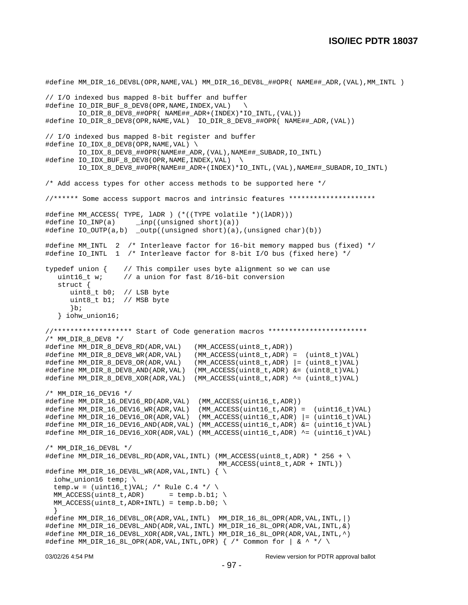```
#define MM_DIR_16_DEV8L(OPR,NAME,VAL) MM_DIR_16_DEV8L_##OPR( NAME## ADR,(VAL),MM_INTL )
// I/O indexed bus mapped 8-bit buffer and buffer
#define IO_DIR_BUF_8_DEV8(OPR,NAME,INDEX,VAL) \
         IO_DIR_8_DEV8_##OPR( NAME##_ADR+(INDEX)*IO_INTL,(VAL))
#define IO_DIR_8_DEV8(OPR,NAME,VAL) IO_DIR_8_DEV8_##OPR( NAME##_ADR,(VAL))
// I/O indexed bus mapped 8-bit register and buffer
#define IO_IDX_8_DEV8(OPR,NAME,VAL) \
         IO_IDX_8_DEV8_##OPR(NAME##_ADR,(VAL),NAME##_SUBADR,IO_INTL)
#define IO_IDX_BUF_8_DEV8(OPR,NAME,INDEX,VAL) \
         IO_IDX_8_DEV8_##OPR(NAME##_ADR+(INDEX)*IO_INTL,(VAL),NAME##_SUBADR,IO_INTL)
/* Add access types for other access methods to be supported here */
//****** Some access support macros and intrinsic features *********************
#define MM_ACCESS( TYPE, lADR ) (*((TYPE volatile *)(lADR)))
                   \text{Lipp}((\text{unsigned short})(a))#define IO_OUTP(a,b) _outp((unsigned short)(a),(unsigned char)(b))
#define MM_INTL 2 /* Interleave factor for 16-bit memory mapped bus (fixed) */
#define IO_INTL 1 /* Interleave factor for 8-bit I/O bus (fixed here) */
typedef union { // This compiler uses byte alignment so we can use
  uint16_t w; \frac{1}{2} // a union for fast 8/16-bit conversion
   struct {
     uint8 t b0; // LSB byte
      uint8_t b1; // MSB byte
      \}b;
    } iohw_union16;
//******************* Start of Code generation macros ************************
/* MM_DIR_8_DEV8 */
#define MM_DIR_8_DEV8_RD(ADR,VAL) (MM_ACCESS(uint8_t,ADR))
#define MM_DIR_8_DEV8_WR(ADR,VAL) (MM_ACCESS(uint8_t,ADR) = (uint8_t)VAL)
#define MM_DIR_8_DEV8_OR(ADR,VAL) (MM_ACCESS(uint8_t,ADR) |= (uint8_t)VAL)
#define MM_DIR_8_DEV8_AND(ADR,VAL) (MM_ACCESS(uint8_t,ADR) &= (uint8_t)VAL)
#define MM_DIR_8_DEV8_XOR(ADR,VAL) (MM_ACCESS(uint8_t,ADR) ^= (uint8_t)VAL)
/* MM_DIR_16_DEV16 */
#define MM_DIR_16_DEV16_RD(ADR,VAL) (MM_ACCESS(uint16_t,ADR))
#define MM_DIR_16_DEV16_WR(ADR,VAL) (MM_ACCESS(uint16_t,ADR) = (uint16_t)VAL)
#define MM_DIR_16_DEV16_OR(ADR,VAL) (MM_ACCESS(uint16_t,ADR) |= (uint16_t)VAL)
#define MM_DIR_16_DEV16_AND(ADR,VAL) (MM_ACCESS(uint16_t,ADR) &= (uint16_t)VAL)
#define MM_DIR_16_DEV16_XOR(ADR,VAL) (MM_ACCESS(uint16_t,ADR) ^= (uint16_t)VAL)
/* MM_DIR_16_DEV8L */
#define MM_DIR_16_DEV8L_RD(ADR,VAL,INTL) (MM_ACCESS(uint8_t,ADR) * 256 + \setminusMM_ACCESS(uint8_t,ADR + INTL))
#define MM_DIR_16_DEV8L_WR(ADR,VAL,INTL) \{\ \ \ \ \ iohw_union16 temp; \
 temp.w = (uint16_t)VAL; /* Rule C.4 */ \
 MM\_ACCESS(uint8_t, ADR) = temp.b.b1; \
 MM\_ACCESS(uint8_t,ADR+INTL) = temp.b.b0; \
 }
#define MM_DIR_16_DEV8L_OR(ADR,VAL,INTL) MM_DIR_16_8L_OPR(ADR,VAL,INTL,|)
#define MM_DIR_16_DEV8L_AND(ADR,VAL,INTL) MM_DIR_16_8L_OPR(ADR,VAL,INTL,&)
#define MM_DIR_16_DEV8L_XOR(ADR,VAL,INTL) MM_DIR_16_8L_OPR(ADR,VAL,INTL,^)
#define MM_DIR_16_8L_OPR(ADR, VAL, INTL, OPR) { /* Common for | & ^ */ \
```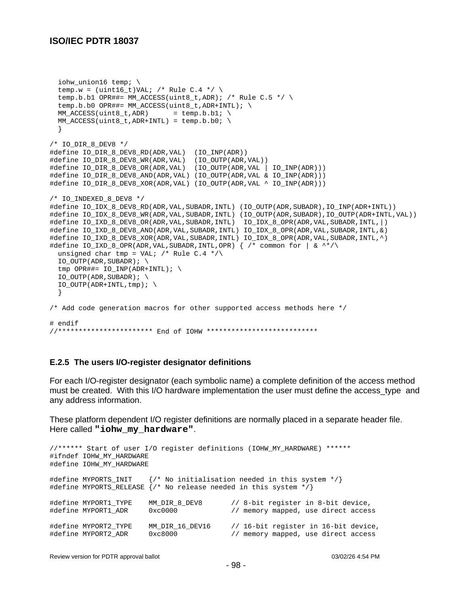```
iohw union16 temp; \
 temp.w = (uint16_t)VAL; /* Rule C.4 */ \
 temp.b.b1 OPR##= MM_ACCESS(uint8_t,ADR); /* Rule C.5 */ \
  temp.b.b0 OPR##= MM_ACCESS(uint8_t,ADR+INTL); \
 MM\_ACCESS(uint8_t,ADR) = temp.b.b1; \
 MM ACCESS(uint8 t,ADR+INTL) = temp.b.b0; \setminus }
/* IO_DIR_8_DEV8 */
#define IO_DIR_8_DEV8_RD(ADR,VAL) (IO_INP(ADR))
#define IO_DIR_8_DEV8_WR(ADR,VAL) (IO_OUTP(ADR,VAL))
#define IO_DIR_8_DEV8_OR(ADR,VAL) (IO_OUTP(ADR,VAL | IO_INP(ADR)))
#define IO_DIR_8_DEV8_AND(ADR,VAL) (IO_OUTP(ADR,VAL & IO_INP(ADR)))
#define IO_DIR_8_DEV8_XOR(ADR,VAL) (IO_OUTP(ADR,VAL ^ IO_INP(ADR)))
/* IO INDEXED 8 DEV8 */#define IO_IDX_8_DEV8_RD(ADR,VAL,SUBADR,INTL) (IO_OUTP(ADR,SUBADR),IO_INP(ADR+INTL))
#define IO_IDX_8_DEV8_WR(ADR,VAL,SUBADR,INTL) (IO_OUTP(ADR,SUBADR),IO_OUTP(ADR+INTL,VAL))
#define IO_IXD_8_DEV8_OR(ADR,VAL,SUBADR,INTL) IO_IDX_8_OPR(ADR,VAL,SUBADR,INTL,|)
#define IO_IXD_8_DEV8_AND(ADR,VAL,SUBADR,INTL) IO_IDX_8_OPR(ADR,VAL,SUBADR,INTL,&)
#define IO_IXD_8_DEV8_XOR(ADR,VAL,SUBADR,INTL) IO_IDX_8_OPR(ADR,VAL,SUBADR,INTL,^)
#define IO_IXD_8_OPR(ADR,VAL,SUBADR,INTL,OPR) { /* common for | \& ^**/\rangleunsigned char tmp = VAL; /* Rule C.4 */\sqrt{ }IO_OUTP(ADR, SUBADR); \ \ \ \ \ tmp OPR##= IO_INP(ADR+INTL); \
  IO_OUTP(ADR, SUBADR); \ \ \ \ \IO OUTP(ADR+INTL, tmp); \
   }
/* Add code generation macros for other supported access methods here */
# endif
//*********************** End of IOHW ***************************
```
#### **E.2.5 The users I/O-register designator definitions**

For each I/O-register designator (each symbolic name) a complete definition of the access method must be created. With this I/O hardware implementation the user must define the access\_type and any address information.

These platform dependent I/O register definitions are normally placed in a separate header file. Here called **"iohw\_my\_hardware"**.

```
//****** Start of user I/O register definitions (IOHW_MY_HARDWARE) ******
#ifndef IOHW MY HARDWARE
#define IOHW_MY_HARDWARE
#define MYPORTS_INIT {/* No initialisation needed in this system */}
#define MYPORTS_RELEASE {/* No release needed in this system */}
#define MYPORT1_TYPE MM_DIR_8_DEV8 // 8-bit register in 8-bit device,
#define MYPORT1_ADR 0xc0000 // memory mapped, use direct access
#define MYPORT2_TYPE MM_DIR_16_DEV16 // 16-bit register in 16-bit device,
#define MYPORT2_ADR 0xc8000 // memory mapped, use direct access
```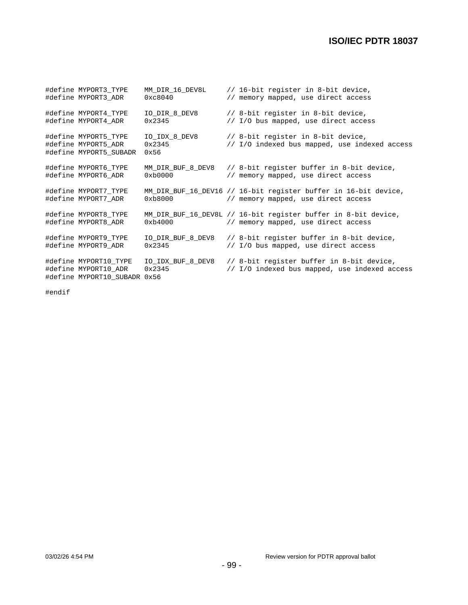| #define MYPORT3 TYPE<br>#define MYPORT3 ADR                                   | MM DIR 16 DEV8L<br>0xc8040      | // 16-bit register in 8-bit device,<br>// memory mapped, use direct access                             |
|-------------------------------------------------------------------------------|---------------------------------|--------------------------------------------------------------------------------------------------------|
| #define MYPORT4 TYPE<br>#define MYPORT4 ADR                                   | IO DIR 8 DEV8<br>0x2345         | // 8-bit register in 8-bit device,<br>// I/O bus mapped, use direct access                             |
| #define MYPORT5 TYPE<br>#define MYPORT5_ADR<br>#define MYPORT5 SUBADR         | IO IDX 8 DEV8<br>0x2345<br>0x56 | // 8-bit register in 8-bit device,<br>// I/O indexed bus mapped, use indexed access                    |
| #define MYPORT6 TYPE<br>#define MYPORT6 ADR                                   | MM DIR BUF 8 DEV8<br>0xb0000    | // 8-bit register buffer in 8-bit device,<br>// memory mapped, use direct access                       |
| #define MYPORT7_TYPE<br>#define MYPORT7 ADR                                   | 0xb8000                         | MM DIR BUF 16 DEV16 // 16-bit register buffer in 16-bit device,<br>// memory mapped, use direct access |
| #define MYPORT8 TYPE<br>#define MYPORT8_ADR                                   | 0xb4000                         | MM DIR BUF 16 DEV8L // 16-bit register buffer in 8-bit device,<br>// memory mapped, use direct access  |
| #define MYPORT9 TYPE<br>#define MYPORT9 ADR                                   | IO DIR BUF 8 DEV8<br>0x2345     | // 8-bit register buffer in 8-bit device,<br>// I/O bus mapped, use direct access                      |
| #define MYPORT10_TYPE<br>#define MYPORT10 ADR<br>#define MYPORT10 SUBADR 0x56 | IO IDX BUF 8 DEV8<br>0x2345     | // 8-bit register buffer in 8-bit device,<br>// I/O indexed bus mapped, use indexed access             |

#endif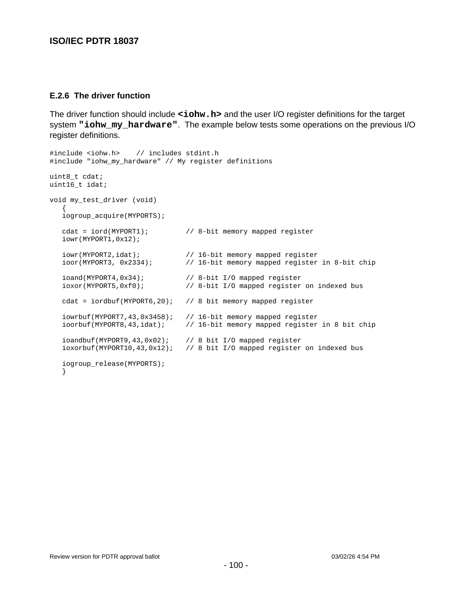#### **E.2.6 The driver function**

The driver function should include **<iohw.h>** and the user I/O register definitions for the target system **"iohw\_my\_hardware"**. The example below tests some operations on the previous I/O register definitions.

```
#include <iohw.h> // includes stdint.h
#include "iohw_my_hardware" // My register definitions
uint8_t cdat;
uint16_t idat;
void my_test_driver (void)
\{ iogroup_acquire(MYPORTS);
    cdat = iord(MYPORT1); // 8-bit memory mapped register
    iowr(MYPORT1,0x12);
   iowr(MYPORT2,idat); <br>ioor(MYPORT3, 0x2334); // 16-bit memory mapped register
                               // 16-bit memory mapped register in 8-bit chip
    ioand(MYPORT4,0x34); // 8-bit I/O mapped register
    ioxor(MYPORT5,0xf0); // 8-bit I/O mapped register on indexed bus
   cdat = iordbuf(MYPORT6,20); // 8 bit memory mapped register
    iowrbuf(MYPORT7,43,0x3458); // 16-bit memory mapped register
    ioorbuf(MYPORT8,43,idat); // 16-bit memory mapped register in 8 bit chip
    ioandbuf(MYPORT9,43,0x02); // 8 bit I/O mapped register
    ioxorbuf(MYPORT10,43,0x12); // 8 bit I/O mapped register on indexed bus
    iogroup_release(MYPORTS);
    }
```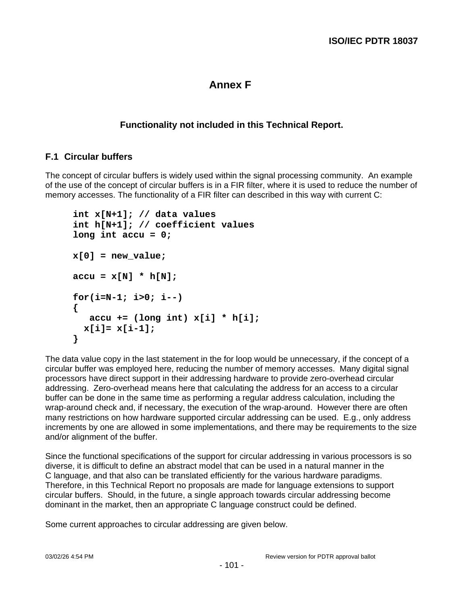# **Annex F**

# **Functionality not included in this Technical Report.**

# **F.1 Circular buffers**

The concept of circular buffers is widely used within the signal processing community. An example of the use of the concept of circular buffers is in a FIR filter, where it is used to reduce the number of memory accesses. The functionality of a FIR filter can described in this way with current C:

```
int x[N+1]; // data values
int h[N+1]; // coefficient values
long int accu = 0;
x[0] = new_value;
accu = x[N] * h[N];for(i=N-1; i>0; i--)
{
    accu += (long int) x[i] * h[i];
  x[i]= x[i-1];
}
```
The data value copy in the last statement in the for loop would be unnecessary, if the concept of a circular buffer was employed here, reducing the number of memory accesses. Many digital signal processors have direct support in their addressing hardware to provide zero-overhead circular addressing. Zero-overhead means here that calculating the address for an access to a circular buffer can be done in the same time as performing a regular address calculation, including the wrap-around check and, if necessary, the execution of the wrap-around. However there are often many restrictions on how hardware supported circular addressing can be used. E.g., only address increments by one are allowed in some implementations, and there may be requirements to the size and/or alignment of the buffer.

Since the functional specifications of the support for circular addressing in various processors is so diverse, it is difficult to define an abstract model that can be used in a natural manner in the C language, and that also can be translated efficiently for the various hardware paradigms. Therefore, in this Technical Report no proposals are made for language extensions to support circular buffers. Should, in the future, a single approach towards circular addressing become dominant in the market, then an appropriate C language construct could be defined.

Some current approaches to circular addressing are given below.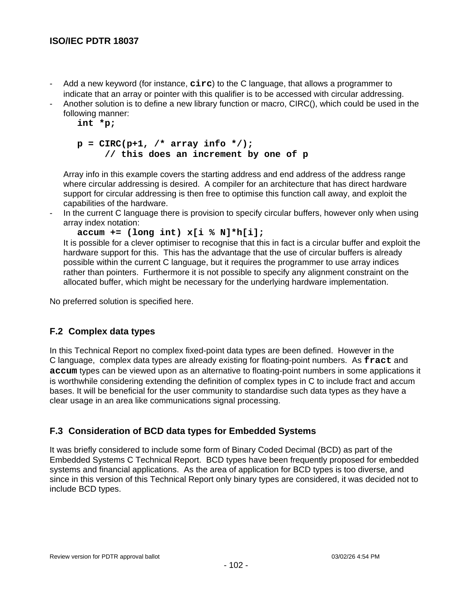- Add a new keyword (for instance, **circ**) to the C language, that allows a programmer to indicate that an array or pointer with this qualifier is to be accessed with circular addressing.
- Another solution is to define a new library function or macro, CIRC(), which could be used in the following manner:

**int \*p;**

```
p = CIRC(p+1, /* array info */);
     // this does an increment by one of p
```
Array info in this example covers the starting address and end address of the address range where circular addressing is desired. A compiler for an architecture that has direct hardware support for circular addressing is then free to optimise this function call away, and exploit the capabilities of the hardware.

In the current C language there is provision to specify circular buffers, however only when using array index notation:

```
accum += (long int) x[i % N]*h[i];
```
It is possible for a clever optimiser to recognise that this in fact is a circular buffer and exploit the hardware support for this. This has the advantage that the use of circular buffers is already possible within the current C language, but it requires the programmer to use array indices rather than pointers. Furthermore it is not possible to specify any alignment constraint on the allocated buffer, which might be necessary for the underlying hardware implementation.

No preferred solution is specified here.

# **F.2 Complex data types**

In this Technical Report no complex fixed-point data types are been defined. However in the C language, complex data types are already existing for floating-point numbers. As **fract** and **accum** types can be viewed upon as an alternative to floating-point numbers in some applications it is worthwhile considering extending the definition of complex types in C to include fract and accum bases. It will be beneficial for the user community to standardise such data types as they have a clear usage in an area like communications signal processing.

# **F.3 Consideration of BCD data types for Embedded Systems**

It was briefly considered to include some form of Binary Coded Decimal (BCD) as part of the Embedded Systems C Technical Report. BCD types have been frequently proposed for embedded systems and financial applications. As the area of application for BCD types is too diverse, and since in this version of this Technical Report only binary types are considered, it was decided not to include BCD types.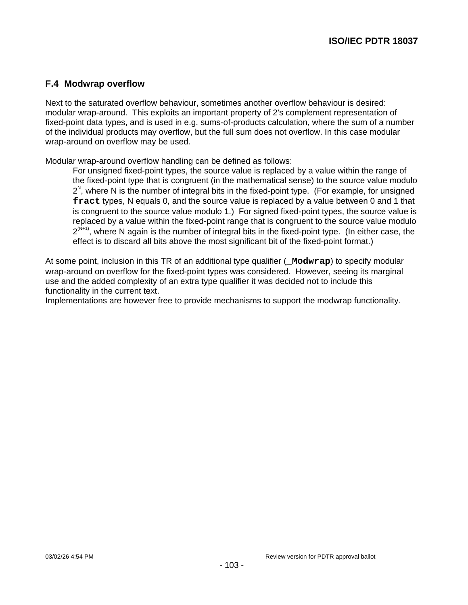# **F.4 Modwrap overflow**

Next to the saturated overflow behaviour, sometimes another overflow behaviour is desired: modular wrap-around. This exploits an important property of 2's complement representation of fixed-point data types, and is used in e.g. sums-of-products calculation, where the sum of a number of the individual products may overflow, but the full sum does not overflow. In this case modular wrap-around on overflow may be used.

Modular wrap-around overflow handling can be defined as follows:

For unsigned fixed-point types, the source value is replaced by a value within the range of the fixed-point type that is congruent (in the mathematical sense) to the source value modulo  $2<sup>N</sup>$ , where N is the number of integral bits in the fixed-point type. (For example, for unsigned **fract** types, N equals 0, and the source value is replaced by a value between 0 and 1 that is congruent to the source value modulo 1.) For signed fixed-point types, the source value is replaced by a value within the fixed-point range that is congruent to the source value modulo  $2^{(N+1)}$ , where N again is the number of integral bits in the fixed-point type. (In either case, the effect is to discard all bits above the most significant bit of the fixed-point format.)

At some point, inclusion in this TR of an additional type qualifier (**\_Modwrap**) to specify modular wrap-around on overflow for the fixed-point types was considered. However, seeing its marginal use and the added complexity of an extra type qualifier it was decided not to include this functionality in the current text.

Implementations are however free to provide mechanisms to support the modwrap functionality.